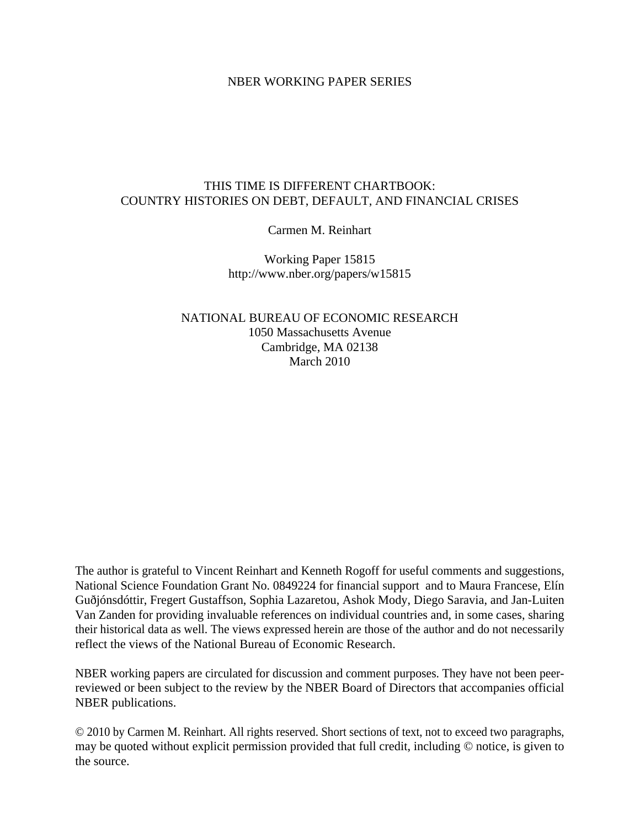## NBER WORKING PAPER SERIES

## THIS TIME IS DIFFERENT CHARTBOOK: COUNTRY HISTORIES ON DEBT, DEFAULT, AND FINANCIAL CRISES

Carmen M. Reinhart

Working Paper 15815 http://www.nber.org/papers/w15815

NATIONAL BUREAU OF ECONOMIC RESEARCH 1050 Massachusetts Avenue Cambridge, MA 02138 March 2010

The author is grateful to Vincent Reinhart and Kenneth Rogoff for useful comments and suggestions, National Science Foundation Grant No. 0849224 for financial support and to Maura Francese, Elín Guðjónsdóttir, Fregert Gustaffson, Sophia Lazaretou, Ashok Mody, Diego Saravia, and Jan-Luiten Van Zanden for providing invaluable references on individual countries and, in some cases, sharing their historical data as well. The views expressed herein are those of the author and do not necessarily reflect the views of the National Bureau of Economic Research.

NBER working papers are circulated for discussion and comment purposes. They have not been peerreviewed or been subject to the review by the NBER Board of Directors that accompanies official NBER publications.

© 2010 by Carmen M. Reinhart. All rights reserved. Short sections of text, not to exceed two paragraphs, may be quoted without explicit permission provided that full credit, including © notice, is given to the source.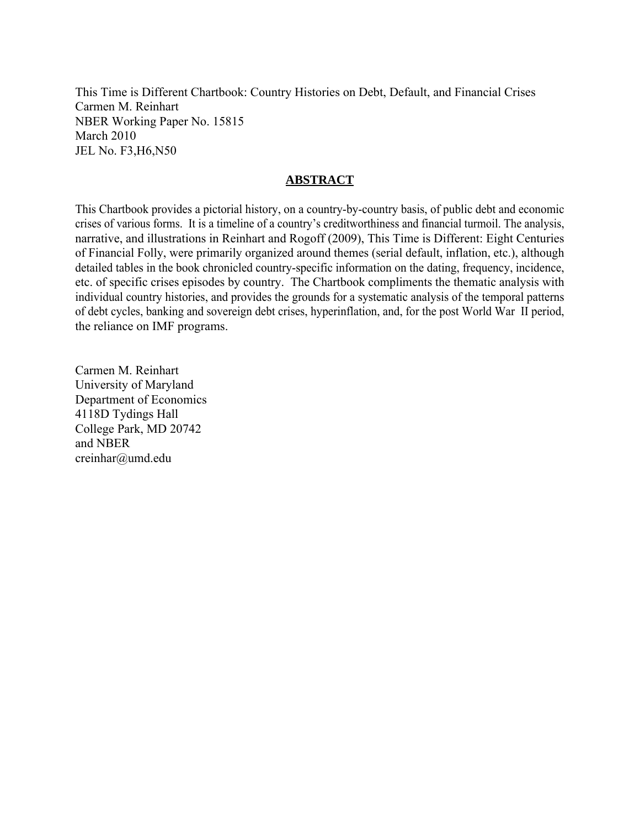This Time is Different Chartbook: Country Histories on Debt, Default, and Financial Crises Carmen M. Reinhart NBER Working Paper No. 15815 March 2010 JEL No. F3,H6,N50

# **ABSTRACT**

This Chartbook provides a pictorial history, on a country-by-country basis, of public debt and economic crises of various forms. It is a timeline of a country's creditworthiness and financial turmoil. The analysis, narrative, and illustrations in Reinhart and Rogoff (2009), This Time is Different: Eight Centuries of Financial Folly, were primarily organized around themes (serial default, inflation, etc.), although detailed tables in the book chronicled country-specific information on the dating, frequency, incidence, etc. of specific crises episodes by country. The Chartbook compliments the thematic analysis with individual country histories, and provides the grounds for a systematic analysis of the temporal patterns of debt cycles, banking and sovereign debt crises, hyperinflation, and, for the post World War II period, the reliance on IMF programs.

Carmen M. Reinhart University of Maryland Department of Economics 4118D Tydings Hall College Park, MD 20742 and NBER creinhar@umd.edu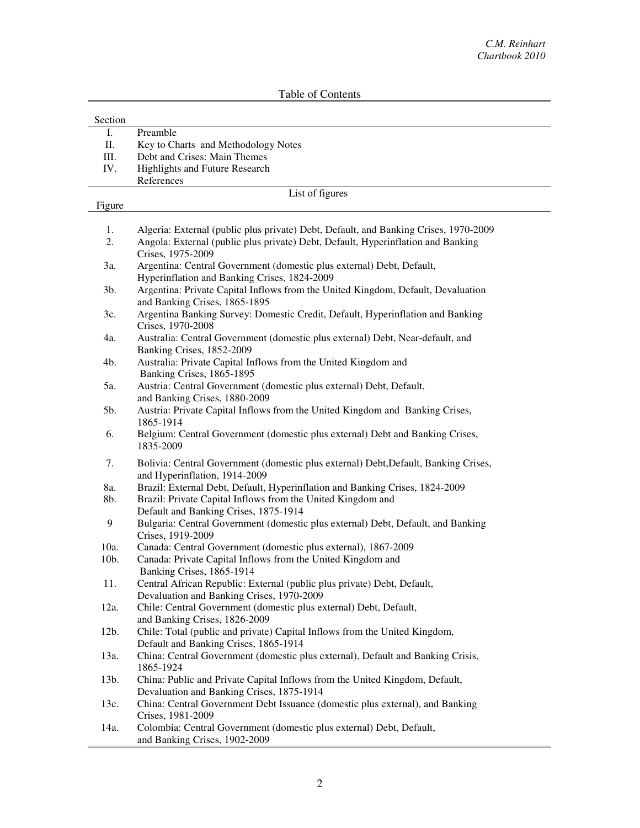| Section |                                                                                                                           |  |  |  |  |  |  |  |  |  |
|---------|---------------------------------------------------------------------------------------------------------------------------|--|--|--|--|--|--|--|--|--|
| Ι.      | Preamble                                                                                                                  |  |  |  |  |  |  |  |  |  |
| П.      | Key to Charts and Methodology Notes                                                                                       |  |  |  |  |  |  |  |  |  |
| Ш.      | Debt and Crises: Main Themes                                                                                              |  |  |  |  |  |  |  |  |  |
| IV.     | <b>Highlights and Future Research</b>                                                                                     |  |  |  |  |  |  |  |  |  |
|         | References                                                                                                                |  |  |  |  |  |  |  |  |  |
|         | List of figures                                                                                                           |  |  |  |  |  |  |  |  |  |
| Figure  |                                                                                                                           |  |  |  |  |  |  |  |  |  |
|         |                                                                                                                           |  |  |  |  |  |  |  |  |  |
| 1.      | Algeria: External (public plus private) Debt, Default, and Banking Crises, 1970-2009                                      |  |  |  |  |  |  |  |  |  |
| 2.      | Angola: External (public plus private) Debt, Default, Hyperinflation and Banking<br>Crises, 1975-2009                     |  |  |  |  |  |  |  |  |  |
| 3a.     | Argentina: Central Government (domestic plus external) Debt, Default,                                                     |  |  |  |  |  |  |  |  |  |
|         | Hyperinflation and Banking Crises, 1824-2009                                                                              |  |  |  |  |  |  |  |  |  |
| 3b.     | Argentina: Private Capital Inflows from the United Kingdom, Default, Devaluation                                          |  |  |  |  |  |  |  |  |  |
|         | and Banking Crises, 1865-1895                                                                                             |  |  |  |  |  |  |  |  |  |
| 3c.     | Argentina Banking Survey: Domestic Credit, Default, Hyperinflation and Banking                                            |  |  |  |  |  |  |  |  |  |
|         | Crises, 1970-2008                                                                                                         |  |  |  |  |  |  |  |  |  |
| 4a.     | Australia: Central Government (domestic plus external) Debt, Near-default, and                                            |  |  |  |  |  |  |  |  |  |
|         | Banking Crises, 1852-2009                                                                                                 |  |  |  |  |  |  |  |  |  |
| 4b.     | Australia: Private Capital Inflows from the United Kingdom and                                                            |  |  |  |  |  |  |  |  |  |
|         | Banking Crises, 1865-1895                                                                                                 |  |  |  |  |  |  |  |  |  |
| 5a.     | Austria: Central Government (domestic plus external) Debt, Default,                                                       |  |  |  |  |  |  |  |  |  |
|         | and Banking Crises, 1880-2009                                                                                             |  |  |  |  |  |  |  |  |  |
| 5b.     | Austria: Private Capital Inflows from the United Kingdom and Banking Crises,                                              |  |  |  |  |  |  |  |  |  |
|         | 1865-1914                                                                                                                 |  |  |  |  |  |  |  |  |  |
| 6.      | Belgium: Central Government (domestic plus external) Debt and Banking Crises,<br>1835-2009                                |  |  |  |  |  |  |  |  |  |
|         |                                                                                                                           |  |  |  |  |  |  |  |  |  |
| 7.      | Bolivia: Central Government (domestic plus external) Debt, Default, Banking Crises,                                       |  |  |  |  |  |  |  |  |  |
|         | and Hyperinflation, 1914-2009                                                                                             |  |  |  |  |  |  |  |  |  |
| 8a.     | Brazil: External Debt, Default, Hyperinflation and Banking Crises, 1824-2009                                              |  |  |  |  |  |  |  |  |  |
| 8b.     | Brazil: Private Capital Inflows from the United Kingdom and                                                               |  |  |  |  |  |  |  |  |  |
| 9       | Default and Banking Crises, 1875-1914<br>Bulgaria: Central Government (domestic plus external) Debt, Default, and Banking |  |  |  |  |  |  |  |  |  |
|         | Crises, 1919-2009                                                                                                         |  |  |  |  |  |  |  |  |  |
| 10a.    | Canada: Central Government (domestic plus external), 1867-2009                                                            |  |  |  |  |  |  |  |  |  |
| 10b.    | Canada: Private Capital Inflows from the United Kingdom and                                                               |  |  |  |  |  |  |  |  |  |
|         | Banking Crises, 1865-1914                                                                                                 |  |  |  |  |  |  |  |  |  |
| 11.     | Central African Republic: External (public plus private) Debt, Default,                                                   |  |  |  |  |  |  |  |  |  |
|         | Devaluation and Banking Crises, 1970-2009                                                                                 |  |  |  |  |  |  |  |  |  |
| 12a.    | Chile: Central Government (domestic plus external) Debt, Default,                                                         |  |  |  |  |  |  |  |  |  |
|         | and Banking Crises, 1826-2009                                                                                             |  |  |  |  |  |  |  |  |  |
| 12b.    | Chile: Total (public and private) Capital Inflows from the United Kingdom,                                                |  |  |  |  |  |  |  |  |  |
|         | Default and Banking Crises, 1865-1914                                                                                     |  |  |  |  |  |  |  |  |  |
| 13a.    | China: Central Government (domestic plus external), Default and Banking Crisis,                                           |  |  |  |  |  |  |  |  |  |
|         | 1865-1924                                                                                                                 |  |  |  |  |  |  |  |  |  |
| 13b.    | China: Public and Private Capital Inflows from the United Kingdom, Default,                                               |  |  |  |  |  |  |  |  |  |
|         | Devaluation and Banking Crises, 1875-1914                                                                                 |  |  |  |  |  |  |  |  |  |
| 13c.    | China: Central Government Debt Issuance (domestic plus external), and Banking<br>Crises, 1981-2009                        |  |  |  |  |  |  |  |  |  |
| 14a.    | Colombia: Central Government (domestic plus external) Debt, Default,                                                      |  |  |  |  |  |  |  |  |  |
|         | and Banking Crises, 1902-2009                                                                                             |  |  |  |  |  |  |  |  |  |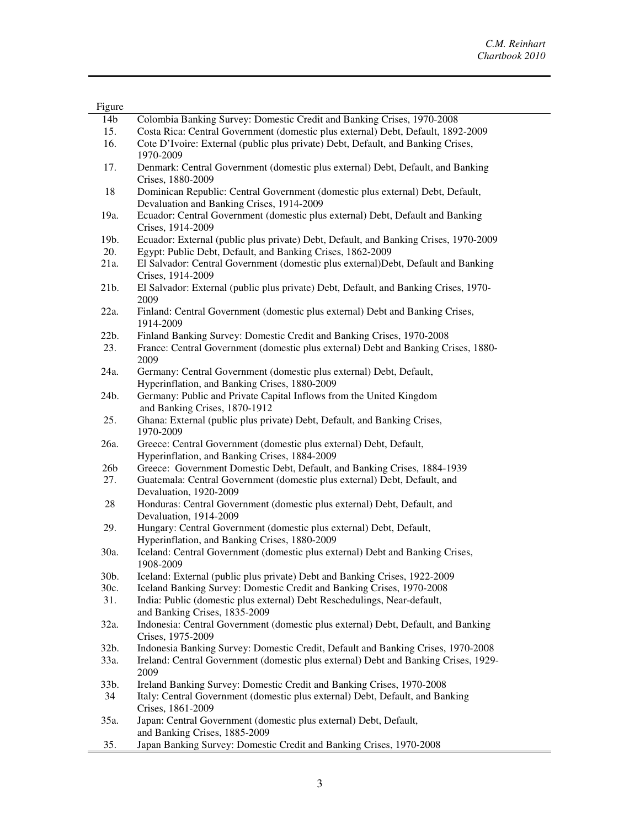| <b>Figure</b>   |                                                                                                                             |
|-----------------|-----------------------------------------------------------------------------------------------------------------------------|
| 14b             | Colombia Banking Survey: Domestic Credit and Banking Crises, 1970-2008                                                      |
| 15.             | Costa Rica: Central Government (domestic plus external) Debt, Default, 1892-2009                                            |
| 16.             | Cote D'Ivoire: External (public plus private) Debt, Default, and Banking Crises,<br>1970-2009                               |
| 17.             | Denmark: Central Government (domestic plus external) Debt, Default, and Banking<br>Crises, 1880-2009                        |
| 18              | Dominican Republic: Central Government (domestic plus external) Debt, Default,<br>Devaluation and Banking Crises, 1914-2009 |
| 19a.            | Ecuador: Central Government (domestic plus external) Debt, Default and Banking                                              |
| 19b.            | Crises, 1914-2009<br>Ecuador: External (public plus private) Debt, Default, and Banking Crises, 1970-2009                   |
| 20.             | Egypt: Public Debt, Default, and Banking Crises, 1862-2009                                                                  |
| 21a.            | El Salvador: Central Government (domestic plus external)Debt, Default and Banking<br>Crises, 1914-2009                      |
| 21b.            | El Salvador: External (public plus private) Debt, Default, and Banking Crises, 1970-<br>2009                                |
| 22a.            | Finland: Central Government (domestic plus external) Debt and Banking Crises,<br>1914-2009                                  |
| 22b.            | Finland Banking Survey: Domestic Credit and Banking Crises, 1970-2008                                                       |
| 23.             | France: Central Government (domestic plus external) Debt and Banking Crises, 1880-<br>2009                                  |
| 24a.            | Germany: Central Government (domestic plus external) Debt, Default,<br>Hyperinflation, and Banking Crises, 1880-2009        |
| 24b.            | Germany: Public and Private Capital Inflows from the United Kingdom<br>and Banking Crises, 1870-1912                        |
| 25.             | Ghana: External (public plus private) Debt, Default, and Banking Crises,<br>1970-2009                                       |
| 26a.            | Greece: Central Government (domestic plus external) Debt, Default,<br>Hyperinflation, and Banking Crises, 1884-2009         |
| 26 <sub>b</sub> | Greece: Government Domestic Debt, Default, and Banking Crises, 1884-1939                                                    |
| 27.             | Guatemala: Central Government (domestic plus external) Debt, Default, and<br>Devaluation, 1920-2009                         |
| 28              | Honduras: Central Government (domestic plus external) Debt, Default, and<br>Devaluation, 1914-2009                          |
| 29.             | Hungary: Central Government (domestic plus external) Debt, Default,<br>Hyperinflation, and Banking Crises, 1880-2009        |
| 30a.            | Iceland: Central Government (domestic plus external) Debt and Banking Crises,<br>1908-2009                                  |
| 30b.            | Iceland: External (public plus private) Debt and Banking Crises, 1922-2009                                                  |
| 30c.            | Iceland Banking Survey: Domestic Credit and Banking Crises, 1970-2008                                                       |
| 31.             | India: Public (domestic plus external) Debt Reschedulings, Near-default,<br>and Banking Crises, 1835-2009                   |
| 32a.            | Indonesia: Central Government (domestic plus external) Debt, Default, and Banking<br>Crises, 1975-2009                      |
| 32b.            | Indonesia Banking Survey: Domestic Credit, Default and Banking Crises, 1970-2008                                            |
| 33a.            | Ireland: Central Government (domestic plus external) Debt and Banking Crises, 1929-<br>2009                                 |
| 33b.            | Ireland Banking Survey: Domestic Credit and Banking Crises, 1970-2008                                                       |
| 34              | Italy: Central Government (domestic plus external) Debt, Default, and Banking                                               |
|                 | Crises, 1861-2009                                                                                                           |
| 35a.            | Japan: Central Government (domestic plus external) Debt, Default,<br>and Banking Crises, 1885-2009                          |
| 35.             | Japan Banking Survey: Domestic Credit and Banking Crises, 1970-2008                                                         |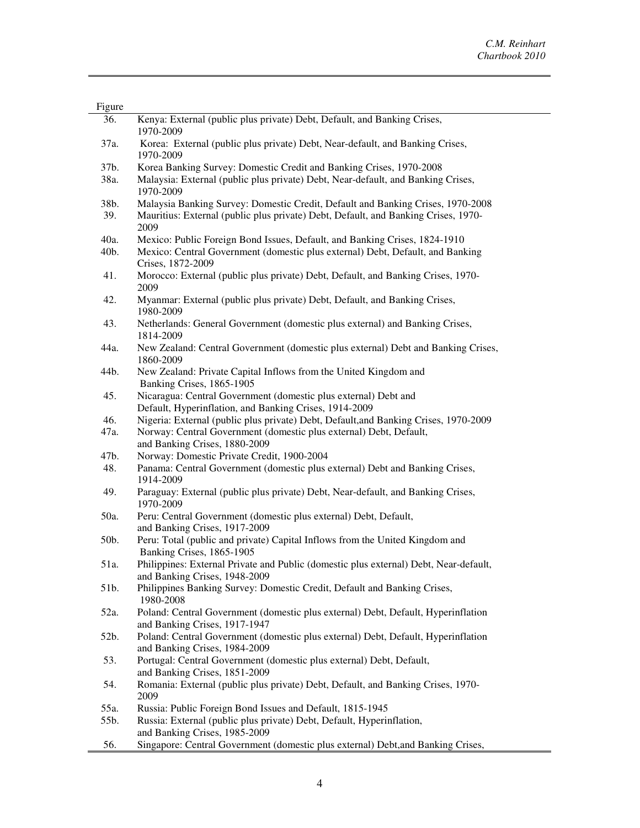| Figure |                                                                                                                           |
|--------|---------------------------------------------------------------------------------------------------------------------------|
| 36.    | Kenya: External (public plus private) Debt, Default, and Banking Crises,<br>1970-2009                                     |
| 37a.   | Korea: External (public plus private) Debt, Near-default, and Banking Crises,<br>1970-2009                                |
| 37b.   | Korea Banking Survey: Domestic Credit and Banking Crises, 1970-2008                                                       |
| 38a.   | Malaysia: External (public plus private) Debt, Near-default, and Banking Crises,<br>1970-2009                             |
| 38b.   | Malaysia Banking Survey: Domestic Credit, Default and Banking Crises, 1970-2008                                           |
| 39.    | Mauritius: External (public plus private) Debt, Default, and Banking Crises, 1970-<br>2009                                |
| 40a.   | Mexico: Public Foreign Bond Issues, Default, and Banking Crises, 1824-1910                                                |
| 40b.   | Mexico: Central Government (domestic plus external) Debt, Default, and Banking<br>Crises, 1872-2009                       |
| 41.    | Morocco: External (public plus private) Debt, Default, and Banking Crises, 1970-<br>2009                                  |
| 42.    | Myanmar: External (public plus private) Debt, Default, and Banking Crises,<br>1980-2009                                   |
| 43.    | Netherlands: General Government (domestic plus external) and Banking Crises,<br>1814-2009                                 |
| 44a.   | New Zealand: Central Government (domestic plus external) Debt and Banking Crises,<br>1860-2009                            |
| 44b.   | New Zealand: Private Capital Inflows from the United Kingdom and<br>Banking Crises, 1865-1905                             |
| 45.    | Nicaragua: Central Government (domestic plus external) Debt and<br>Default, Hyperinflation, and Banking Crises, 1914-2009 |
| 46.    | Nigeria: External (public plus private) Debt, Default, and Banking Crises, 1970-2009                                      |
| 47a.   | Norway: Central Government (domestic plus external) Debt, Default,<br>and Banking Crises, 1880-2009                       |
| 47b.   | Norway: Domestic Private Credit, 1900-2004                                                                                |
| 48.    | Panama: Central Government (domestic plus external) Debt and Banking Crises,<br>1914-2009                                 |
| 49.    | Paraguay: External (public plus private) Debt, Near-default, and Banking Crises,<br>1970-2009                             |
| 50a.   | Peru: Central Government (domestic plus external) Debt, Default,<br>and Banking Crises, 1917-2009                         |
| 50b.   | Peru: Total (public and private) Capital Inflows from the United Kingdom and<br>Banking Crises, 1865-1905                 |
| 51a.   | Philippines: External Private and Public (domestic plus external) Debt, Near-default,<br>and Banking Crises, 1948-2009    |
| 51b.   | Philippines Banking Survey: Domestic Credit, Default and Banking Crises,<br>1980-2008                                     |
| 52a.   | Poland: Central Government (domestic plus external) Debt, Default, Hyperinflation<br>and Banking Crises, 1917-1947        |
| 52b.   | Poland: Central Government (domestic plus external) Debt, Default, Hyperinflation<br>and Banking Crises, 1984-2009        |
| 53.    | Portugal: Central Government (domestic plus external) Debt, Default,<br>and Banking Crises, 1851-2009                     |
| 54.    | Romania: External (public plus private) Debt, Default, and Banking Crises, 1970-<br>2009                                  |
| 55a.   | Russia: Public Foreign Bond Issues and Default, 1815-1945                                                                 |
| 55b.   | Russia: External (public plus private) Debt, Default, Hyperinflation,<br>and Banking Crises, 1985-2009                    |
| 56.    | Singapore: Central Government (domestic plus external) Debt, and Banking Crises,                                          |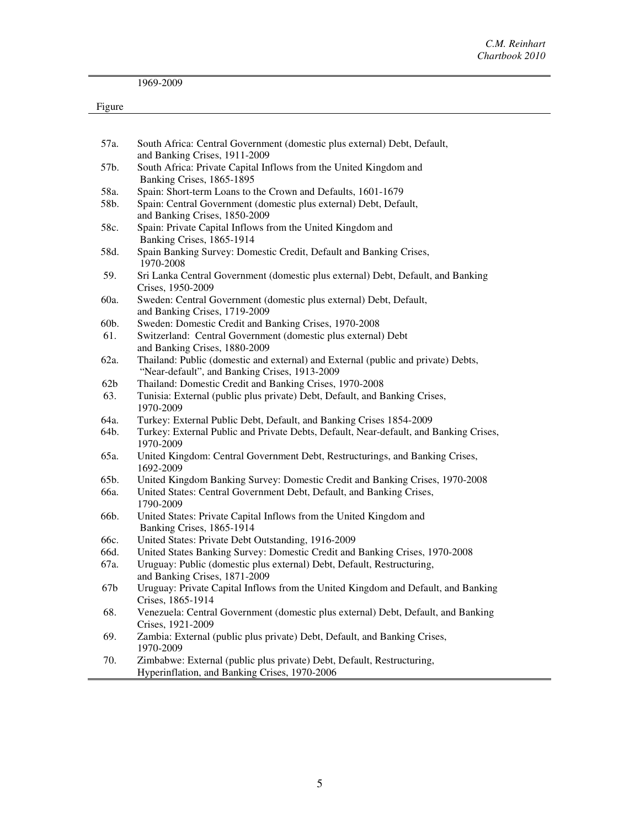|        | 1969-2009                                                                                                                          |
|--------|------------------------------------------------------------------------------------------------------------------------------------|
| Figure |                                                                                                                                    |
|        |                                                                                                                                    |
| 57a.   | South Africa: Central Government (domestic plus external) Debt, Default,<br>and Banking Crises, 1911-2009                          |
| 57b.   | South Africa: Private Capital Inflows from the United Kingdom and<br>Banking Crises, 1865-1895                                     |
| 58a.   | Spain: Short-term Loans to the Crown and Defaults, 1601-1679                                                                       |
| 58b.   | Spain: Central Government (domestic plus external) Debt, Default,<br>and Banking Crises, 1850-2009                                 |
| 58c.   | Spain: Private Capital Inflows from the United Kingdom and<br>Banking Crises, 1865-1914                                            |
| 58d.   | Spain Banking Survey: Domestic Credit, Default and Banking Crises,<br>1970-2008                                                    |
| 59.    | Sri Lanka Central Government (domestic plus external) Debt, Default, and Banking<br>Crises, 1950-2009                              |
| 60a.   | Sweden: Central Government (domestic plus external) Debt, Default,<br>and Banking Crises, 1719-2009                                |
| 60b.   | Sweden: Domestic Credit and Banking Crises, 1970-2008                                                                              |
| 61.    | Switzerland: Central Government (domestic plus external) Debt                                                                      |
|        | and Banking Crises, 1880-2009                                                                                                      |
| 62a.   | Thailand: Public (domestic and external) and External (public and private) Debts,<br>"Near-default", and Banking Crises, 1913-2009 |
| 62b    | Thailand: Domestic Credit and Banking Crises, 1970-2008                                                                            |
| 63.    | Tunisia: External (public plus private) Debt, Default, and Banking Crises,<br>1970-2009                                            |
| 64a.   | Turkey: External Public Debt, Default, and Banking Crises 1854-2009                                                                |
| 64b.   | Turkey: External Public and Private Debts, Default, Near-default, and Banking Crises,<br>1970-2009                                 |
| 65a.   | United Kingdom: Central Government Debt, Restructurings, and Banking Crises,<br>1692-2009                                          |
| 65b.   | United Kingdom Banking Survey: Domestic Credit and Banking Crises, 1970-2008                                                       |
| 66a.   | United States: Central Government Debt, Default, and Banking Crises,<br>1790-2009                                                  |
| 66b.   | United States: Private Capital Inflows from the United Kingdom and<br>Banking Crises, 1865-1914                                    |
| 66c.   | United States: Private Debt Outstanding, 1916-2009                                                                                 |
| 66d.   | United States Banking Survey: Domestic Credit and Banking Crises, 1970-2008                                                        |
| 67a.   | Uruguay: Public (domestic plus external) Debt, Default, Restructuring,<br>and Banking Crises, 1871-2009                            |
| 67b    | Uruguay: Private Capital Inflows from the United Kingdom and Default, and Banking<br>Crises, 1865-1914                             |
| 68.    | Venezuela: Central Government (domestic plus external) Debt, Default, and Banking<br>Crises, 1921-2009                             |
| 69.    | Zambia: External (public plus private) Debt, Default, and Banking Crises,<br>1970-2009                                             |
| 70.    | Zimbabwe: External (public plus private) Debt, Default, Restructuring,                                                             |

Hyperinflation, and Banking Crises, 1970-2006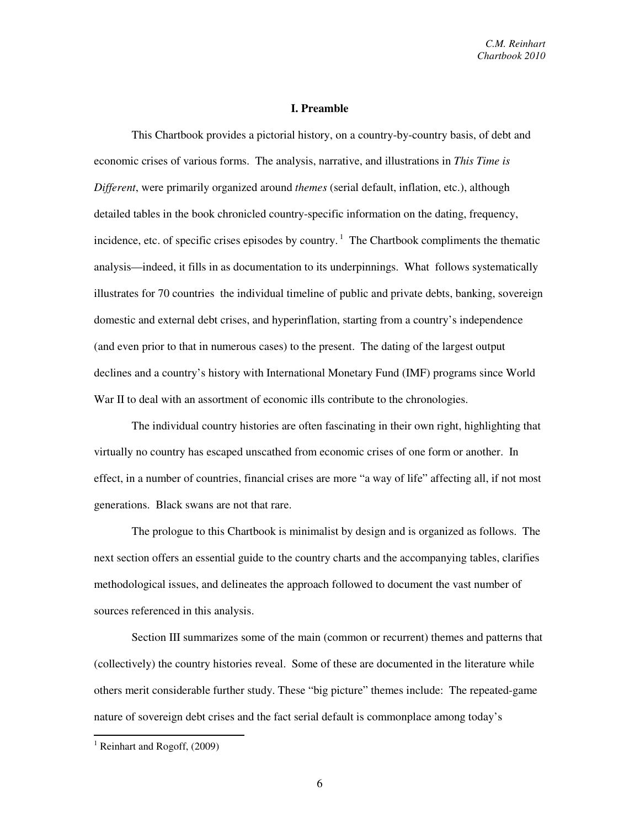#### **I. Preamble**

This Chartbook provides a pictorial history, on a country-by-country basis, of debt and economic crises of various forms. The analysis, narrative, and illustrations in *This Time is Different*, were primarily organized around *themes* (serial default, inflation, etc.), although detailed tables in the book chronicled country-specific information on the dating, frequency, incidence, etc. of specific crises episodes by country.<sup>1</sup> The Chartbook compliments the thematic analysis—indeed, it fills in as documentation to its underpinnings. What follows systematically illustrates for 70 countries the individual timeline of public and private debts, banking, sovereign domestic and external debt crises, and hyperinflation, starting from a country's independence (and even prior to that in numerous cases) to the present. The dating of the largest output declines and a country's history with International Monetary Fund (IMF) programs since World War II to deal with an assortment of economic ills contribute to the chronologies.

The individual country histories are often fascinating in their own right, highlighting that virtually no country has escaped unscathed from economic crises of one form or another. In effect, in a number of countries, financial crises are more "a way of life" affecting all, if not most generations. Black swans are not that rare.

The prologue to this Chartbook is minimalist by design and is organized as follows. The next section offers an essential guide to the country charts and the accompanying tables, clarifies methodological issues, and delineates the approach followed to document the vast number of sources referenced in this analysis.

Section III summarizes some of the main (common or recurrent) themes and patterns that (collectively) the country histories reveal. Some of these are documented in the literature while others merit considerable further study. These "big picture" themes include: The repeated-game nature of sovereign debt crises and the fact serial default is commonplace among today's

<u>.</u>

<sup>&</sup>lt;sup>1</sup> Reinhart and Rogoff, (2009)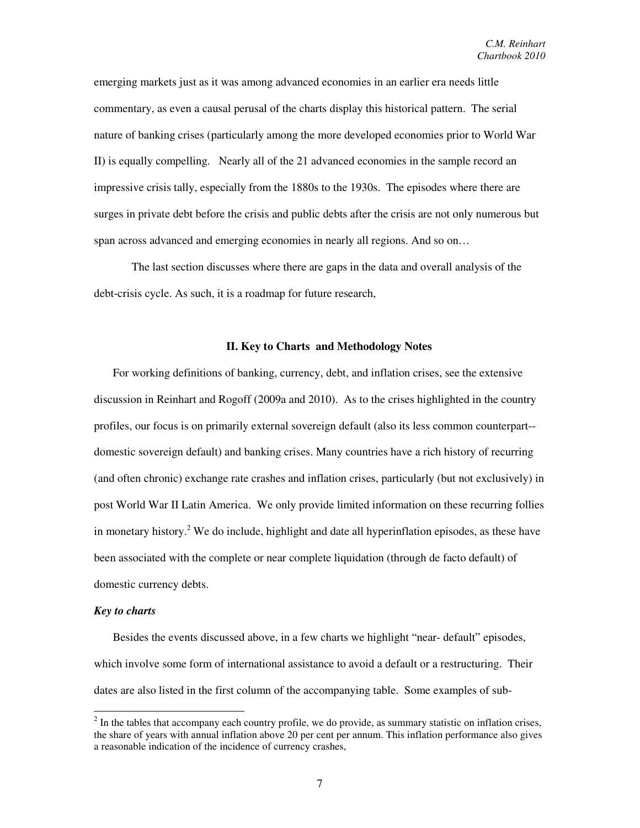emerging markets just as it was among advanced economies in an earlier era needs little commentary, as even a causal perusal of the charts display this historical pattern. The serial nature of banking crises (particularly among the more developed economies prior to World War II) is equally compelling. Nearly all of the 21 advanced economies in the sample record an impressive crisis tally, especially from the 1880s to the 1930s. The episodes where there are surges in private debt before the crisis and public debts after the crisis are not only numerous but span across advanced and emerging economies in nearly all regions. And so on...

The last section discusses where there are gaps in the data and overall analysis of the debt-crisis cycle. As such, it is a roadmap for future research,

#### **II. Key to Charts and Methodology Notes**

For working definitions of banking, currency, debt, and inflation crises, see the extensive discussion in Reinhart and Rogoff (2009a and 2010). As to the crises highlighted in the country profiles, our focus is on primarily external sovereign default (also its less common counterpart- domestic sovereign default) and banking crises. Many countries have a rich history of recurring (and often chronic) exchange rate crashes and inflation crises, particularly (but not exclusively) in post World War II Latin America. We only provide limited information on these recurring follies in monetary history.<sup>2</sup> We do include, highlight and date all hyperinflation episodes, as these have been associated with the complete or near complete liquidation (through de facto default) of domestic currency debts.

#### *Key to charts*

<u>.</u>

Besides the events discussed above, in a few charts we highlight "near- default" episodes, which involve some form of international assistance to avoid a default or a restructuring. Their dates are also listed in the first column of the accompanying table. Some examples of sub-

 $2$  In the tables that accompany each country profile, we do provide, as summary statistic on inflation crises, the share of years with annual inflation above 20 per cent per annum. This inflation performance also gives a reasonable indication of the incidence of currency crashes,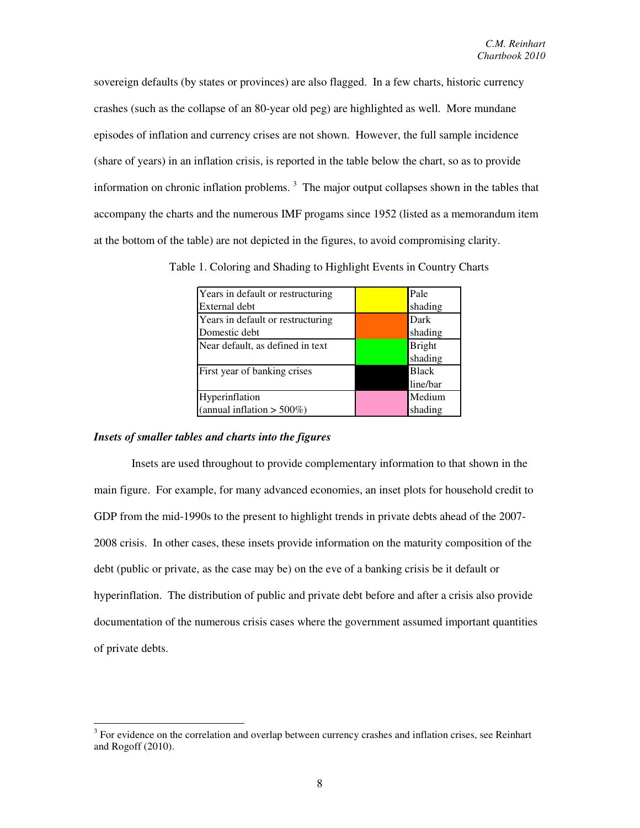sovereign defaults (by states or provinces) are also flagged. In a few charts, historic currency crashes (such as the collapse of an 80-year old peg) are highlighted as well. More mundane episodes of inflation and currency crises are not shown. However, the full sample incidence (share of years) in an inflation crisis, is reported in the table below the chart, so as to provide information on chronic inflation problems.<sup>3</sup> The major output collapses shown in the tables that accompany the charts and the numerous IMF progams since 1952 (listed as a memorandum item at the bottom of the table) are not depicted in the figures, to avoid compromising clarity.

| Years in default or restructuring | Pale          |
|-----------------------------------|---------------|
| External debt                     | shading       |
| Years in default or restructuring | Dark          |
| Domestic debt                     | shading       |
| Near default, as defined in text  | <b>Bright</b> |
|                                   | shading       |
| First year of banking crises      | <b>Black</b>  |
|                                   | line/bar      |
| Hyperinflation                    | Medium        |
| (annual inflation $> 500\%)$      | shading       |

Table 1. Coloring and Shading to Highlight Events in Country Charts

### *Insets of smaller tables and charts into the figures*

 Insets are used throughout to provide complementary information to that shown in the main figure. For example, for many advanced economies, an inset plots for household credit to GDP from the mid-1990s to the present to highlight trends in private debts ahead of the 2007- 2008 crisis. In other cases, these insets provide information on the maturity composition of the debt (public or private, as the case may be) on the eve of a banking crisis be it default or hyperinflation. The distribution of public and private debt before and after a crisis also provide documentation of the numerous crisis cases where the government assumed important quantities of private debts.

<sup>&</sup>lt;sup>3</sup> For evidence on the correlation and overlap between currency crashes and inflation crises, see Reinhart and Rogoff (2010).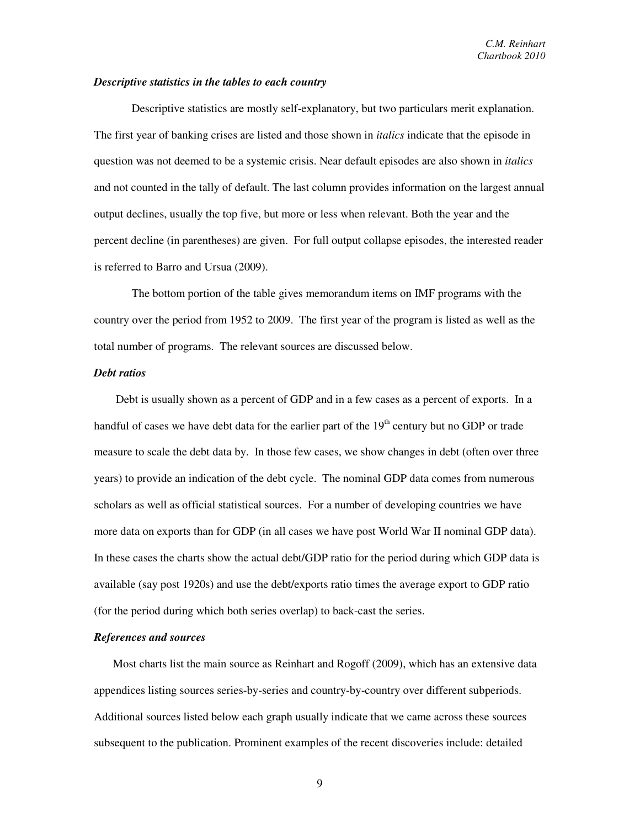#### *Descriptive statistics in the tables to each country*

Descriptive statistics are mostly self-explanatory, but two particulars merit explanation. The first year of banking crises are listed and those shown in *italics* indicate that the episode in question was not deemed to be a systemic crisis. Near default episodes are also shown in *italics*  and not counted in the tally of default. The last column provides information on the largest annual output declines, usually the top five, but more or less when relevant. Both the year and the percent decline (in parentheses) are given. For full output collapse episodes, the interested reader is referred to Barro and Ursua (2009).

The bottom portion of the table gives memorandum items on IMF programs with the country over the period from 1952 to 2009. The first year of the program is listed as well as the total number of programs. The relevant sources are discussed below.

### *Debt ratios*

 Debt is usually shown as a percent of GDP and in a few cases as a percent of exports. In a handful of cases we have debt data for the earlier part of the  $19<sup>th</sup>$  century but no GDP or trade measure to scale the debt data by. In those few cases, we show changes in debt (often over three years) to provide an indication of the debt cycle. The nominal GDP data comes from numerous scholars as well as official statistical sources. For a number of developing countries we have more data on exports than for GDP (in all cases we have post World War II nominal GDP data). In these cases the charts show the actual debt/GDP ratio for the period during which GDP data is available (say post 1920s) and use the debt/exports ratio times the average export to GDP ratio (for the period during which both series overlap) to back-cast the series.

#### *References and sources*

Most charts list the main source as Reinhart and Rogoff (2009), which has an extensive data appendices listing sources series-by-series and country-by-country over different subperiods. Additional sources listed below each graph usually indicate that we came across these sources subsequent to the publication. Prominent examples of the recent discoveries include: detailed

9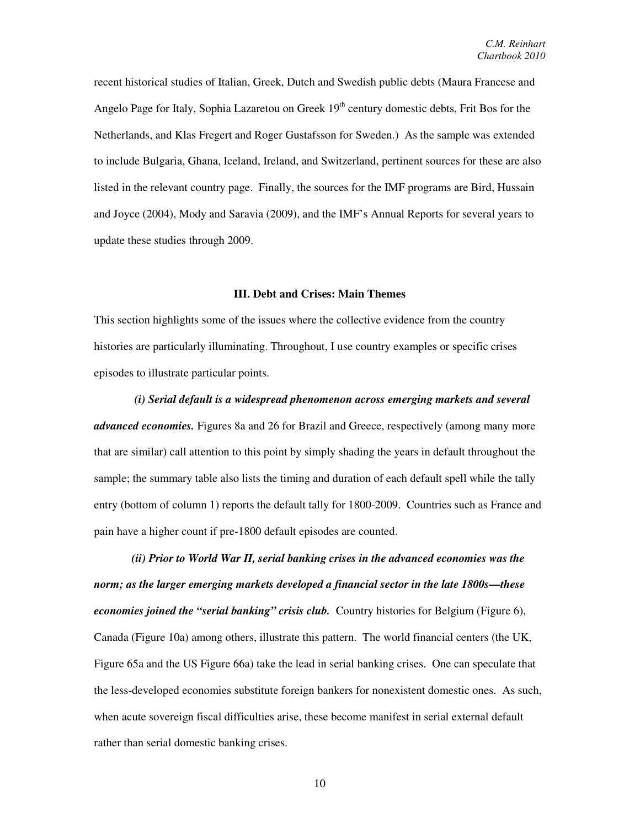recent historical studies of Italian, Greek, Dutch and Swedish public debts (Maura Francese and Angelo Page for Italy, Sophia Lazaretou on Greek 19<sup>th</sup> century domestic debts, Frit Bos for the Netherlands, and Klas Fregert and Roger Gustafsson for Sweden.) As the sample was extended to include Bulgaria, Ghana, Iceland, Ireland, and Switzerland, pertinent sources for these are also listed in the relevant country page. Finally, the sources for the IMF programs are Bird, Hussain and Joyce (2004), Mody and Saravia (2009), and the IMF's Annual Reports for several years to update these studies through 2009.

### **III. Debt and Crises: Main Themes**

This section highlights some of the issues where the collective evidence from the country histories are particularly illuminating. Throughout, I use country examples or specific crises episodes to illustrate particular points.

*(i) Serial default is a widespread phenomenon across emerging markets and several advanced economies.* Figures 8a and 26 for Brazil and Greece, respectively (among many more that are similar) call attention to this point by simply shading the years in default throughout the sample; the summary table also lists the timing and duration of each default spell while the tally entry (bottom of column 1) reports the default tally for 1800-2009. Countries such as France and pain have a higher count if pre-1800 default episodes are counted.

*(ii) Prior to World War II, serial banking crises in the advanced economies was the norm; as the larger emerging markets developed a financial sector in the late 1800s—these economies joined the "serial banking" crisis club.* Country histories for Belgium (Figure 6), Canada (Figure 10a) among others, illustrate this pattern. The world financial centers (the UK, Figure 65a and the US Figure 66a) take the lead in serial banking crises. One can speculate that the less-developed economies substitute foreign bankers for nonexistent domestic ones. As such, when acute sovereign fiscal difficulties arise, these become manifest in serial external default rather than serial domestic banking crises.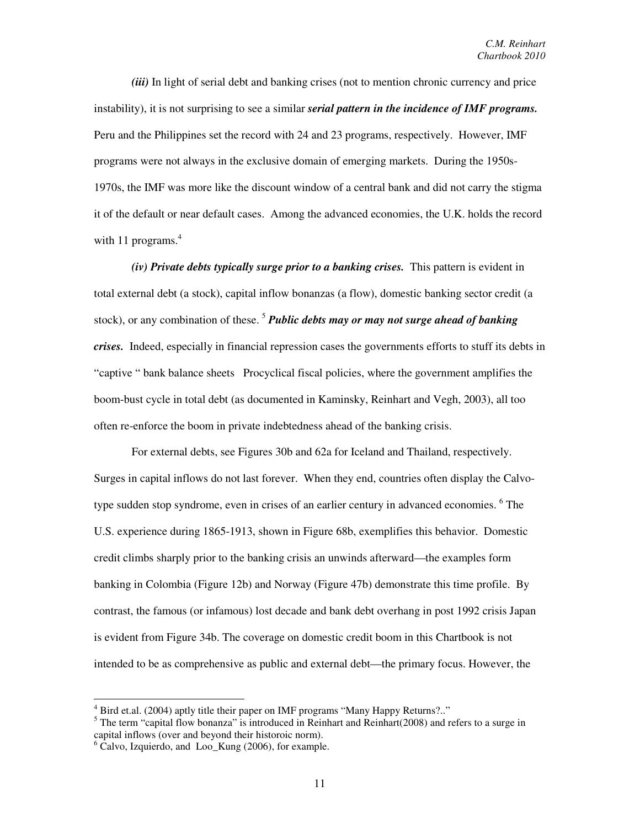*(iii)* In light of serial debt and banking crises (not to mention chronic currency and price instability), it is not surprising to see a similar *serial pattern in the incidence of IMF programs.* Peru and the Philippines set the record with 24 and 23 programs, respectively. However, IMF programs were not always in the exclusive domain of emerging markets. During the 1950s-1970s, the IMF was more like the discount window of a central bank and did not carry the stigma it of the default or near default cases. Among the advanced economies, the U.K. holds the record with 11 programs. $4$ 

*(iv) Private debts typically surge prior to a banking crises.* This pattern is evident in total external debt (a stock), capital inflow bonanzas (a flow), domestic banking sector credit (a stock), or any combination of these.<sup>5</sup> *Public debts may or may not surge ahead of banking crises.* Indeed, especially in financial repression cases the governments efforts to stuff its debts in "captive " bank balance sheets Procyclical fiscal policies, where the government amplifies the boom-bust cycle in total debt (as documented in Kaminsky, Reinhart and Vegh, 2003), all too often re-enforce the boom in private indebtedness ahead of the banking crisis.

For external debts, see Figures 30b and 62a for Iceland and Thailand, respectively. Surges in capital inflows do not last forever. When they end, countries often display the Calvotype sudden stop syndrome, even in crises of an earlier century in advanced economies. <sup>6</sup> The U.S. experience during 1865-1913, shown in Figure 68b, exemplifies this behavior. Domestic credit climbs sharply prior to the banking crisis an unwinds afterward—the examples form banking in Colombia (Figure 12b) and Norway (Figure 47b) demonstrate this time profile. By contrast, the famous (or infamous) lost decade and bank debt overhang in post 1992 crisis Japan is evident from Figure 34b. The coverage on domestic credit boom in this Chartbook is not intended to be as comprehensive as public and external debt—the primary focus. However, the

<u>.</u>

<sup>&</sup>lt;sup>4</sup> Bird et.al. (2004) aptly title their paper on IMF programs "Many Happy Returns?.."

<sup>&</sup>lt;sup>5</sup> The term "capital flow bonanza" is introduced in Reinhart and Reinhart(2008) and refers to a surge in capital inflows (over and beyond their historoic norm).

<sup>&</sup>lt;sup>6</sup> Calvo, Izquierdo, and Loo\_Kung (2006), for example.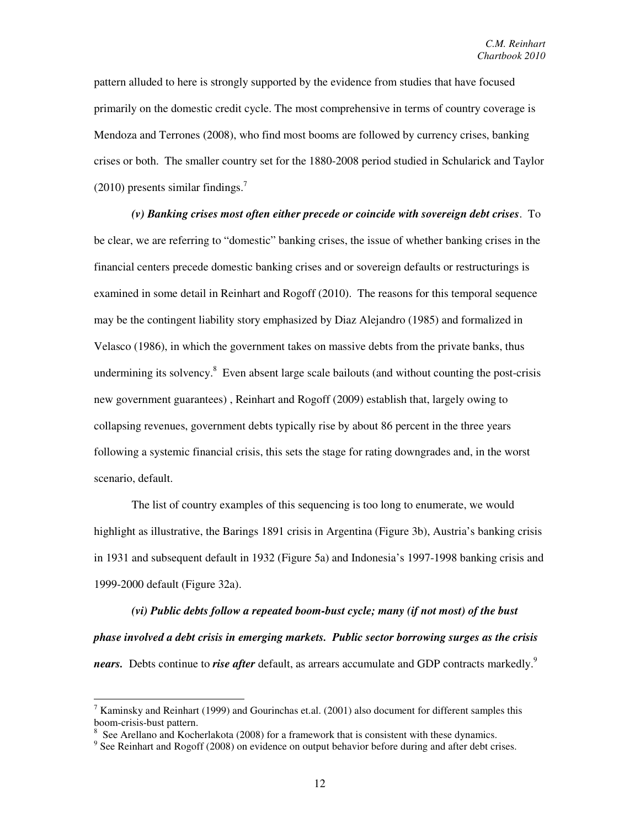pattern alluded to here is strongly supported by the evidence from studies that have focused primarily on the domestic credit cycle. The most comprehensive in terms of country coverage is Mendoza and Terrones (2008), who find most booms are followed by currency crises, banking crises or both. The smaller country set for the 1880-2008 period studied in Schularick and Taylor (2010) presents similar findings. $7$ 

*(v) Banking crises most often either precede or coincide with sovereign debt crises*. To be clear, we are referring to "domestic" banking crises, the issue of whether banking crises in the financial centers precede domestic banking crises and or sovereign defaults or restructurings is examined in some detail in Reinhart and Rogoff (2010). The reasons for this temporal sequence may be the contingent liability story emphasized by Diaz Alejandro (1985) and formalized in Velasco (1986), in which the government takes on massive debts from the private banks, thus undermining its solvency.<sup>8</sup> Even absent large scale bailouts (and without counting the post-crisis new government guarantees) , Reinhart and Rogoff (2009) establish that, largely owing to collapsing revenues, government debts typically rise by about 86 percent in the three years following a systemic financial crisis, this sets the stage for rating downgrades and, in the worst scenario, default.

The list of country examples of this sequencing is too long to enumerate, we would highlight as illustrative, the Barings 1891 crisis in Argentina (Figure 3b), Austria's banking crisis in 1931 and subsequent default in 1932 (Figure 5a) and Indonesia's 1997-1998 banking crisis and 1999-2000 default (Figure 32a).

*(vi) Public debts follow a repeated boom-bust cycle; many (if not most) of the bust phase involved a debt crisis in emerging markets. Public sector borrowing surges as the crisis nears.* Debts continue to *rise after* default, as arrears accumulate and GDP contracts markedly.<sup>9</sup>

<u>.</u>

 $<sup>7</sup>$  Kaminsky and Reinhart (1999) and Gourinchas et.al. (2001) also document for different samples this</sup> boom-crisis-bust pattern.

 $8\,$  See Arellano and Kocherlakota (2008) for a framework that is consistent with these dynamics.

 $9$  See Reinhart and Rogoff (2008) on evidence on output behavior before during and after debt crises.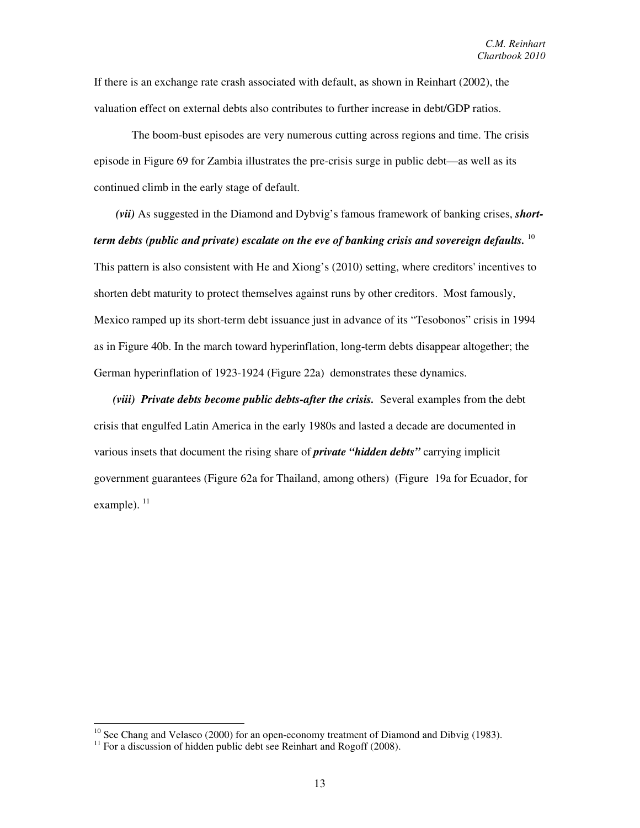If there is an exchange rate crash associated with default, as shown in Reinhart (2002), the valuation effect on external debts also contributes to further increase in debt/GDP ratios.

The boom-bust episodes are very numerous cutting across regions and time. The crisis episode in Figure 69 for Zambia illustrates the pre-crisis surge in public debt—as well as its continued climb in the early stage of default.

 *(vii)* As suggested in the Diamond and Dybvig's famous framework of banking crises, *shortterm debts (public and private) escalate on the eve of banking crisis and sovereign defaults.* <sup>10</sup> This pattern is also consistent with He and Xiong's (2010) setting, where creditors' incentives to shorten debt maturity to protect themselves against runs by other creditors. Most famously, Mexico ramped up its short-term debt issuance just in advance of its "Tesobonos" crisis in 1994 as in Figure 40b. In the march toward hyperinflation, long-term debts disappear altogether; the German hyperinflation of 1923-1924 (Figure 22a) demonstrates these dynamics.

*(viii) Private debts become public debts-after the crisis.* Several examples from the debt crisis that engulfed Latin America in the early 1980s and lasted a decade are documented in various insets that document the rising share of *private "hidden debts"* carrying implicit government guarantees (Figure 62a for Thailand, among others) (Figure 19a for Ecuador, for example).  $^{11}$ 

-

 $10$  See Chang and Velasco (2000) for an open-economy treatment of Diamond and Dibvig (1983).

 $11$  For a discussion of hidden public debt see Reinhart and Rogoff (2008).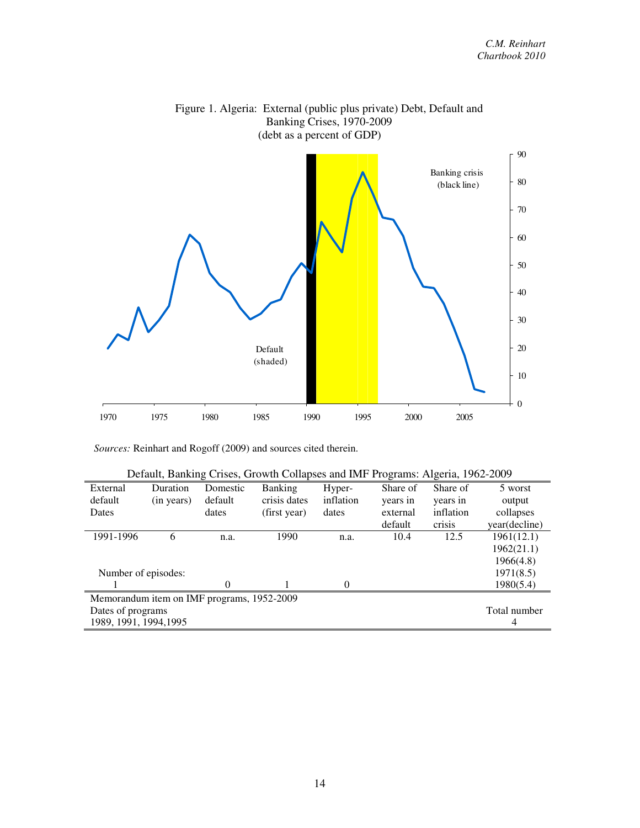

Figure 1. Algeria: External (public plus private) Debt, Default and

*Sources:* Reinhart and Rogoff (2009) and sources cited therein.

| Default, Banking Crises, Growth Collapses and IMF Programs: Algeria, 1962-2009 |              |          |                |           |          |           |               |  |
|--------------------------------------------------------------------------------|--------------|----------|----------------|-----------|----------|-----------|---------------|--|
| External                                                                       | Duration     | Domestic | <b>Banking</b> | Hyper-    | Share of | Share of  | 5 worst       |  |
| default                                                                        | (in years)   | default  | crisis dates   | inflation | years in | years in  | output        |  |
| Dates                                                                          |              | dates    | (first year)   | dates     | external | inflation | collapses     |  |
|                                                                                |              |          |                |           | default  | crisis    | year(decline) |  |
| 1991-1996                                                                      | 6            | n.a.     | 1990           | n.a.      | 10.4     | 12.5      | 1961(12.1)    |  |
|                                                                                |              |          |                |           |          |           | 1962(21.1)    |  |
|                                                                                |              |          |                |           |          |           | 1966(4.8)     |  |
| Number of episodes:                                                            |              |          |                |           |          |           | 1971(8.5)     |  |
|                                                                                |              | 0        |                | $\Omega$  |          |           | 1980(5.4)     |  |
| Memorandum item on IMF programs, 1952-2009                                     |              |          |                |           |          |           |               |  |
| Dates of programs                                                              | Total number |          |                |           |          |           |               |  |
| 1989, 1991, 1994, 1995                                                         |              |          |                |           |          |           | 4             |  |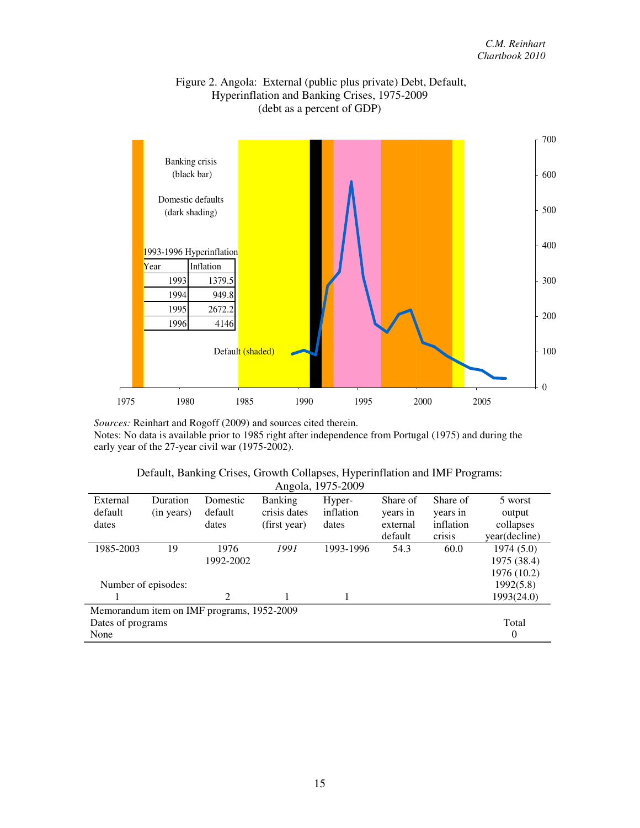

## Figure 2. Angola: External (public plus private) Debt, Default, Hyperinflation and Banking Crises, 1975-2009 (debt as a percent of GDP)

*Sources:* Reinhart and Rogoff (2009) and sources cited therein. Notes: No data is available prior to 1985 right after independence from Portugal (1975) and during the early year of the 27-year civil war (1975-2002).

|  | Default, Banking Crises, Growth Collapses, Hyperinflation and IMF Programs: |  |  |
|--|-----------------------------------------------------------------------------|--|--|
|  | Angola, 1975-2009                                                           |  |  |

|                                            |            |           |                | $1 \text{ m} \text{m}$ , $1 \text{ m} \text{m}$ |          |           |               |  |
|--------------------------------------------|------------|-----------|----------------|-------------------------------------------------|----------|-----------|---------------|--|
| External                                   | Duration   | Domestic  | <b>Banking</b> | Hyper-                                          | Share of | Share of  | 5 worst       |  |
| default                                    | (in years) | default   | crisis dates   | inflation                                       | years in | years in  | output        |  |
| dates                                      |            | dates     | (first year)   | dates                                           | external | inflation | collapses     |  |
|                                            |            |           |                |                                                 | default  | crisis    | year(decline) |  |
| 1985-2003                                  | 19         | 1976      | 1991           | 1993-1996                                       | 54.3     | 60.0      | 1974(5.0)     |  |
|                                            |            | 1992-2002 |                |                                                 |          |           | 1975 (38.4)   |  |
|                                            |            |           |                |                                                 |          |           | 1976 (10.2)   |  |
| Number of episodes:                        |            |           |                |                                                 |          |           | 1992(5.8)     |  |
|                                            |            | 2         |                |                                                 |          |           | 1993(24.0)    |  |
| Memorandum item on IMF programs, 1952-2009 |            |           |                |                                                 |          |           |               |  |
| Dates of programs                          |            |           |                |                                                 |          | Total     |               |  |
| None                                       |            |           |                |                                                 |          | 0         |               |  |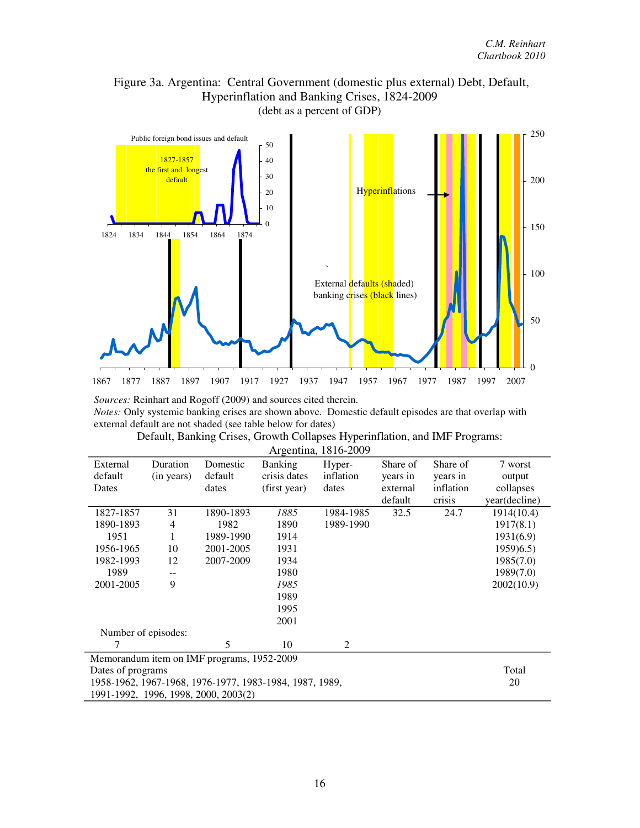# Figure 3a. Argentina: Central Government (domestic plus external) Debt, Default, Hyperinflation and Banking Crises, 1824-2009 (debt as a percent of GDP)



*Sources:* Reinhart and Rogoff (2009) and sources cited therein.

*Notes:* Only systemic banking crises are shown above. Domestic default episodes are that overlap with external default are not shaded (see table below for dates)

| External                                                | Duration   | Domestic  | <b>Banking</b> | Hyper-    | Share of | Share of  | 7 worst       |  |
|---------------------------------------------------------|------------|-----------|----------------|-----------|----------|-----------|---------------|--|
| default                                                 | (in years) | default   | crisis dates   | inflation | years in | years in  | output        |  |
| Dates                                                   |            | dates     | (first year)   | dates     | external | inflation | collapses     |  |
|                                                         |            |           |                |           | default  | crisis    | year(decline) |  |
| 1827-1857                                               | 31         | 1890-1893 | 1885           | 1984-1985 | 32.5     | 24.7      | 1914(10.4)    |  |
| 1890-1893                                               | 4          | 1982      | 1890           | 1989-1990 |          |           | 1917(8.1)     |  |
| 1951                                                    |            | 1989-1990 | 1914           |           |          |           | 1931(6.9)     |  |
| 1956-1965                                               | 10         | 2001-2005 | 1931           |           |          |           | 1959(6.5)     |  |
| 1982-1993                                               | 12         | 2007-2009 | 1934           |           |          |           | 1985(7.0)     |  |
| 1989                                                    |            |           | 1980           |           |          |           | 1989(7.0)     |  |
| 2001-2005                                               | 9          |           | 1985           |           |          |           | 2002(10.9)    |  |
|                                                         |            |           | 1989           |           |          |           |               |  |
|                                                         |            |           |                |           |          |           |               |  |
|                                                         |            |           | 2001           |           |          |           |               |  |
| Number of episodes:                                     |            |           |                |           |          |           |               |  |
| 7                                                       |            | 5         | 10             | 2         |          |           |               |  |
| Memorandum item on IMF programs, 1952-2009              |            |           |                |           |          |           |               |  |
| Dates of programs                                       | Total      |           |                |           |          |           |               |  |
| 1958-1962, 1967-1968, 1976-1977, 1983-1984, 1987, 1989, | 20         |           |                |           |          |           |               |  |
| 1991-1992, 1996, 1998, 2000, 2003(2)                    |            |           |                |           |          |           |               |  |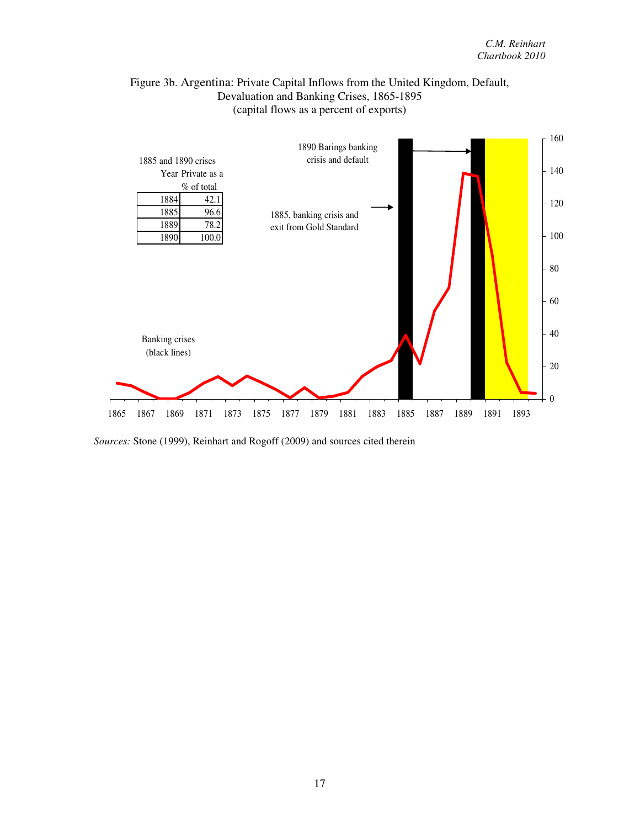## Figure 3b. Argentina: Private Capital Inflows from the United Kingdom, Default, Devaluation and Banking Crises, 1865-1895 (capital flows as a percent of exports)



*Sources:* Stone (1999), Reinhart and Rogoff (2009) and sources cited therein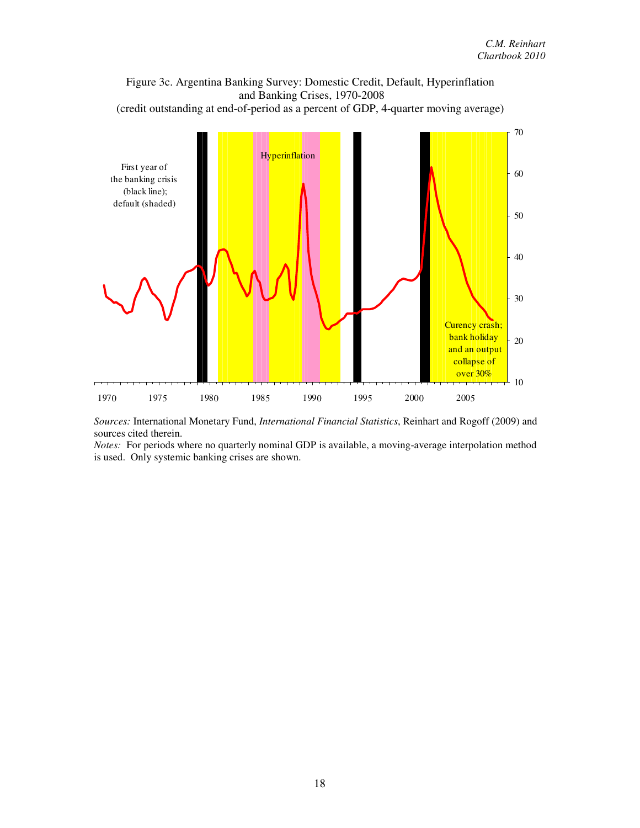

*Sources:* International Monetary Fund, *International Financial Statistics*, Reinhart and Rogoff (2009) and sources cited therein.

*Notes:* For periods where no quarterly nominal GDP is available, a moving-average interpolation method is used. Only systemic banking crises are shown.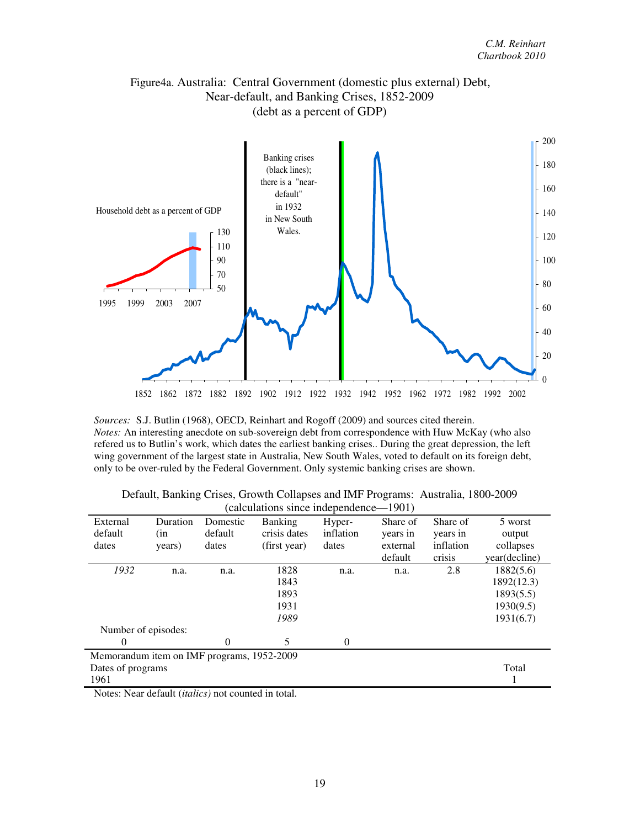# Figure4a. Australia: Central Government (domestic plus external) Debt, Near-default, and Banking Crises, 1852-2009 (debt as a percent of GDP)



*Sources:* S.J. Butlin (1968), OECD, Reinhart and Rogoff (2009) and sources cited therein. *Notes:* An interesting anecdote on sub-sovereign debt from correspondence with Huw McKay (who also refered us to Butlin's work, which dates the earliest banking crises.. During the great depression, the left wing government of the largest state in Australia, New South Wales, voted to default on its foreign debt, only to be over-ruled by the Federal Government. Only systemic banking crises are shown.

|                                            |                     |          | calculations since maependence |           | 1 <i>2</i> 0 1 7 |           |               |  |
|--------------------------------------------|---------------------|----------|--------------------------------|-----------|------------------|-----------|---------------|--|
| External                                   | Duration            | Domestic | <b>Banking</b>                 | Hyper-    | Share of         | Share of  | 5 worst       |  |
| default                                    | (in                 | default  | crisis dates                   | inflation | years in         | years in  | output        |  |
| dates                                      | years)              | dates    | (first year)                   | dates     | external         | inflation | collapses     |  |
|                                            |                     |          |                                |           | default          | crisis    | year(decline) |  |
| 1932                                       | n.a.                | n.a.     | 1828                           | n.a.      | n.a.             | 2.8       | 1882(5.6)     |  |
|                                            |                     |          | 1843                           |           |                  |           | 1892(12.3)    |  |
|                                            |                     |          | 1893                           |           |                  |           | 1893(5.5)     |  |
|                                            |                     |          | 1931                           |           |                  |           | 1930(9.5)     |  |
|                                            |                     |          | 1989                           |           |                  |           | 1931(6.7)     |  |
|                                            | Number of episodes: |          |                                |           |                  |           |               |  |
| 0                                          |                     | $\Omega$ | 5                              | $\Omega$  |                  |           |               |  |
| Memorandum item on IMF programs, 1952-2009 |                     |          |                                |           |                  |           |               |  |
| Dates of programs                          |                     |          |                                |           |                  |           | Total         |  |
| 1961                                       |                     |          |                                |           |                  |           |               |  |

| Default, Banking Crises, Growth Collapses and IMF Programs: Australia, 1800-2009 |  |
|----------------------------------------------------------------------------------|--|
| (calculations since independence—1901)                                           |  |

Notes: Near default (*italics)* not counted in total.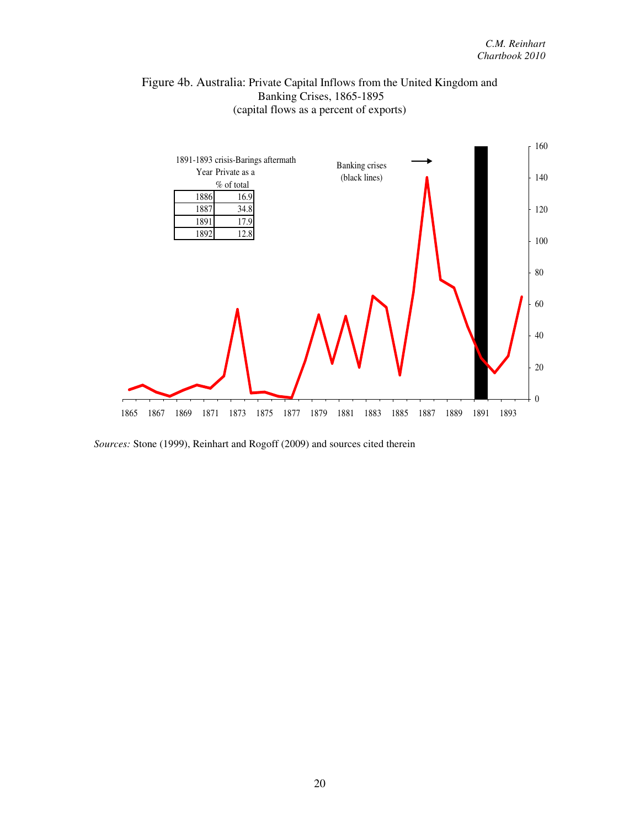



*Sources:* Stone (1999), Reinhart and Rogoff (2009) and sources cited therein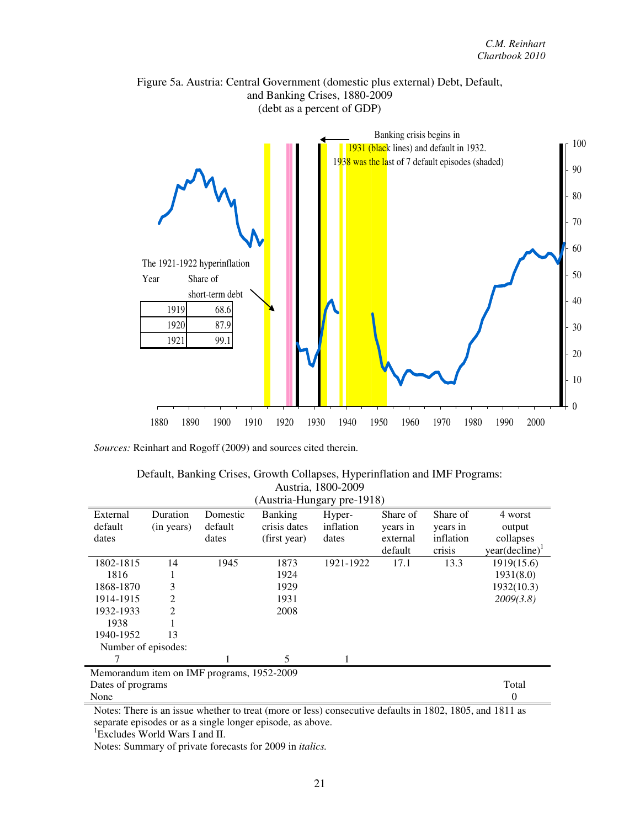

Figure 5a. Austria: Central Government (domestic plus external) Debt, Default, and Banking Crises, 1880-2009

*Sources:* Reinhart and Rogoff (2009) and sources cited therein.

| Default, Banking Crises, Growth Collapses, Hyperinflation and IMF Programs: |
|-----------------------------------------------------------------------------|
| Austria, 1800-2009                                                          |

| (Austria-Hungary pre-1918)                 |            |          |                |           |          |           |                            |
|--------------------------------------------|------------|----------|----------------|-----------|----------|-----------|----------------------------|
| External                                   | Duration   | Domestic | <b>Banking</b> | Hyper-    | Share of | Share of  | 4 worst                    |
| default                                    | (in years) | default  | crisis dates   | inflation | years in | years in  | output                     |
| dates                                      |            | dates    | (first year)   | dates     | external | inflation | collapses                  |
|                                            |            |          |                |           | default  | crisis    | year(decline) <sup>1</sup> |
| 1802-1815                                  | 14         | 1945     | 1873           | 1921-1922 | 17.1     | 13.3      | 1919(15.6)                 |
| 1816                                       |            |          | 1924           |           |          |           | 1931(8.0)                  |
| 1868-1870                                  | 3          |          | 1929           |           |          |           | 1932(10.3)                 |
| 1914-1915                                  | 2          |          | 1931           |           |          |           | 2009(3.8)                  |
| 1932-1933                                  | 2          |          | 2008           |           |          |           |                            |
| 1938                                       |            |          |                |           |          |           |                            |
| 1940-1952                                  | 13         |          |                |           |          |           |                            |
| Number of episodes:                        |            |          |                |           |          |           |                            |
|                                            |            |          | 5              |           |          |           |                            |
| Memorandum item on IMF programs, 1952-2009 |            |          |                |           |          |           |                            |
| Dates of programs                          |            |          |                |           |          |           | Total                      |
| None                                       |            |          |                |           |          |           | $\Omega$                   |

Notes: There is an issue whether to treat (more or less) consecutive defaults in 1802, 1805, and 1811 as separate episodes or as a single longer episode, as above.

<sup>1</sup>Excludes World Wars I and II.

Notes: Summary of private forecasts for 2009 in *italics.*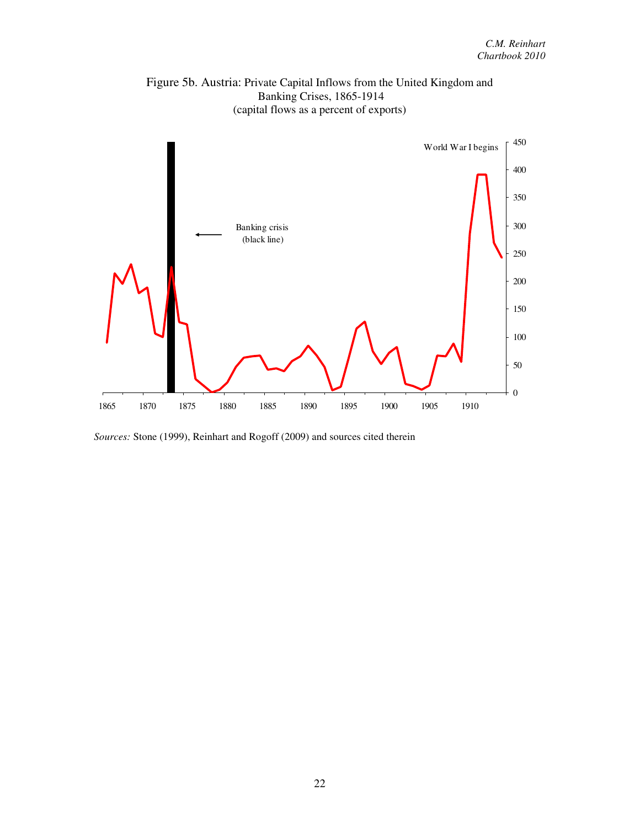

Figure 5b. Austria: Private Capital Inflows from the United Kingdom and Banking Crises, 1865-1914

*Sources:* Stone (1999), Reinhart and Rogoff (2009) and sources cited therein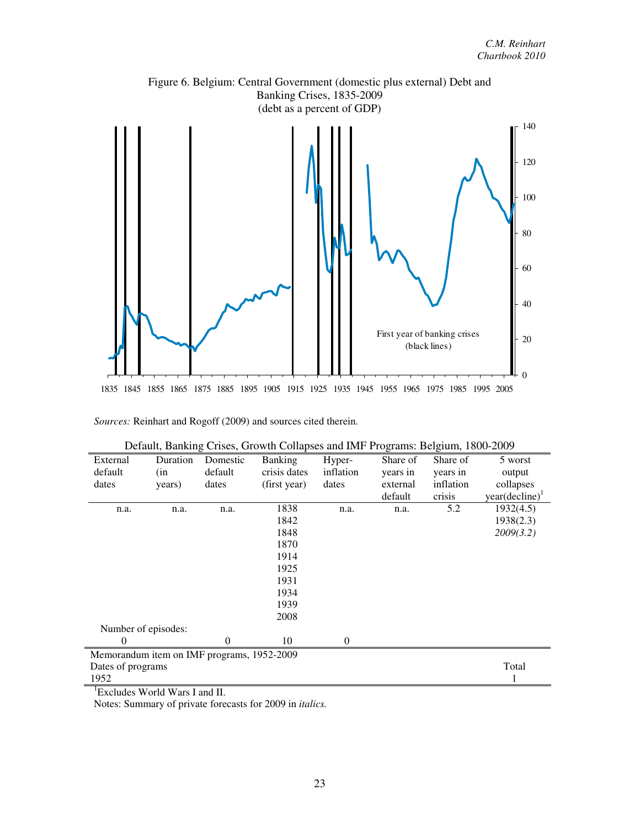

*Sources:* Reinhart and Rogoff (2009) and sources cited therein.

| External          | Duration                                   | Domestic | <b>Banking</b> | Hyper-           | Share of | Share of  | 5 worst                    |
|-------------------|--------------------------------------------|----------|----------------|------------------|----------|-----------|----------------------------|
| default           | (in                                        | default  | crisis dates   | inflation        | years in | years in  | output                     |
| dates             | years)                                     | dates    | (first year)   | dates            | external | inflation | collapses                  |
|                   |                                            |          |                |                  | default  | crisis    | year(decline) <sup>1</sup> |
| n.a.              | n.a.                                       | n.a.     | 1838           | n.a.             | n.a.     | 5.2       | 1932(4.5)                  |
|                   |                                            |          | 1842           |                  |          |           | 1938(2.3)                  |
|                   |                                            |          | 1848           |                  |          |           | 2009(3.2)                  |
|                   |                                            |          | 1870           |                  |          |           |                            |
|                   |                                            |          | 1914           |                  |          |           |                            |
|                   |                                            |          | 1925           |                  |          |           |                            |
|                   |                                            |          | 1931           |                  |          |           |                            |
|                   |                                            |          | 1934           |                  |          |           |                            |
|                   |                                            |          | 1939           |                  |          |           |                            |
|                   |                                            |          | 2008           |                  |          |           |                            |
|                   | Number of episodes:                        |          |                |                  |          |           |                            |
| 0                 |                                            | $\Omega$ | 10             | $\boldsymbol{0}$ |          |           |                            |
|                   | Memorandum item on IMF programs, 1952-2009 |          |                |                  |          |           |                            |
| Dates of programs |                                            |          |                |                  |          |           | Total                      |
| 1952              |                                            |          |                |                  |          |           |                            |

| Default, Banking Crises, Growth Collapses and IMF Programs: Belgium, 1800-2009 |  |  |
|--------------------------------------------------------------------------------|--|--|
|                                                                                |  |  |

<sup>1</sup>Excludes World Wars I and II.

Notes: Summary of private forecasts for 2009 in *italics.*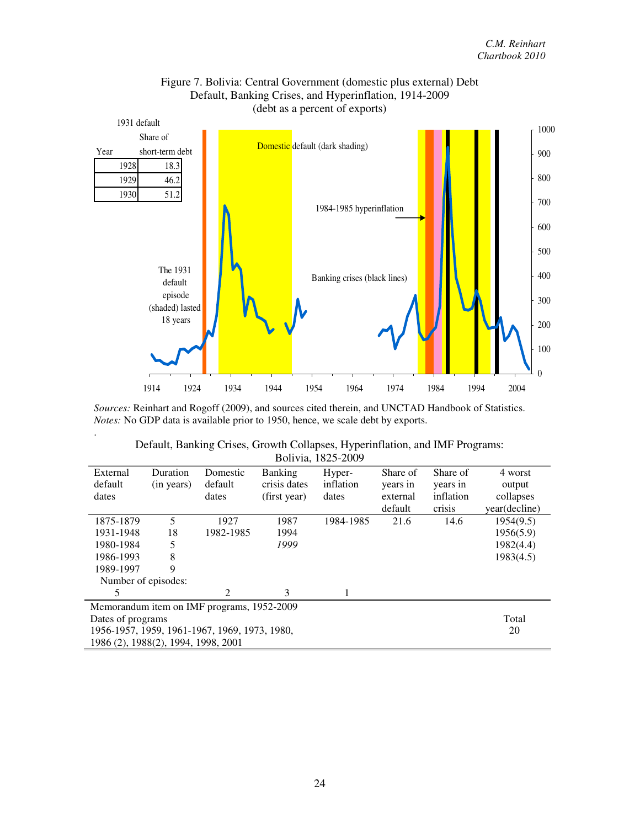

## Figure 7. Bolivia: Central Government (domestic plus external) Debt Default, Banking Crises, and Hyperinflation, 1914-2009 (debt as a percent of exports)

*Sources:* Reinhart and Rogoff (2009), and sources cited therein, and UNCTAD Handbook of Statistics. *Notes:* No GDP data is available prior to 1950, hence, we scale debt by exports.

.

| Bolivia, 1825-2009                            |                                     |                                            |              |           |          |           |               |  |  |
|-----------------------------------------------|-------------------------------------|--------------------------------------------|--------------|-----------|----------|-----------|---------------|--|--|
| External                                      | Duration                            | Domestic                                   | Banking      | Hyper-    | Share of | Share of  | 4 worst       |  |  |
| default                                       | (in years)                          | default                                    | crisis dates | inflation | years in | years in  | output        |  |  |
| dates                                         |                                     | dates                                      | (first year) | dates     | external | inflation | collapses     |  |  |
|                                               |                                     |                                            |              |           | default  | crisis    | year(decline) |  |  |
| 1875-1879                                     | 5                                   | 1927                                       | 1987         | 1984-1985 | 21.6     | 14.6      | 1954(9.5)     |  |  |
| 1931-1948                                     | 18                                  | 1982-1985                                  | 1994         |           |          |           | 1956(5.9)     |  |  |
| 1980-1984                                     |                                     |                                            | 1999         |           |          |           | 1982(4.4)     |  |  |
| 1986-1993                                     | 8                                   |                                            |              |           |          |           | 1983(4.5)     |  |  |
| 1989-1997                                     | 9                                   |                                            |              |           |          |           |               |  |  |
| Number of episodes:                           |                                     |                                            |              |           |          |           |               |  |  |
|                                               |                                     | 2                                          | 3            |           |          |           |               |  |  |
|                                               |                                     | Memorandum item on IMF programs, 1952-2009 |              |           |          |           |               |  |  |
| Dates of programs                             |                                     |                                            |              |           |          |           | Total         |  |  |
| 1956-1957, 1959, 1961-1967, 1969, 1973, 1980, | 20                                  |                                            |              |           |          |           |               |  |  |
|                                               | 1986 (2), 1988(2), 1994, 1998, 2001 |                                            |              |           |          |           |               |  |  |

| Default, Banking Crises, Growth Collapses, Hyperinflation, and IMF Programs: |                   |  |
|------------------------------------------------------------------------------|-------------------|--|
|                                                                              | Bolivia 1825-2009 |  |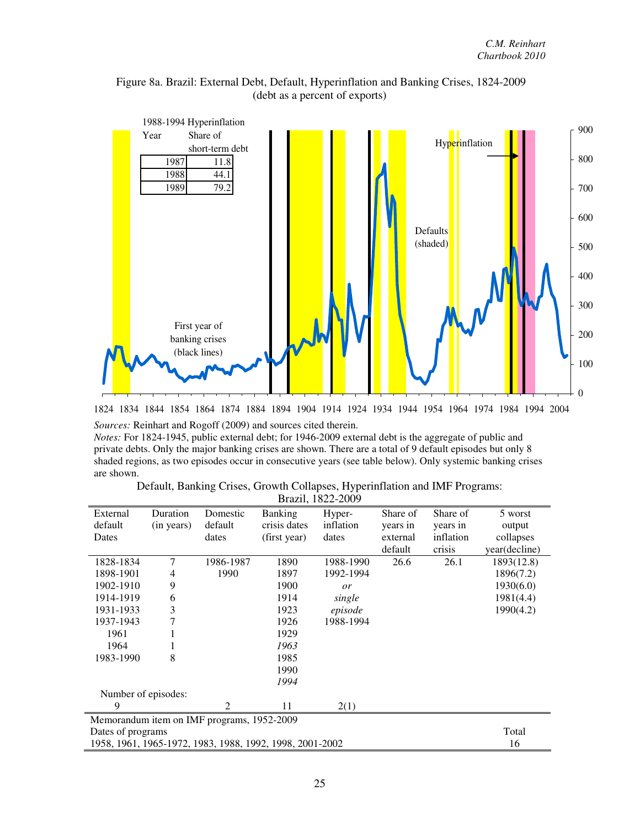



1824 1834 1844 1854 1864 1874 1884 1894 1904 1914 1924 1934 1944 1954 1964 1974 1984 1994 2004

*Sources:* Reinhart and Rogoff (2009) and sources cited therein.

*Notes:* For 1824-1945, public external debt; for 1946-2009 external debt is the aggregate of public and private debts. Only the major banking crises are shown. There are a total of 9 default episodes but only 8 shaded regions, as two episodes occur in consecutive years (see table below). Only systemic banking crises are shown.

| Default, Banking Crises, Growth Collapses, Hyperinflation and IMF Programs: |                                                                                            |  |
|-----------------------------------------------------------------------------|--------------------------------------------------------------------------------------------|--|
|                                                                             | $\mathbf{1}$ $\mathbf{1}$ $\mathbf{0}$ $\mathbf{0}$ $\mathbf{0}$ $\mathbf{0}$ $\mathbf{0}$ |  |

| Brazil, 1822-2009   |            |                                            |                                                          |           |          |           |               |  |
|---------------------|------------|--------------------------------------------|----------------------------------------------------------|-----------|----------|-----------|---------------|--|
| External            | Duration   | Domestic                                   | <b>Banking</b>                                           | Hyper-    | Share of | Share of  | 5 worst       |  |
| default             | (in years) | default                                    | crisis dates                                             | inflation | years in | years in  | output        |  |
| Dates               |            | dates                                      | (first year)                                             | dates     | external | inflation | collapses     |  |
|                     |            |                                            |                                                          |           | default  | crisis    | year(decline) |  |
| 1828-1834           | 7          | 1986-1987                                  | 1890                                                     | 1988-1990 | 26.6     | 26.1      | 1893(12.8)    |  |
| 1898-1901           | 4          | 1990                                       | 1897                                                     | 1992-1994 |          |           | 1896(7.2)     |  |
| 1902-1910           | 9          |                                            | 1900                                                     | or        |          |           | 1930(6.0)     |  |
| 1914-1919           | 6          |                                            | 1914                                                     | single    |          |           | 1981(4.4)     |  |
| 1931-1933           | 3          |                                            | 1923                                                     | episode   |          |           | 1990(4.2)     |  |
| 1937-1943           | 7          |                                            | 1926                                                     | 1988-1994 |          |           |               |  |
| 1961                |            |                                            | 1929                                                     |           |          |           |               |  |
| 1964                |            |                                            | 1963                                                     |           |          |           |               |  |
| 1983-1990           | 8          |                                            | 1985                                                     |           |          |           |               |  |
|                     |            |                                            | 1990                                                     |           |          |           |               |  |
|                     |            |                                            | 1994                                                     |           |          |           |               |  |
| Number of episodes: |            |                                            |                                                          |           |          |           |               |  |
| 9                   |            | $\overline{2}$                             | 11                                                       | 2(1)      |          |           |               |  |
|                     |            | Memorandum item on IMF programs, 1952-2009 |                                                          |           |          |           |               |  |
| Dates of programs   |            |                                            |                                                          |           |          |           | Total         |  |
|                     |            |                                            | 1958, 1961, 1965-1972, 1983, 1988, 1992, 1998, 2001-2002 |           |          |           | 16            |  |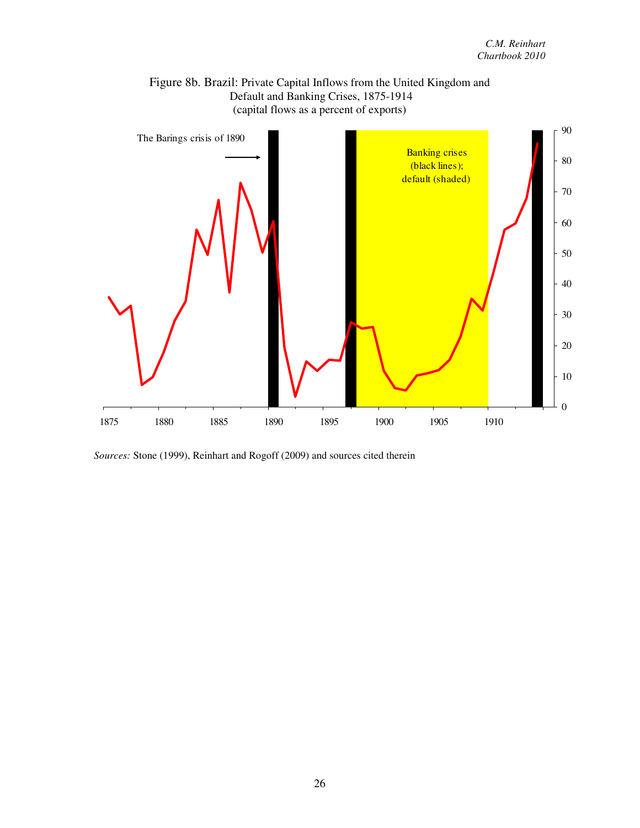

Figure 8b. Brazil: Private Capital Inflows from the United Kingdom and

*Sources:* Stone (1999), Reinhart and Rogoff (2009) and sources cited therein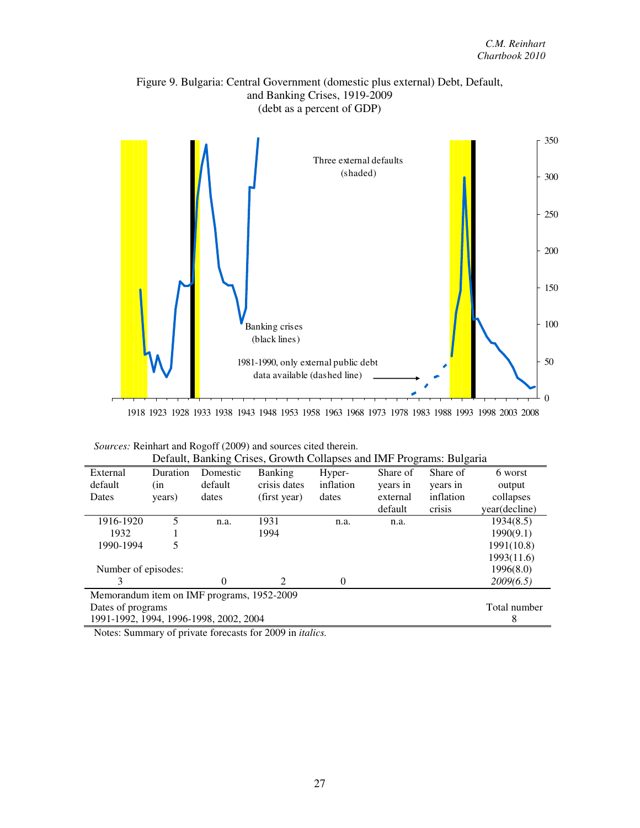



1918 1923 1928 1933 1938 1943 1948 1953 1958 1963 1968 1973 1978 1983 1988 1993 1998 2003 2008

| Default, Banking Crises, Growth Collapses and IMF Programs: Bulgaria |          |          |                             |           |          |           |               |  |
|----------------------------------------------------------------------|----------|----------|-----------------------------|-----------|----------|-----------|---------------|--|
| External                                                             | Duration | Domestic | Banking                     | Hyper-    | Share of | Share of  | 6 worst       |  |
| default                                                              | (in      | default  | crisis dates                | inflation | years in | years in  | output        |  |
| Dates                                                                | years)   | dates    | (first year)                | dates     | external | inflation | collapses     |  |
|                                                                      |          |          |                             |           | default  | crisis    | year(decline) |  |
| 1916-1920                                                            | 5        | n.a.     | 1931                        | n.a.      | n.a.     |           | 1934(8.5)     |  |
| 1932                                                                 |          |          | 1994                        |           |          |           | 1990(9.1)     |  |
| 1990-1994                                                            | 5        |          |                             |           |          |           | 1991(10.8)    |  |
|                                                                      |          |          |                             |           |          |           | 1993(11.6)    |  |
| Number of episodes:                                                  |          |          |                             | 1996(8.0) |          |           |               |  |
| 3                                                                    |          | 0        | $\mathcal{D}_{\mathcal{L}}$ | $\Omega$  |          |           | 2009(6.5)     |  |
| Memorandum item on IMF programs, 1952-2009                           |          |          |                             |           |          |           |               |  |
| Dates of programs                                                    |          |          |                             |           |          |           | Total number  |  |
| 1991-1992, 1994, 1996-1998, 2002, 2004                               | 8        |          |                             |           |          |           |               |  |

| Sources: Reinhart and Rogoff (2009) and sources cited therein. |
|----------------------------------------------------------------|
|----------------------------------------------------------------|

Notes: Summary of private forecasts for 2009 in *italics.*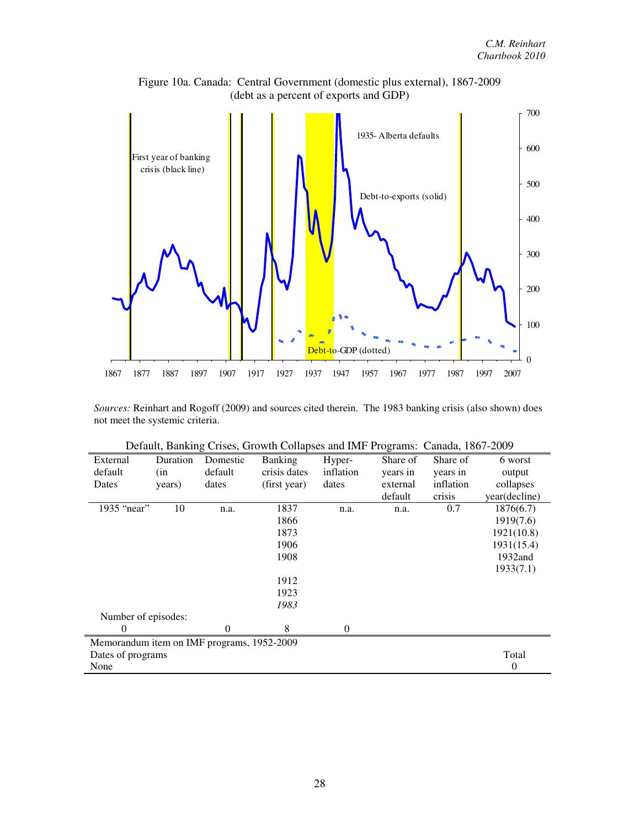

Figure 10a. Canada: Central Government (domestic plus external), 1867-2009 (debt as a percent of exports and GDP)

*Sources:* Reinhart and Rogoff (2009) and sources cited therein. The 1983 banking crisis (also shown) does not meet the systemic criteria.

|                                            |          |          | $\frac{1}{2}$  |           |          |           |               |
|--------------------------------------------|----------|----------|----------------|-----------|----------|-----------|---------------|
| External                                   | Duration | Domestic | <b>Banking</b> | Hyper-    | Share of | Share of  | 6 worst       |
| default                                    | (in      | default  | crisis dates   | inflation | years in | years in  | output        |
| Dates                                      | years)   | dates    | (first year)   | dates     | external | inflation | collapses     |
|                                            |          |          |                |           | default  | crisis    | year(decline) |
| 1935 "near"                                | 10       | n.a.     | 1837           | n.a.      | n.a.     | 0.7       | 1876(6.7)     |
|                                            |          |          | 1866           |           |          |           | 1919(7.6)     |
|                                            |          |          | 1873           |           |          |           | 1921(10.8)    |
|                                            |          |          | 1906           |           |          |           | 1931(15.4)    |
|                                            |          |          | 1908           |           |          |           | 1932and       |
|                                            |          |          |                |           |          |           | 1933(7.1)     |
|                                            |          |          | 1912           |           |          |           |               |
|                                            |          |          | 1923           |           |          |           |               |
|                                            |          |          | 1983           |           |          |           |               |
| Number of episodes:                        |          |          |                |           |          |           |               |
| $\Omega$                                   |          | $\theta$ | 8              | $\Omega$  |          |           |               |
| Memorandum item on IMF programs, 1952-2009 |          |          |                |           |          |           |               |
| Dates of programs                          |          |          |                |           |          |           | Total         |
| None                                       |          |          |                |           |          |           | 0             |

Default, Banking Crises, Growth Collapses and IMF Programs: Canada, 1867-2009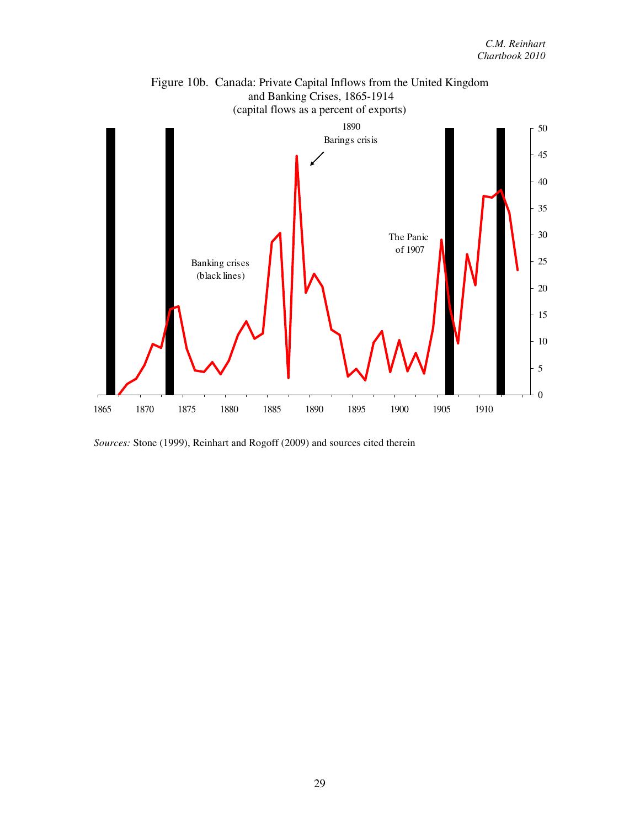

Figure 10b. Canada: Private Capital Inflows from the United Kingdom

*Sources:* Stone (1999), Reinhart and Rogoff (2009) and sources cited therein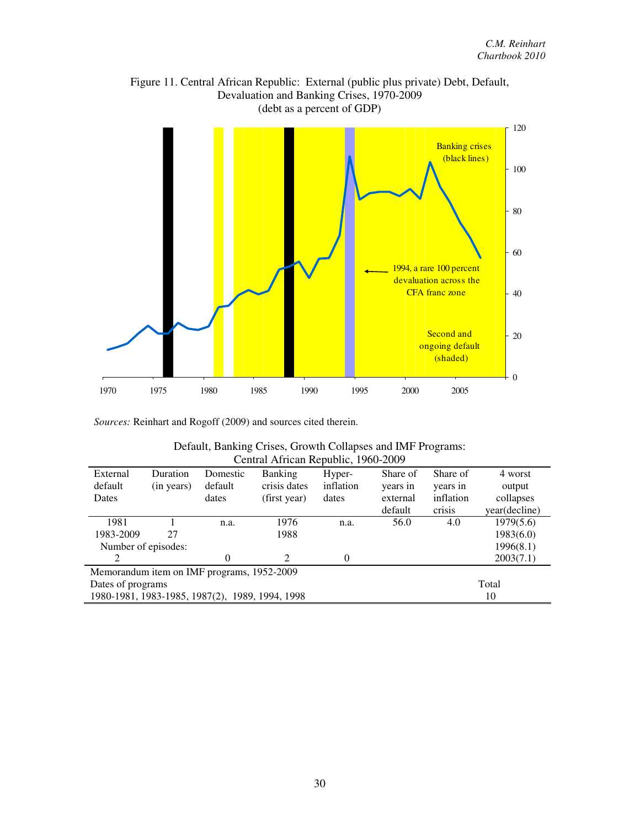

Figure 11. Central African Republic: External (public plus private) Debt, Default, Devaluation and Banking Crises, 1970-2009

*Sources:* Reinhart and Rogoff (2009) and sources cited therein.

| Default, Banking Crises, Growth Collapses and IMF Programs: |
|-------------------------------------------------------------|
| Central African Republic, 1960-2009                         |

| External                                        | Duration   | Domestic | <b>Banking</b>              | Hyper-    | Share of | Share of  | 4 worst       |  |
|-------------------------------------------------|------------|----------|-----------------------------|-----------|----------|-----------|---------------|--|
| default                                         | (in years) | default  | crisis dates                | inflation | years in | years in  | output        |  |
| Dates                                           |            | dates    | (first year)                | dates     | external | inflation | collapses     |  |
|                                                 |            |          |                             |           | default  | crisis    | year(decline) |  |
| 1981                                            |            | n.a.     | 1976                        | n.a.      | 56.0     | 4.0       | 1979(5.6)     |  |
| 1983-2009                                       | 27         |          | 1988                        |           |          |           | 1983(6.0)     |  |
| Number of episodes:                             |            |          |                             |           |          |           | 1996(8.1)     |  |
| 2                                               |            | 0        | $\mathcal{D}_{\mathcal{L}}$ | $\Omega$  |          |           | 2003(7.1)     |  |
| Memorandum item on IMF programs, 1952-2009      |            |          |                             |           |          |           |               |  |
| Dates of programs                               |            |          |                             |           |          |           | Total         |  |
| 1980-1981, 1983-1985, 1987(2), 1989, 1994, 1998 |            |          |                             |           |          | 10        |               |  |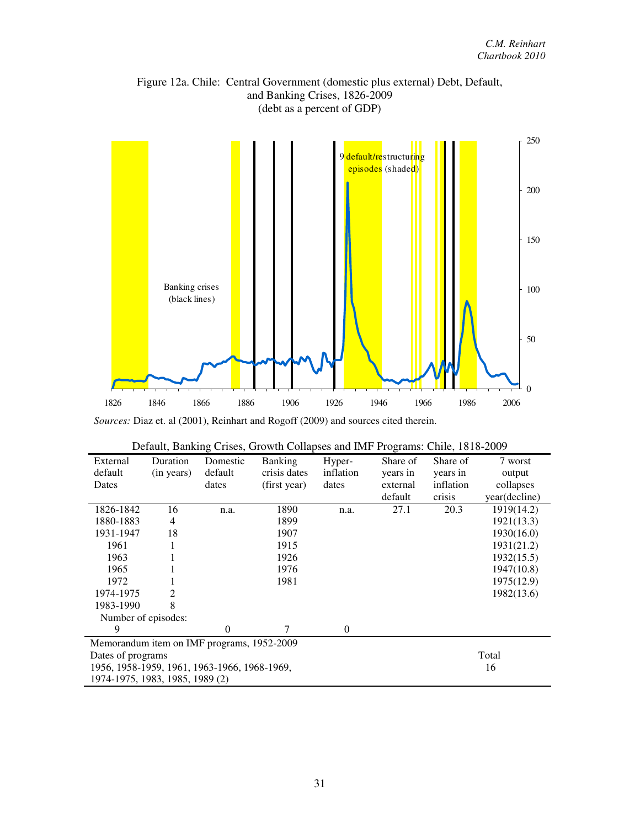Figure 12a. Chile: Central Government (domestic plus external) Debt, Default, and Banking Crises, 1826-2009 (debt as a percent of GDP)



*Sources:* Diaz et. al (2001), Reinhart and Rogoff (2009) and sources cited therein.

| External                                     | Duration                                   | Domestic | <b>Banking</b> | Hyper-           | Share of | Share of  | 7 worst       |  |
|----------------------------------------------|--------------------------------------------|----------|----------------|------------------|----------|-----------|---------------|--|
| default                                      | (in years)                                 | default  | crisis dates   | inflation        | years in | years in  | output        |  |
| Dates                                        |                                            | dates    | (first year)   | dates            | external | inflation | collapses     |  |
|                                              |                                            |          |                |                  | default  | crisis    | year(decline) |  |
| 1826-1842                                    | 16                                         | n.a.     | 1890           | n.a.             | 27.1     | 20.3      | 1919(14.2)    |  |
| 1880-1883                                    | 4                                          |          | 1899           |                  |          |           | 1921(13.3)    |  |
| 1931-1947                                    | 18                                         |          | 1907           |                  |          |           | 1930(16.0)    |  |
| 1961                                         | 1                                          |          | 1915           |                  |          |           | 1931(21.2)    |  |
| 1963                                         |                                            |          | 1926           |                  |          |           | 1932(15.5)    |  |
| 1965                                         |                                            |          | 1976           |                  |          |           | 1947(10.8)    |  |
| 1972                                         |                                            |          | 1981           |                  |          |           | 1975(12.9)    |  |
| 1974-1975                                    | 2                                          |          |                |                  |          |           | 1982(13.6)    |  |
| 1983-1990                                    | 8                                          |          |                |                  |          |           |               |  |
| Number of episodes:                          |                                            |          |                |                  |          |           |               |  |
| 9                                            |                                            | $\Omega$ | 7              | $\boldsymbol{0}$ |          |           |               |  |
|                                              | Memorandum item on IMF programs, 1952-2009 |          |                |                  |          |           |               |  |
| Dates of programs                            |                                            |          |                |                  |          | Total     |               |  |
| 1956, 1958-1959, 1961, 1963-1966, 1968-1969, |                                            |          |                |                  |          | 16        |               |  |
| 1974-1975, 1983, 1985, 1989 (2)              |                                            |          |                |                  |          |           |               |  |

|  | Default, Banking Crises, Growth Collapses and IMF Programs: Chile, 1818-2009 |  |
|--|------------------------------------------------------------------------------|--|
|  |                                                                              |  |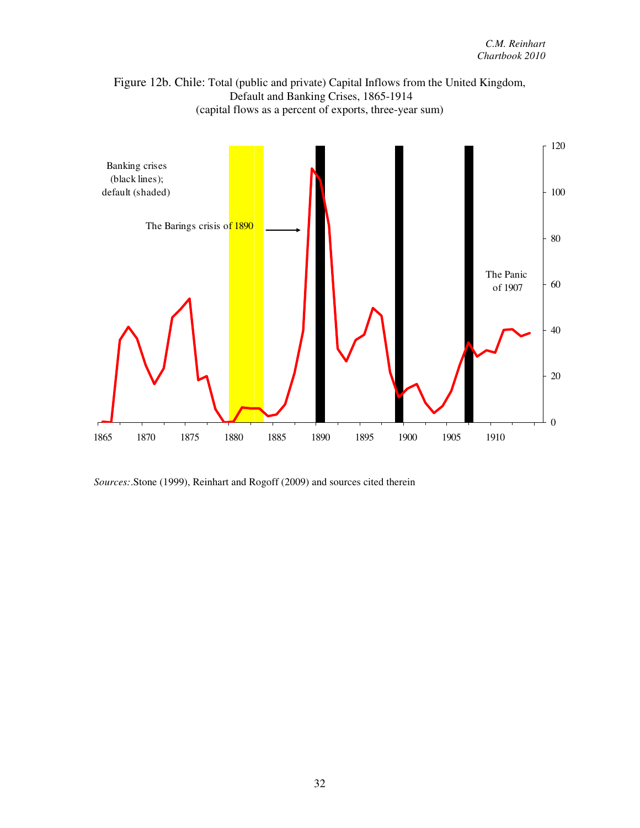



*Sources:*.Stone (1999), Reinhart and Rogoff (2009) and sources cited therein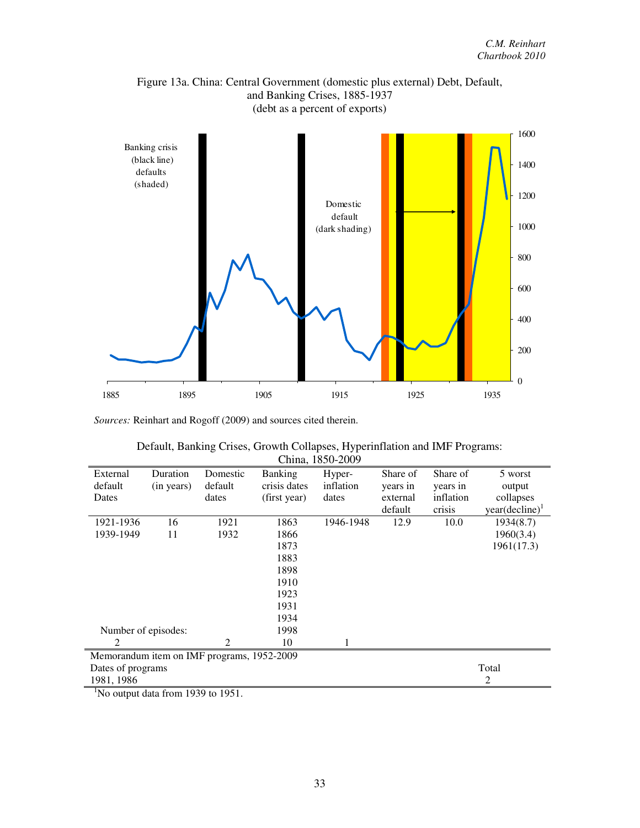

Figure 13a. China: Central Government (domestic plus external) Debt, Default, and Banking Crises, 1885-1937 (debt as a percent of exports)

*Sources:* Reinhart and Rogoff (2009) and sources cited therein.

| Default, Banking Crises, Growth Collapses, Hyperinflation and IMF Programs: |
|-----------------------------------------------------------------------------|
| China, 1850-2009                                                            |

| External            | Duration                                   | Domestic | <b>Banking</b> | Hyper-    | Share of | Share of  | 5 worst                    |
|---------------------|--------------------------------------------|----------|----------------|-----------|----------|-----------|----------------------------|
| default             | (in years)                                 | default  | crisis dates   | inflation | years in | years in  | output                     |
| Dates               |                                            | dates    | (first year)   | dates     | external | inflation | collapses                  |
|                     |                                            |          |                |           | default  | crisis    | year(decline) <sup>1</sup> |
| 1921-1936           | 16                                         | 1921     | 1863           | 1946-1948 | 12.9     | 10.0      | 1934(8.7)                  |
| 1939-1949           | 11                                         | 1932     | 1866           |           |          |           | 1960(3.4)                  |
|                     |                                            |          | 1873           |           |          |           | 1961(17.3)                 |
|                     |                                            |          | 1883           |           |          |           |                            |
|                     |                                            |          | 1898           |           |          |           |                            |
|                     |                                            |          | 1910           |           |          |           |                            |
|                     |                                            |          | 1923           |           |          |           |                            |
|                     |                                            |          | 1931           |           |          |           |                            |
|                     |                                            |          | 1934           |           |          |           |                            |
| Number of episodes: |                                            |          | 1998           |           |          |           |                            |
| 2                   |                                            | 2        | 10             |           |          |           |                            |
|                     | Memorandum item on IMF programs, 1952-2009 |          |                |           |          |           |                            |
| Dates of programs   |                                            |          |                |           |          |           | Total                      |
| 1981, 1986          |                                            |          |                |           |          |           | 2                          |

<sup>1</sup>No output data from 1939 to 1951.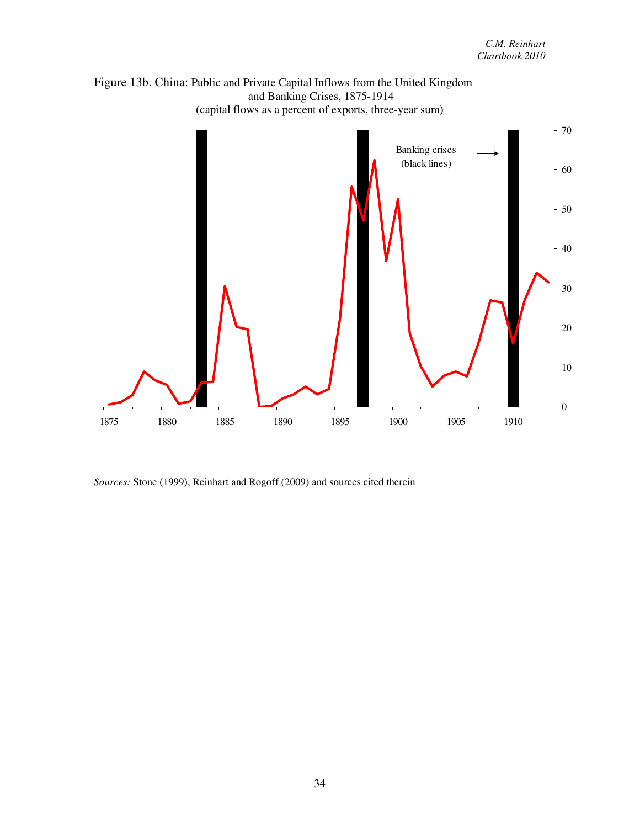

*Sources:* Stone (1999), Reinhart and Rogoff (2009) and sources cited therein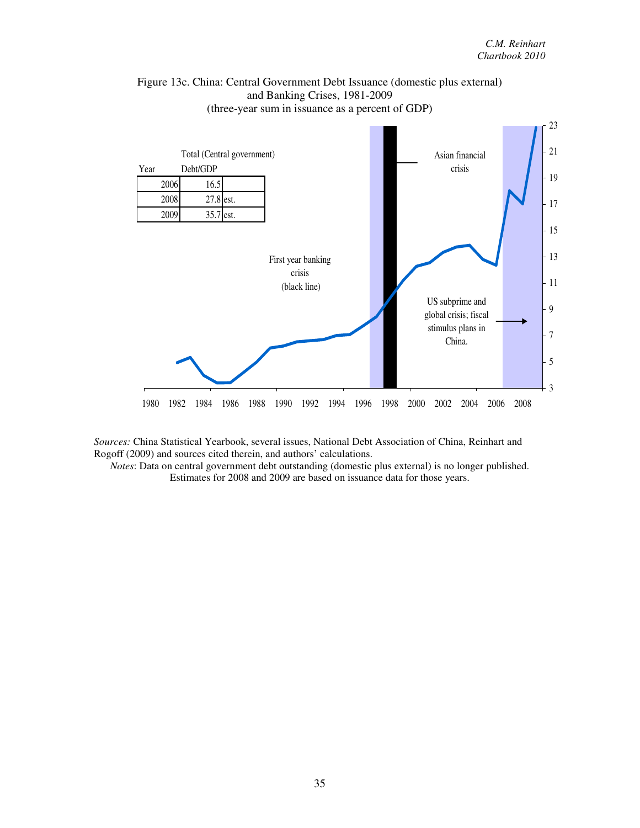

## Figure 13c. China: Central Government Debt Issuance (domestic plus external) and Banking Crises, 1981-2009 (three-year sum in issuance as a percent of GDP)

*Sources:* China Statistical Yearbook, several issues, National Debt Association of China, Reinhart and Rogoff (2009) and sources cited therein, and authors' calculations.

*Notes*: Data on central government debt outstanding (domestic plus external) is no longer published. Estimates for 2008 and 2009 are based on issuance data for those years.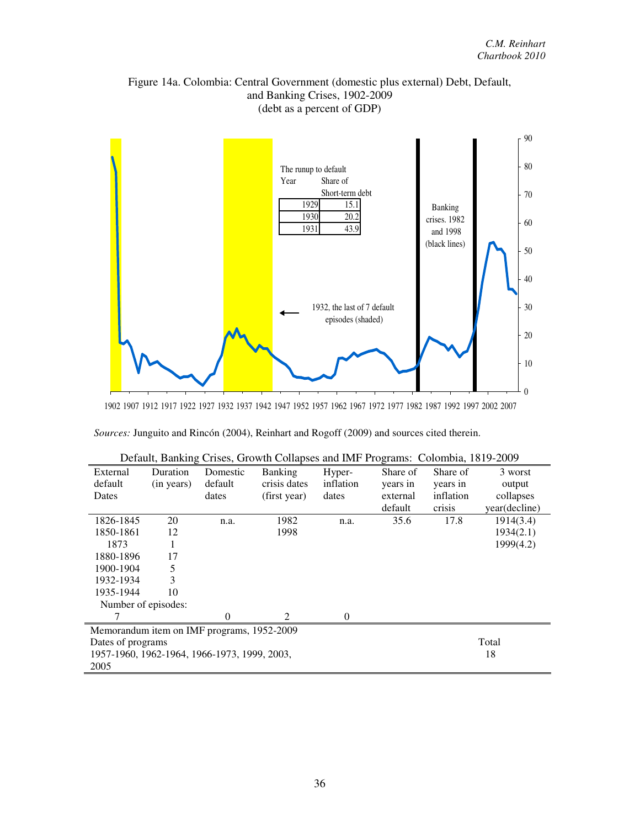### Figure 14a. Colombia: Central Government (domestic plus external) Debt, Default, and Banking Crises, 1902-2009 (debt as a percent of GDP)



1902 1907 1912 1917 1922 1927 1932 1937 1942 1947 1952 1957 1962 1967 1972 1977 1982 1987 1992 1997 2002 2007

| Sources: Junguito and Rincón (2004), Reinhart and Rogoff (2009) and sources cited therein. |  |  |  |  |  |  |
|--------------------------------------------------------------------------------------------|--|--|--|--|--|--|
|--------------------------------------------------------------------------------------------|--|--|--|--|--|--|

|                                              | $D$ via $U$ , $D$ and $U$ |                | $\frac{1}{2}$ chock and complete that $\frac{1}{2}$ regrams. Coromona, 1019 2009 |           |          |           |               |
|----------------------------------------------|---------------------------|----------------|----------------------------------------------------------------------------------|-----------|----------|-----------|---------------|
| External                                     | Duration                  | Domestic       | <b>Banking</b>                                                                   | Hyper-    | Share of | Share of  | 3 worst       |
| default                                      | (in years)                | default        | crisis dates                                                                     | inflation | years in | years in  | output        |
| Dates                                        |                           | dates          | (first year)                                                                     | dates     | external | inflation | collapses     |
|                                              |                           |                |                                                                                  |           | default  | crisis    | year(decline) |
| 1826-1845                                    | 20                        | n.a.           | 1982                                                                             | n.a.      | 35.6     | 17.8      | 1914(3.4)     |
| 1850-1861                                    | 12                        |                | 1998                                                                             |           |          |           | 1934(2.1)     |
| 1873                                         | 1                         |                |                                                                                  |           |          |           | 1999(4.2)     |
| 1880-1896                                    | 17                        |                |                                                                                  |           |          |           |               |
| 1900-1904                                    | 5                         |                |                                                                                  |           |          |           |               |
| 1932-1934                                    | 3                         |                |                                                                                  |           |          |           |               |
| 1935-1944                                    | 10                        |                |                                                                                  |           |          |           |               |
| Number of episodes:                          |                           |                |                                                                                  |           |          |           |               |
|                                              |                           | $\overline{0}$ | 2                                                                                | $\theta$  |          |           |               |
| Memorandum item on IMF programs, 1952-2009   |                           |                |                                                                                  |           |          |           |               |
| Dates of programs                            |                           |                |                                                                                  |           |          |           | Total         |
| 1957-1960, 1962-1964, 1966-1973, 1999, 2003, |                           |                |                                                                                  |           |          |           | 18            |
| 2005                                         |                           |                |                                                                                  |           |          |           |               |

| Default, Banking Crises, Growth Collapses and IMF Programs: Colombia, 1819-2009 |  |  |
|---------------------------------------------------------------------------------|--|--|
|                                                                                 |  |  |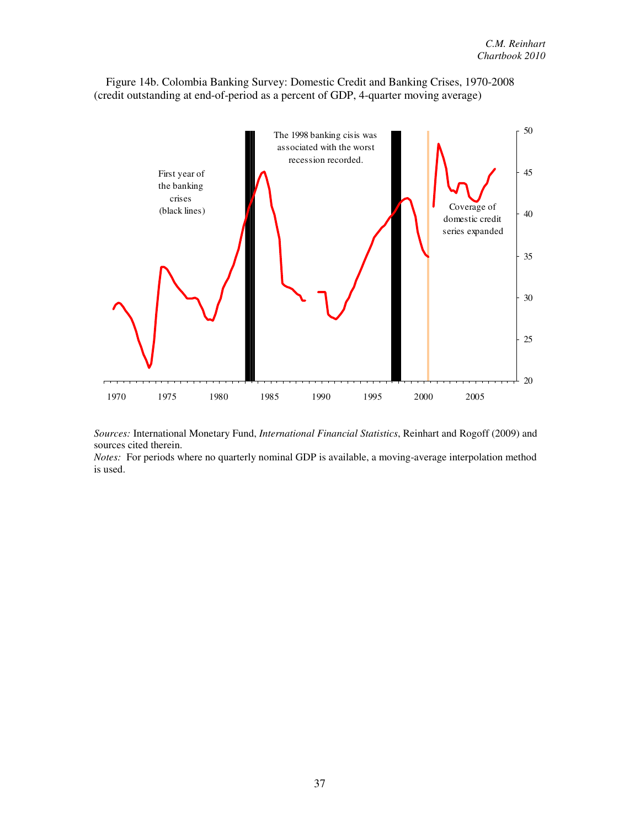Figure 14b. Colombia Banking Survey: Domestic Credit and Banking Crises, 1970-2008 (credit outstanding at end-of-period as a percent of GDP, 4-quarter moving average)



*Sources:* International Monetary Fund, *International Financial Statistics*, Reinhart and Rogoff (2009) and sources cited therein.

*Notes:* For periods where no quarterly nominal GDP is available, a moving-average interpolation method is used.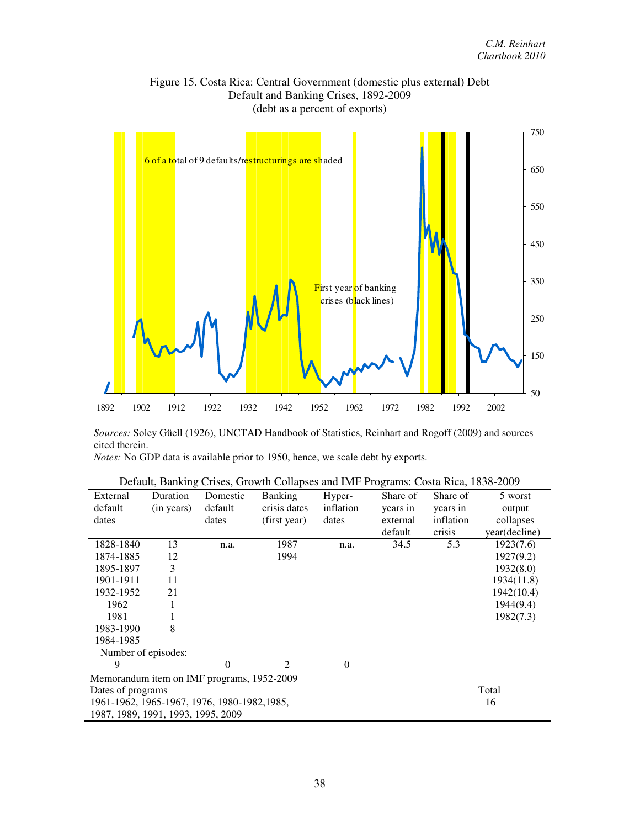

### Figure 15. Costa Rica: Central Government (domestic plus external) Debt Default and Banking Crises, 1892-2009

*Sources:* Soley Güell (1926), UNCTAD Handbook of Statistics, Reinhart and Rogoff (2009) and sources cited therein.

*Notes:* No GDP data is available prior to 1950, hence, we scale debt by exports.

| External                                   | Duration                                     | Domestic | <b>Banking</b> | Hyper-           | Share of | Share of  | 5 worst       |  |
|--------------------------------------------|----------------------------------------------|----------|----------------|------------------|----------|-----------|---------------|--|
| default                                    | (in years)                                   | default  | crisis dates   | inflation        | years in | years in  | output        |  |
| dates                                      |                                              | dates    | (first year)   | dates            | external | inflation | collapses     |  |
|                                            |                                              |          |                |                  | default  | crisis    | year(decline) |  |
| 1828-1840                                  | 13                                           | n.a.     | 1987           | n.a.             | 34.5     | 5.3       | 1923(7.6)     |  |
| 1874-1885                                  | 12                                           |          | 1994           |                  |          |           | 1927(9.2)     |  |
| 1895-1897                                  | 3                                            |          |                |                  |          |           | 1932(8.0)     |  |
| 1901-1911                                  | 11                                           |          |                |                  |          |           | 1934(11.8)    |  |
| 1932-1952                                  | 21                                           |          |                |                  |          |           | 1942(10.4)    |  |
| 1962                                       |                                              |          |                |                  |          |           | 1944(9.4)     |  |
| 1981                                       |                                              |          |                |                  |          |           | 1982(7.3)     |  |
| 1983-1990                                  | 8                                            |          |                |                  |          |           |               |  |
| 1984-1985                                  |                                              |          |                |                  |          |           |               |  |
| Number of episodes:                        |                                              |          |                |                  |          |           |               |  |
| 9                                          |                                              | 0        | $\mathcal{L}$  | $\boldsymbol{0}$ |          |           |               |  |
| Memorandum item on IMF programs, 1952-2009 |                                              |          |                |                  |          |           |               |  |
|                                            | Dates of programs                            |          |                |                  |          |           |               |  |
|                                            | 1961-1962, 1965-1967, 1976, 1980-1982, 1985, |          |                |                  |          |           |               |  |
| 16<br>1987, 1989, 1991, 1993, 1995, 2009   |                                              |          |                |                  |          |           |               |  |

| Default, Banking Crises, Growth Collapses and IMF Programs: Costa Rica, 1838-2009 |  |  |
|-----------------------------------------------------------------------------------|--|--|
|-----------------------------------------------------------------------------------|--|--|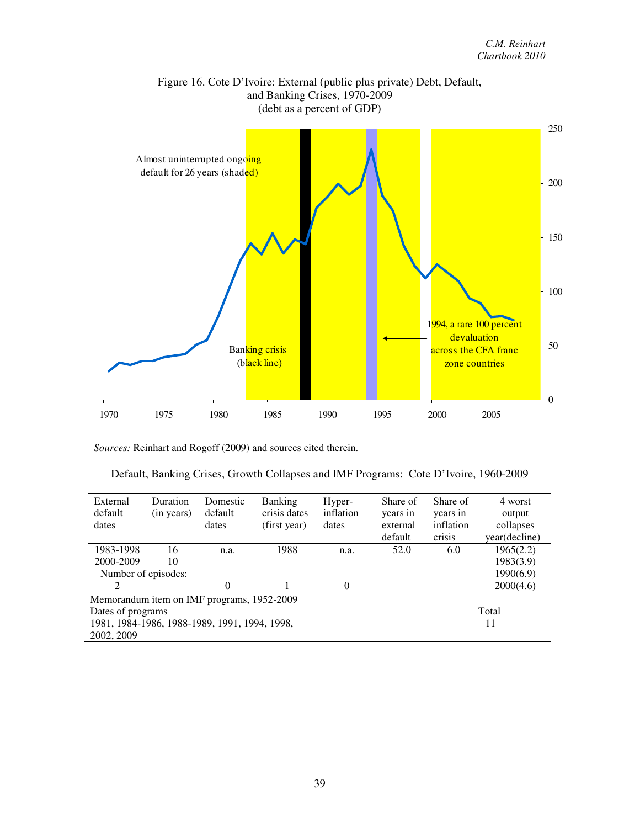

Figure 16. Cote D'Ivoire: External (public plus private) Debt, Default, and Banking Crises, 1970-2009

*Sources:* Reinhart and Rogoff (2009) and sources cited therein.

| Default, Banking Crises, Growth Collapses and IMF Programs: Cote D'Ivoire, 1960-2009 |  |  |  |
|--------------------------------------------------------------------------------------|--|--|--|
|                                                                                      |  |  |  |

| External                                      | Duration                                   | Domestic | <b>Banking</b> | Hyper-    | Share of | Share of  | 4 worst       |  |  |
|-----------------------------------------------|--------------------------------------------|----------|----------------|-----------|----------|-----------|---------------|--|--|
| default                                       | (in years)                                 | default  | crisis dates   | inflation | years in | years in  | output        |  |  |
| dates                                         |                                            | dates    | (first year)   | dates     | external | inflation | collapses     |  |  |
|                                               |                                            |          |                |           | default  | crisis    | year(decline) |  |  |
| 1983-1998                                     | 16                                         | n.a.     | 1988           | n.a.      | 52.0     | 6.0       | 1965(2.2)     |  |  |
| 2000-2009                                     | 10                                         |          |                |           |          |           | 1983(3.9)     |  |  |
| Number of episodes:                           |                                            |          |                |           |          |           | 1990(6.9)     |  |  |
| ာ                                             |                                            | 0        |                | 0         |          |           | 2000(4.6)     |  |  |
|                                               | Memorandum item on IMF programs, 1952-2009 |          |                |           |          |           |               |  |  |
| Dates of programs                             |                                            | Total    |                |           |          |           |               |  |  |
| 1981, 1984-1986, 1988-1989, 1991, 1994, 1998, |                                            |          |                |           |          |           | 11            |  |  |
| 2002, 2009                                    |                                            |          |                |           |          |           |               |  |  |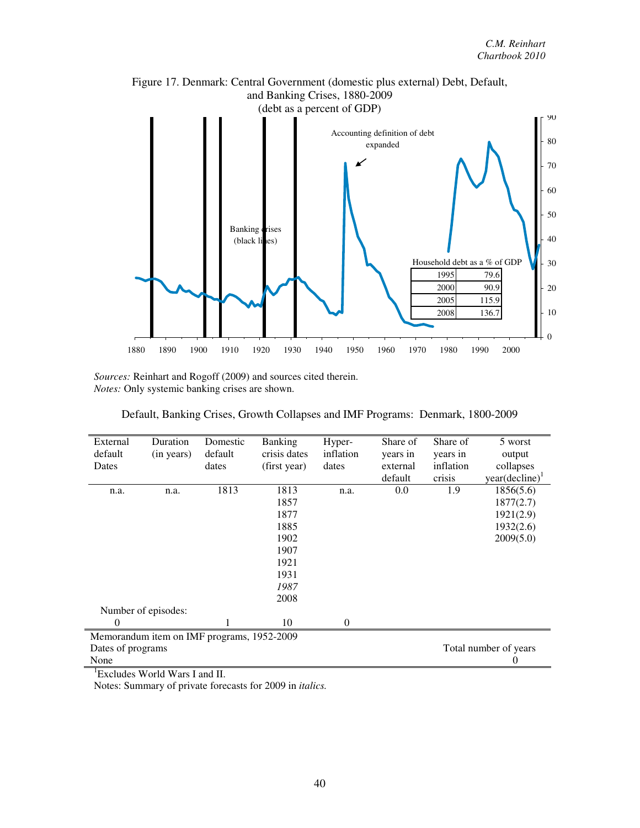

Figure 17. Denmark: Central Government (domestic plus external) Debt, Default,

*Sources:* Reinhart and Rogoff (2009) and sources cited therein. *Notes:* Only systemic banking crises are shown.

Default, Banking Crises, Growth Collapses and IMF Programs: Denmark, 1800-2009

| External | Duration                                   | Domestic | <b>Banking</b> | Hyper-    | Share of | Share of  | 5 worst                    |  |
|----------|--------------------------------------------|----------|----------------|-----------|----------|-----------|----------------------------|--|
| default  | (in years)                                 | default  | crisis dates   | inflation | years in | years in  | output                     |  |
| Dates    |                                            | dates    | (first year)   | dates     | external | inflation | collapses                  |  |
|          |                                            |          |                |           | default  | crisis    | year(decline) <sup>1</sup> |  |
| n.a.     | n.a.                                       | 1813     | 1813           | n.a.      | 0.0      | 1.9       | 1856(5.6)                  |  |
|          |                                            |          | 1857           |           |          |           | 1877(2.7)                  |  |
|          |                                            |          | 1877           |           |          |           | 1921(2.9)                  |  |
|          |                                            |          | 1885           |           |          |           | 1932(2.6)                  |  |
|          |                                            |          | 1902           |           |          |           | 2009(5.0)                  |  |
|          |                                            |          | 1907           |           |          |           |                            |  |
|          |                                            |          | 1921           |           |          |           |                            |  |
|          |                                            |          | 1931           |           |          |           |                            |  |
|          |                                            |          | 1987           |           |          |           |                            |  |
|          |                                            |          | 2008           |           |          |           |                            |  |
|          | Number of episodes:                        |          |                |           |          |           |                            |  |
| $\Omega$ |                                            |          | 10             | $\theta$  |          |           |                            |  |
|          | Memorandum item on IMF programs, 1952-2009 |          |                |           |          |           |                            |  |
|          | Total number of years<br>Dates of programs |          |                |           |          |           |                            |  |
| None     |                                            |          |                |           |          |           | 0                          |  |

<sup>1</sup>Excludes World Wars I and II.

Notes: Summary of private forecasts for 2009 in *italics.*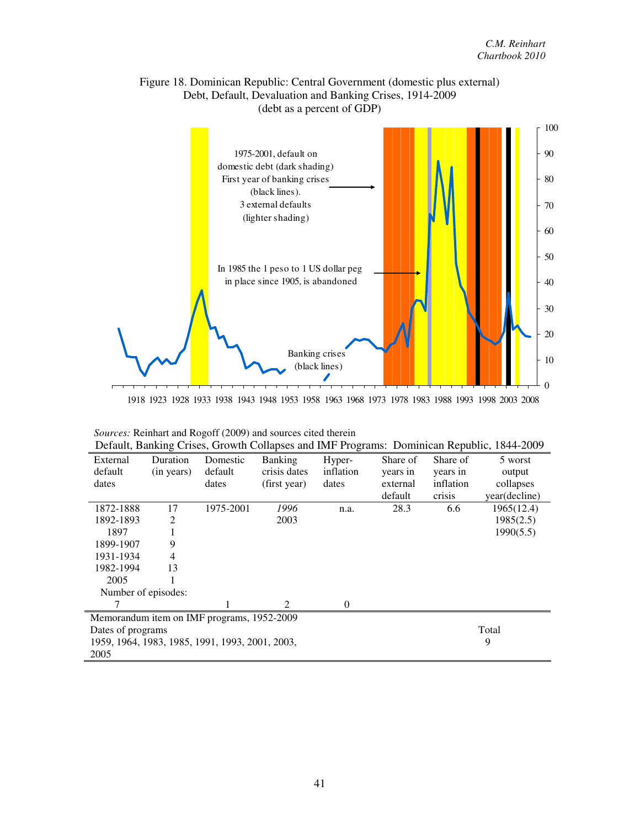

## Figure 18. Dominican Republic: Central Government (domestic plus external) Debt, Default, Devaluation and Banking Crises, 1914-2009

1918 1923 1928 1933 1938 1943 1948 1953 1958 1963 1968 1973 1978 1983 1988 1993 1998 2003 2008

|  |  | Sources: Reinhart and Rogoff (2009) and sources cited therein |
|--|--|---------------------------------------------------------------|
|  |  |                                                               |

|                     | Default, Banking Crises, Growth Collapses and IMF Programs: Dominican Republic, 1844-2009 |                                            |                |           |          |           |               |  |  |  |
|---------------------|-------------------------------------------------------------------------------------------|--------------------------------------------|----------------|-----------|----------|-----------|---------------|--|--|--|
| External            | <b>Duration</b>                                                                           | Domestic                                   | <b>Banking</b> | Hyper-    | Share of | Share of  | 5 worst       |  |  |  |
| default             | (in years)                                                                                | default                                    | crisis dates   | inflation | years in | years in  | output        |  |  |  |
| dates               |                                                                                           | dates                                      | (first year)   | dates     | external | inflation | collapses     |  |  |  |
|                     |                                                                                           |                                            |                |           | default  | crisis    | year(decline) |  |  |  |
| 1872-1888           | 17                                                                                        | 1975-2001                                  | 1996           | n.a.      | 28.3     | 6.6       | 1965(12.4)    |  |  |  |
| 1892-1893           | $\overline{2}$                                                                            |                                            | 2003           |           |          |           | 1985(2.5)     |  |  |  |
| 1897                |                                                                                           |                                            |                |           |          |           | 1990(5.5)     |  |  |  |
| 1899-1907           | 9                                                                                         |                                            |                |           |          |           |               |  |  |  |
| 1931-1934           | 4                                                                                         |                                            |                |           |          |           |               |  |  |  |
| 1982-1994           | 13                                                                                        |                                            |                |           |          |           |               |  |  |  |
| 2005                |                                                                                           |                                            |                |           |          |           |               |  |  |  |
| Number of episodes: |                                                                                           |                                            |                |           |          |           |               |  |  |  |
|                     |                                                                                           |                                            | 2              | $\theta$  |          |           |               |  |  |  |
|                     |                                                                                           | Memorandum item on IMF programs, 1952-2009 |                |           |          |           |               |  |  |  |
|                     | Dates of programs                                                                         |                                            |                |           |          |           |               |  |  |  |
|                     | 1959, 1964, 1983, 1985, 1991, 1993, 2001, 2003,                                           |                                            |                |           |          |           |               |  |  |  |
| 2005                |                                                                                           |                                            |                |           |          |           |               |  |  |  |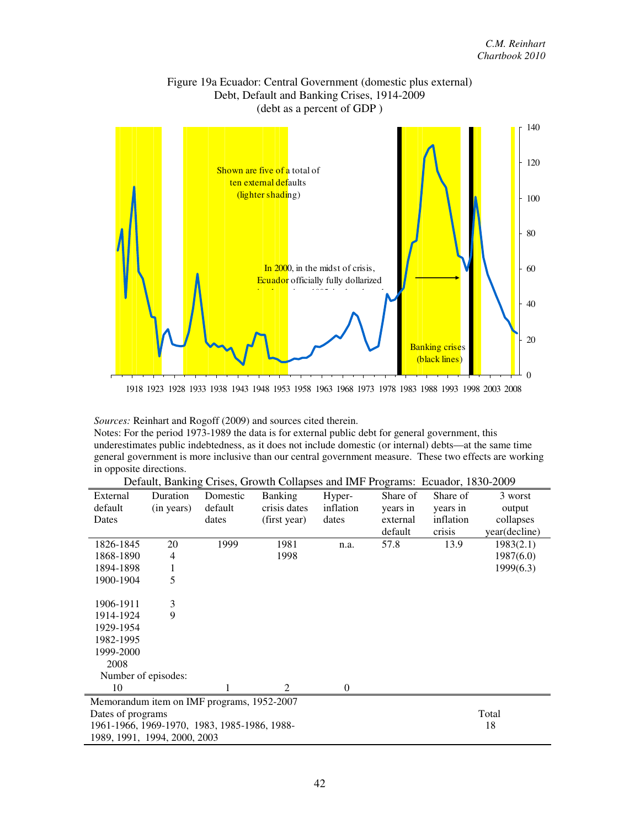

## Figure 19a Ecuador: Central Government (domestic plus external)

*Sources:* Reinhart and Rogoff (2009) and sources cited therein.

Notes: For the period 1973-1989 the data is for external public debt for general government, this underestimates public indebtedness, as it does not include domestic (or internal) debts—at the same time general government is more inclusive than our central government measure. These two effects are working in opposite directions.

| External                                                                     | Duration   | Domestic | <b>Banking</b> | Hyper-    | Share of | Share of  | 3 worst       |  |
|------------------------------------------------------------------------------|------------|----------|----------------|-----------|----------|-----------|---------------|--|
| default                                                                      | (in years) | default  | crisis dates   | inflation | years in | years in  | output        |  |
| Dates                                                                        |            | dates    | (first year)   | dates     | external | inflation | collapses     |  |
|                                                                              |            |          |                |           | default  | crisis    | year(decline) |  |
| 1826-1845                                                                    | 20         | 1999     | 1981           | n.a.      | 57.8     | 13.9      | 1983(2.1)     |  |
| 1868-1890                                                                    | 4          |          | 1998           |           |          |           | 1987(6.0)     |  |
| 1894-1898                                                                    | 1          |          |                |           |          |           | 1999(6.3)     |  |
| 1900-1904                                                                    | 5          |          |                |           |          |           |               |  |
|                                                                              |            |          |                |           |          |           |               |  |
| 1906-1911                                                                    | 3          |          |                |           |          |           |               |  |
| 1914-1924                                                                    | 9          |          |                |           |          |           |               |  |
| 1929-1954                                                                    |            |          |                |           |          |           |               |  |
| 1982-1995                                                                    |            |          |                |           |          |           |               |  |
| 1999-2000                                                                    |            |          |                |           |          |           |               |  |
| 2008                                                                         |            |          |                |           |          |           |               |  |
| Number of episodes:                                                          |            |          |                |           |          |           |               |  |
| 10                                                                           |            |          | 2              | $\Omega$  |          |           |               |  |
| Memorandum item on IMF programs, 1952-2007                                   |            |          |                |           |          |           |               |  |
| Dates of programs                                                            |            |          |                |           |          |           | Total         |  |
|                                                                              |            |          |                |           |          |           | 18            |  |
| 1961-1966, 1969-1970, 1983, 1985-1986, 1988-<br>1989, 1991, 1994, 2000, 2003 |            |          |                |           |          |           |               |  |

Default, Banking Crises, Growth Collapses and IMF Programs: Ecuador, 1830-2009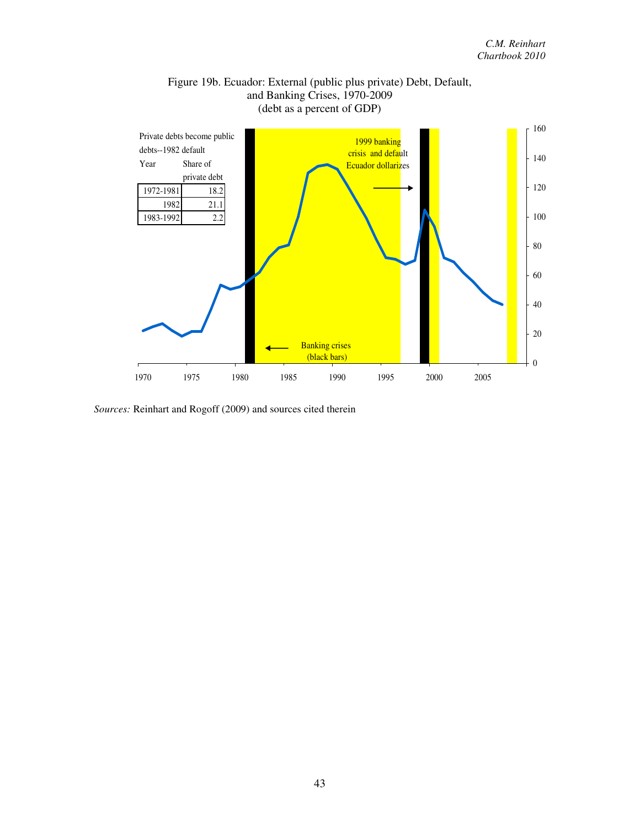

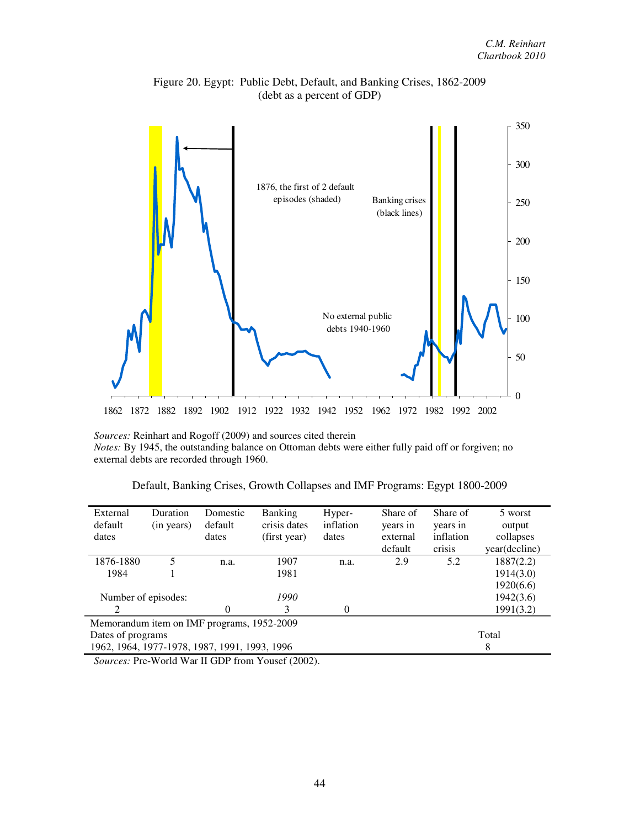

Figure 20. Egypt: Public Debt, Default, and Banking Crises, 1862-2009 (debt as a percent of GDP)

*Sources:* Reinhart and Rogoff (2009) and sources cited therein *Notes:* By 1945, the outstanding balance on Ottoman debts were either fully paid off or forgiven; no external debts are recorded through 1960.

|  |  |  |  | Default, Banking Crises, Growth Collapses and IMF Programs: Egypt 1800-2009 |
|--|--|--|--|-----------------------------------------------------------------------------|
|  |  |  |  |                                                                             |

| External                                      | Duration   | Domestic | <b>Banking</b> | Hyper-    | Share of | Share of  | 5 worst       |
|-----------------------------------------------|------------|----------|----------------|-----------|----------|-----------|---------------|
| default                                       | (in years) | default  | crisis dates   | inflation | years in | years in  | output        |
| dates                                         |            | dates    | (first year)   | dates     | external | inflation | collapses     |
|                                               |            |          |                |           | default  | crisis    | year(decline) |
| 1876-1880                                     | 5          | n.a.     | 1907           | n.a.      | 2.9      | 5.2       | 1887(2.2)     |
| 1984                                          |            |          | 1981           |           |          |           | 1914(3.0)     |
|                                               |            |          |                |           |          |           | 1920(6.6)     |
| Number of episodes:                           |            |          | 1990           |           |          |           | 1942(3.6)     |
| 2                                             |            | $\Omega$ | 3              | $\Omega$  |          |           | 1991(3.2)     |
| Memorandum item on IMF programs, 1952-2009    |            |          |                |           |          |           |               |
| Total<br>Dates of programs                    |            |          |                |           |          |           |               |
| 1962, 1964, 1977-1978, 1987, 1991, 1993, 1996 |            |          |                |           |          |           | 8             |

*Sources:* Pre-World War II GDP from Yousef (2002).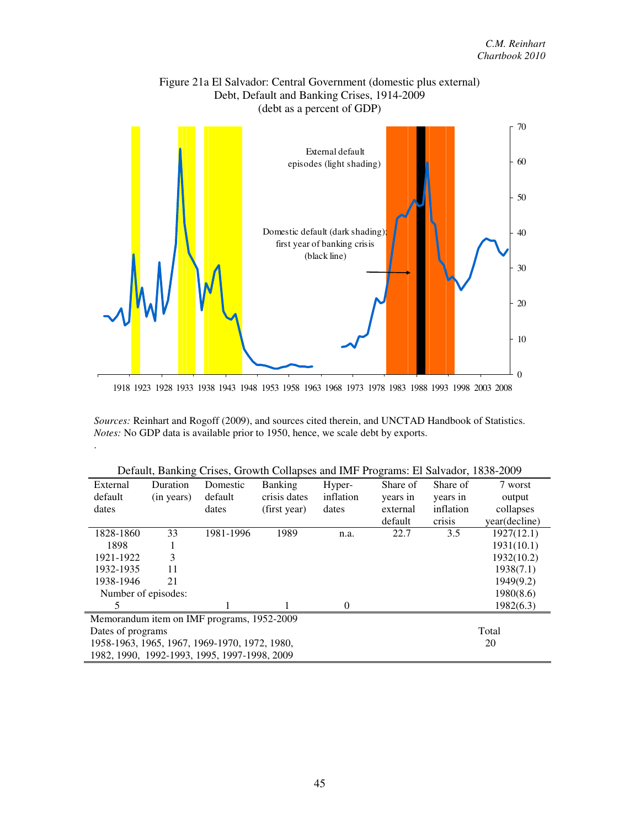

# Figure 21a El Salvador: Central Government (domestic plus external)

1918 1923 1928 1933 1938 1943 1948 1953 1958 1963 1968 1973 1978 1983 1988 1993 1998 2003 2008

*Sources:* Reinhart and Rogoff (2009), and sources cited therein, and UNCTAD Handbook of Statistics. *Notes:* No GDP data is available prior to 1950, hence, we scale debt by exports.

.

|                            | ▱<br>0 <sup>--</sup>                                |                                              |                |           |          |           |               |  |  |  |
|----------------------------|-----------------------------------------------------|----------------------------------------------|----------------|-----------|----------|-----------|---------------|--|--|--|
| External                   | Duration                                            | Domestic                                     | <b>Banking</b> | Hyper-    | Share of | Share of  | 7 worst       |  |  |  |
| default                    | (in years)                                          | default                                      | crisis dates   | inflation | years in | years in  | output        |  |  |  |
| dates                      |                                                     | dates                                        | (first year)   | dates     | external | inflation | collapses     |  |  |  |
|                            |                                                     |                                              |                |           | default  | crisis    | year(decline) |  |  |  |
| 1828-1860                  | 33                                                  | 1981-1996                                    | 1989           | n.a.      | 22.7     | 3.5       | 1927(12.1)    |  |  |  |
| 1898                       |                                                     |                                              |                |           |          |           | 1931(10.1)    |  |  |  |
| 1921-1922                  | 3                                                   |                                              |                |           |          |           | 1932(10.2)    |  |  |  |
| 1932-1935                  | 11                                                  |                                              |                |           |          |           | 1938(7.1)     |  |  |  |
| 1938-1946                  | 21                                                  |                                              |                |           |          |           | 1949(9.2)     |  |  |  |
| Number of episodes:        |                                                     |                                              |                |           |          |           | 1980(8.6)     |  |  |  |
| 5                          |                                                     |                                              |                | $\Omega$  |          |           | 1982(6.3)     |  |  |  |
|                            |                                                     | Memorandum item on IMF programs, 1952-2009   |                |           |          |           |               |  |  |  |
| Total<br>Dates of programs |                                                     |                                              |                |           |          |           |               |  |  |  |
|                            | 1958-1963, 1965, 1967, 1969-1970, 1972, 1980,<br>20 |                                              |                |           |          |           |               |  |  |  |
|                            |                                                     | 1982, 1990, 1992-1993, 1995, 1997-1998, 2009 |                |           |          |           |               |  |  |  |

|  |  |  |  |  | Default, Banking Crises, Growth Collapses and IMF Programs: El Salvador, 1838-2009 |
|--|--|--|--|--|------------------------------------------------------------------------------------|
|  |  |  |  |  |                                                                                    |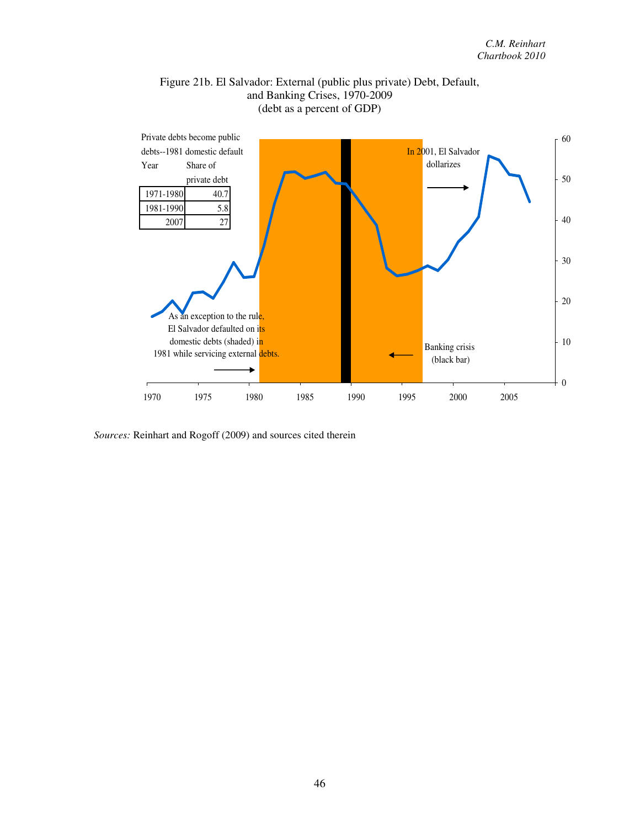### Figure 21b. El Salvador: External (public plus private) Debt, Default, and Banking Crises, 1970-2009 (debt as a percent of GDP)



*Sources:* Reinhart and Rogoff (2009) and sources cited therein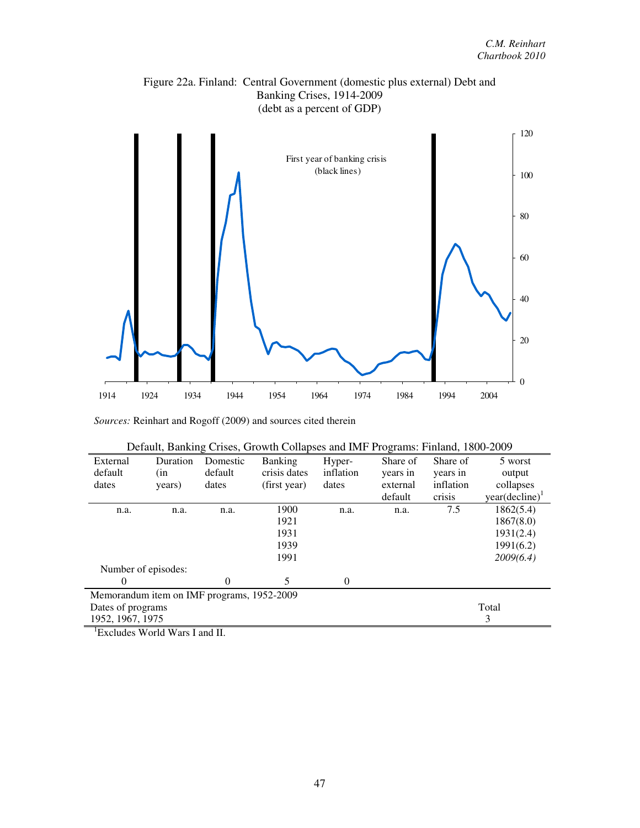



*Sources:* Reinhart and Rogoff (2009) and sources cited therein

|  |  |  |  |  | Default, Banking Crises, Growth Collapses and IMF Programs: Finland, 1800-2009 |
|--|--|--|--|--|--------------------------------------------------------------------------------|
|  |  |  |  |  |                                                                                |

| External<br>default | Duration<br>(in                            | Domestic<br>default | <b>Banking</b><br>crisis dates | Hyper-<br>inflation | Share of<br>years in | Share of<br>years in | 5 worst<br>output   |
|---------------------|--------------------------------------------|---------------------|--------------------------------|---------------------|----------------------|----------------------|---------------------|
| dates               | years)                                     | dates               | (first year)                   | dates               | external             | inflation            | collapses           |
|                     |                                            |                     |                                |                     | default              | crisis               | $year(decline)^{1}$ |
| n.a.                | n.a.                                       | n.a.                | 1900                           | n.a.                | n.a.                 | 7.5                  | 1862(5.4)           |
|                     |                                            |                     | 1921                           |                     |                      |                      | 1867(8.0)           |
|                     |                                            |                     | 1931                           |                     |                      |                      | 1931(2.4)           |
|                     |                                            |                     | 1939                           |                     |                      |                      | 1991(6.2)           |
|                     |                                            |                     | 1991                           |                     |                      |                      | 2009(6.4)           |
|                     | Number of episodes:                        |                     |                                |                     |                      |                      |                     |
| $\theta$            |                                            | 0                   | 5                              | $\theta$            |                      |                      |                     |
|                     | Memorandum item on IMF programs, 1952-2009 |                     |                                |                     |                      |                      |                     |
| Dates of programs   |                                            |                     |                                |                     |                      |                      | Total               |
| 1952, 1967, 1975    |                                            |                     |                                |                     |                      |                      | 3                   |

<sup>1</sup>Excludes World Wars I and II.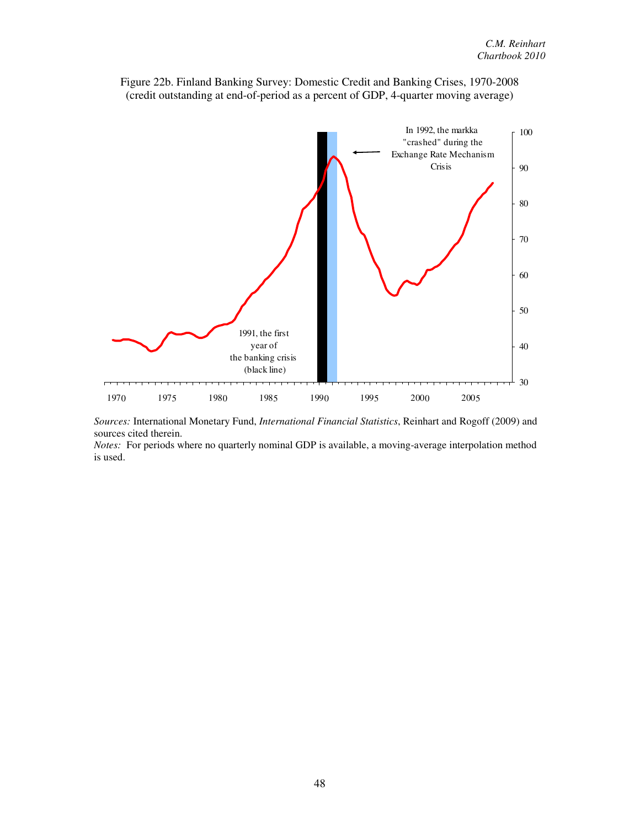

Figure 22b. Finland Banking Survey: Domestic Credit and Banking Crises, 1970-2008 (credit outstanding at end-of-period as a percent of GDP, 4-quarter moving average)

*Sources:* International Monetary Fund, *International Financial Statistics*, Reinhart and Rogoff (2009) and sources cited therein.

*Notes:* For periods where no quarterly nominal GDP is available, a moving-average interpolation method is used.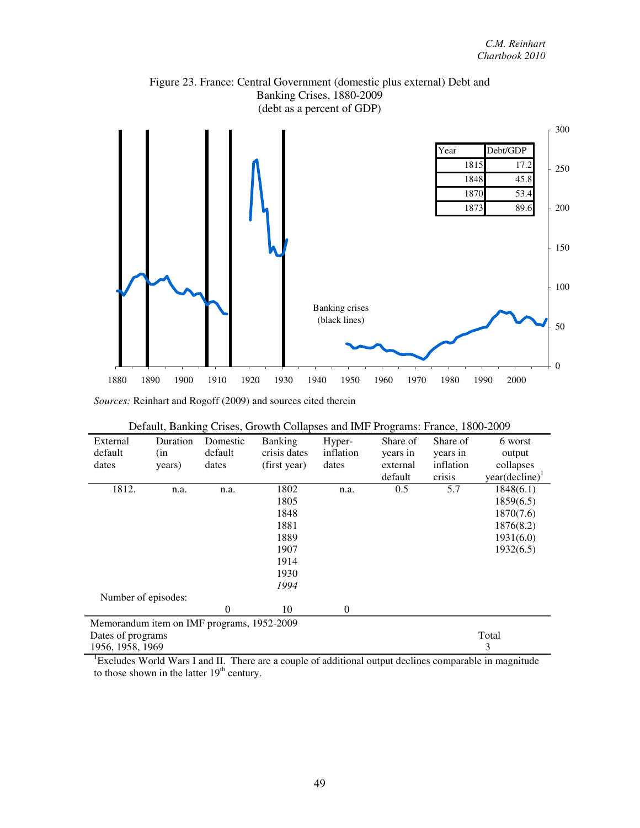



|  | Default, Banking Crises, Growth Collapses and IMF Programs: France, 1800-2009 |
|--|-------------------------------------------------------------------------------|
|  |                                                                               |

| External                                   | Duration | Domestic       | <b>Banking</b> | Hyper-    | Share of | Share of  | 6 worst                    |
|--------------------------------------------|----------|----------------|----------------|-----------|----------|-----------|----------------------------|
| default                                    | (in      | default        | crisis dates   | inflation | years in | years in  | output                     |
| dates                                      | years)   | dates          | (first year)   | dates     | external | inflation | collapses                  |
|                                            |          |                |                |           | default  | crisis    | year(decline) <sup>1</sup> |
| 1812.                                      | n.a.     | n.a.           | 1802           | n.a.      | 0.5      | 5.7       | 1848(6.1)                  |
|                                            |          |                | 1805           |           |          |           | 1859(6.5)                  |
|                                            |          |                | 1848           |           |          |           | 1870(7.6)                  |
|                                            |          |                | 1881           |           |          |           | 1876(8.2)                  |
|                                            |          |                | 1889           |           |          |           | 1931(6.0)                  |
|                                            |          |                | 1907           |           |          |           | 1932(6.5)                  |
|                                            |          |                | 1914           |           |          |           |                            |
|                                            |          |                | 1930           |           |          |           |                            |
|                                            |          |                | 1994           |           |          |           |                            |
| Number of episodes:                        |          |                |                |           |          |           |                            |
|                                            |          | $\overline{0}$ | 10             | $\Omega$  |          |           |                            |
| Memorandum item on IMF programs, 1952-2009 |          |                |                |           |          |           |                            |
| Dates of programs                          |          |                |                |           |          |           | Total                      |
| 1956, 1958, 1969                           |          |                |                |           |          |           | 3                          |

<sup>1</sup>Excludes World Wars I and II. There are a couple of additional output declines comparable in magnitude to those shown in the latter  $19<sup>th</sup>$  century.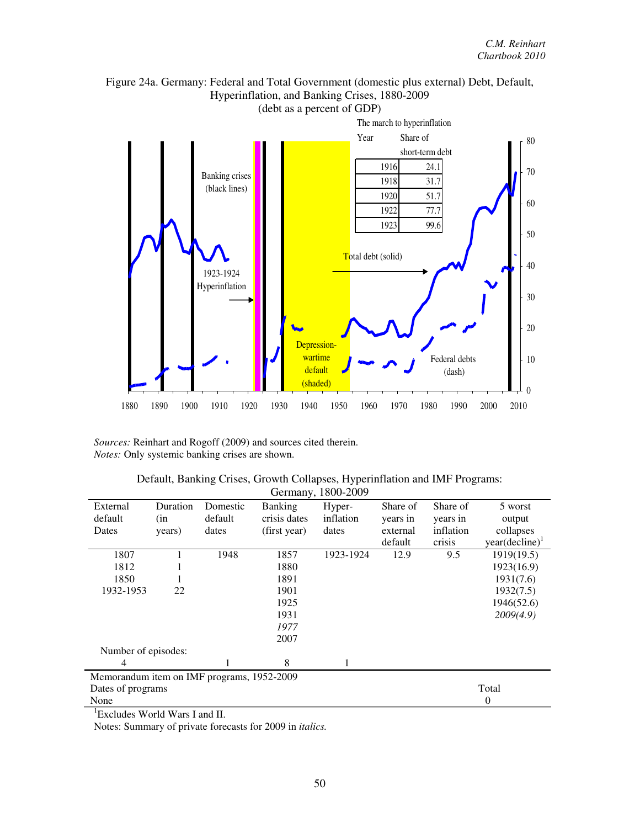

Figure 24a. Germany: Federal and Total Government (domestic plus external) Debt, Default, Hyperinflation, and Banking Crises, 1880-2009

*Sources:* Reinhart and Rogoff (2009) and sources cited therein. *Notes:* Only systemic banking crises are shown.

|                                            | Germany, 1800-2009 |          |                |           |          |           |                   |  |  |
|--------------------------------------------|--------------------|----------|----------------|-----------|----------|-----------|-------------------|--|--|
| External                                   | Duration           | Domestic | <b>Banking</b> | Hyper-    | Share of | Share of  | 5 worst           |  |  |
| default                                    | (in                | default  | crisis dates   | inflation | years in | years in  | output            |  |  |
| Dates                                      | years)             | dates    | (first year)   | dates     | external | inflation | collapses         |  |  |
|                                            |                    |          |                |           | default  | crisis    | $year(decline)^1$ |  |  |
| 1807                                       |                    | 1948     | 1857           | 1923-1924 | 12.9     | 9.5       | 1919(19.5)        |  |  |
| 1812                                       |                    |          | 1880           |           |          |           | 1923(16.9)        |  |  |
| 1850                                       |                    |          | 1891           |           |          |           | 1931(7.6)         |  |  |
| 1932-1953                                  | 22                 |          | 1901           |           |          |           | 1932(7.5)         |  |  |
|                                            |                    |          | 1925           |           |          |           | 1946(52.6)        |  |  |
|                                            |                    |          | 1931           |           |          |           | 2009(4.9)         |  |  |
|                                            |                    |          | 1977           |           |          |           |                   |  |  |
|                                            |                    |          | 2007           |           |          |           |                   |  |  |
| Number of episodes:                        |                    |          |                |           |          |           |                   |  |  |
| 4                                          |                    |          | 8              |           |          |           |                   |  |  |
| Memorandum item on IMF programs, 1952-2009 |                    |          |                |           |          |           |                   |  |  |
| Dates of programs                          |                    |          |                |           |          |           | Total             |  |  |
| None                                       |                    |          |                |           |          |           | 0                 |  |  |

| Default, Banking Crises, Growth Collapses, Hyperinflation and IMF Programs: |
|-----------------------------------------------------------------------------|
| Germany, 1800-2009                                                          |

<sup>1</sup>Excludes World Wars I and II.

Notes: Summary of private forecasts for 2009 in *italics.*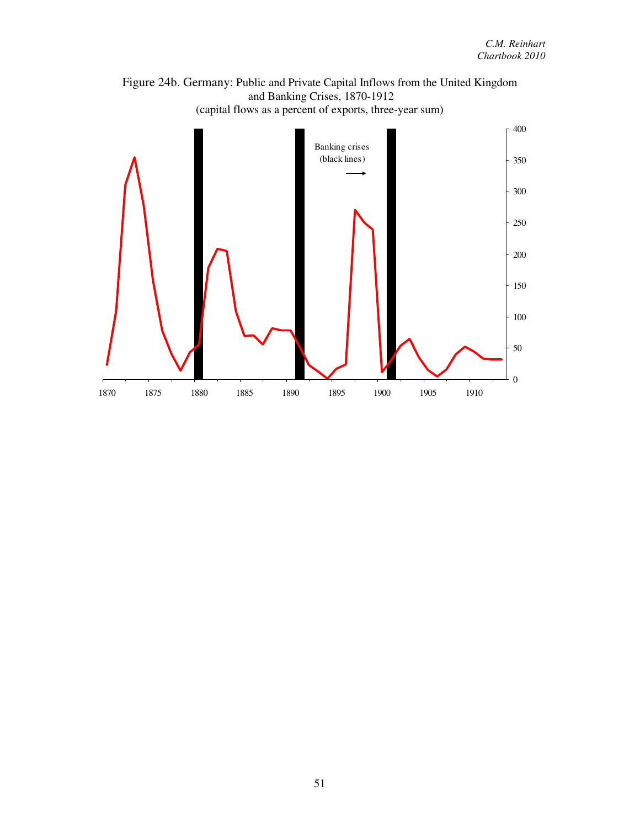

Figure 24b. Germany: Public and Private Capital Inflows from the United Kingdom and Banking Crises, 1870-1912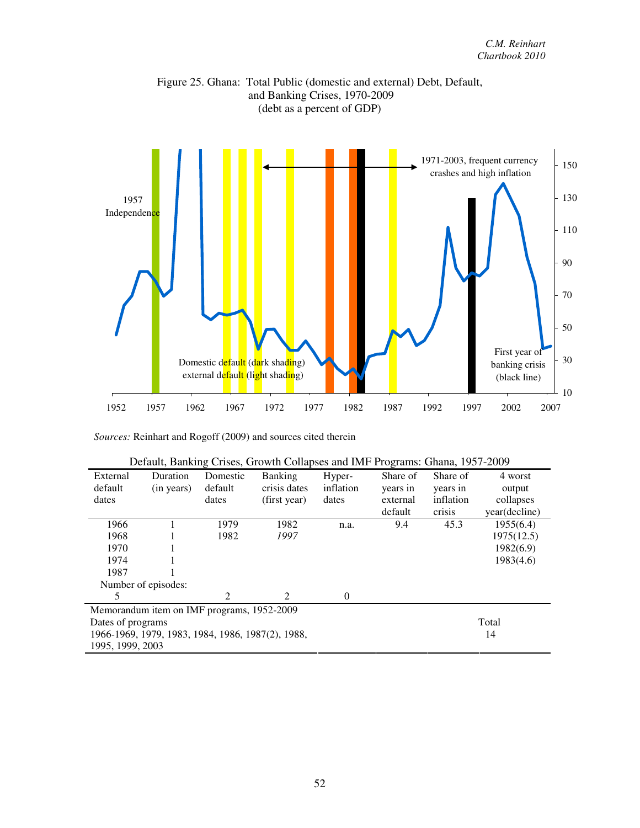



|                  |                                                   | $-$            |                             |           |          |           |               |
|------------------|---------------------------------------------------|----------------|-----------------------------|-----------|----------|-----------|---------------|
| External         | Duration                                          | Domestic       | <b>Banking</b>              | Hyper-    | Share of | Share of  | 4 worst       |
| default          | (in years)                                        | default        | crisis dates                | inflation | years in | years in  | output        |
| dates            |                                                   | dates          | (first year)                | dates     | external | inflation | collapses     |
|                  |                                                   |                |                             |           | default  | crisis    | year(decline) |
| 1966             |                                                   | 1979           | 1982                        | n.a.      | 9.4      | 45.3      | 1955(6.4)     |
| 1968             |                                                   | 1982           | 1997                        |           |          |           | 1975(12.5)    |
| 1970             |                                                   |                |                             |           |          |           | 1982(6.9)     |
| 1974             |                                                   |                |                             |           |          |           | 1983(4.6)     |
| 1987             |                                                   |                |                             |           |          |           |               |
|                  | Number of episodes:                               |                |                             |           |          |           |               |
| 5                |                                                   | $\mathfrak{D}$ | $\mathcal{D}_{\mathcal{L}}$ | $\theta$  |          |           |               |
|                  | Memorandum item on IMF programs, 1952-2009        |                |                             |           |          |           |               |
|                  | Dates of programs                                 |                |                             |           |          |           | Total         |
|                  | 1966-1969, 1979, 1983, 1984, 1986, 1987(2), 1988, |                | 14                          |           |          |           |               |
| 1995, 1999, 2003 |                                                   |                |                             |           |          |           |               |

| Default, Banking Crises, Growth Collapses and IMF Programs: Ghana, 1957-2009 |  |
|------------------------------------------------------------------------------|--|
|                                                                              |  |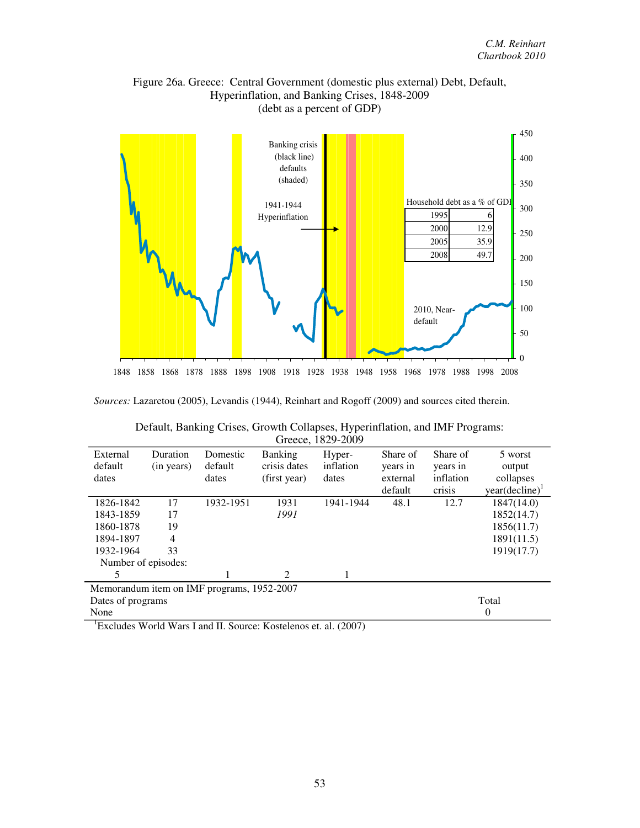



*Sources:* Lazaretou (2005), Levandis (1944), Reinhart and Rogoff (2009) and sources cited therein.

| Greece, 1829-2009   |                |                                            |                |           |          |           |                            |  |  |
|---------------------|----------------|--------------------------------------------|----------------|-----------|----------|-----------|----------------------------|--|--|
| External            | Duration       | Domestic                                   | <b>Banking</b> | Hyper-    | Share of | Share of  | 5 worst                    |  |  |
| default             | (in years)     | default                                    | crisis dates   | inflation | years in | years in  | output                     |  |  |
| dates               |                | dates                                      | (first year)   | dates     | external | inflation | collapses                  |  |  |
|                     |                |                                            |                |           | default  | crisis    | year(decline) <sup>1</sup> |  |  |
| 1826-1842           | 17             | 1932-1951                                  | 1931           | 1941-1944 | 48.1     | 12.7      | 1847(14.0)                 |  |  |
| 1843-1859           | 17             |                                            | 1991           |           |          |           | 1852(14.7)                 |  |  |
| 1860-1878           | 19             |                                            |                |           |          |           | 1856(11.7)                 |  |  |
| 1894-1897           | $\overline{4}$ |                                            |                |           |          |           | 1891(11.5)                 |  |  |
| 1932-1964           | 33             |                                            |                |           |          |           | 1919(17.7)                 |  |  |
| Number of episodes: |                |                                            |                |           |          |           |                            |  |  |
| 5                   |                |                                            | 2              |           |          |           |                            |  |  |
|                     |                | Memorandum item on IMF programs, 1952-2007 |                |           |          |           |                            |  |  |
| Dates of programs   |                |                                            |                |           |          |           | Total                      |  |  |
| None                |                |                                            |                |           |          |           | $\theta$                   |  |  |

|  |  |          | Default, Banking Crises, Growth Collapses, Hyperinflation, and IMF Programs: |
|--|--|----------|------------------------------------------------------------------------------|
|  |  | 1020.200 |                                                                              |

<sup>1</sup>Excludes World Wars I and II. Source: Kostelenos et. al. (2007)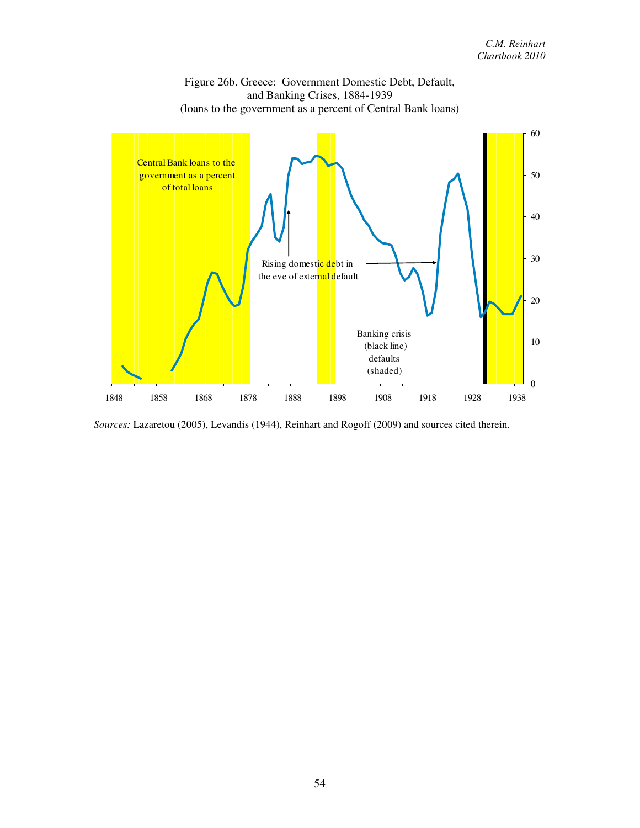

Figure 26b. Greece: Government Domestic Debt, Default,

*Sources:* Lazaretou (2005), Levandis (1944), Reinhart and Rogoff (2009) and sources cited therein.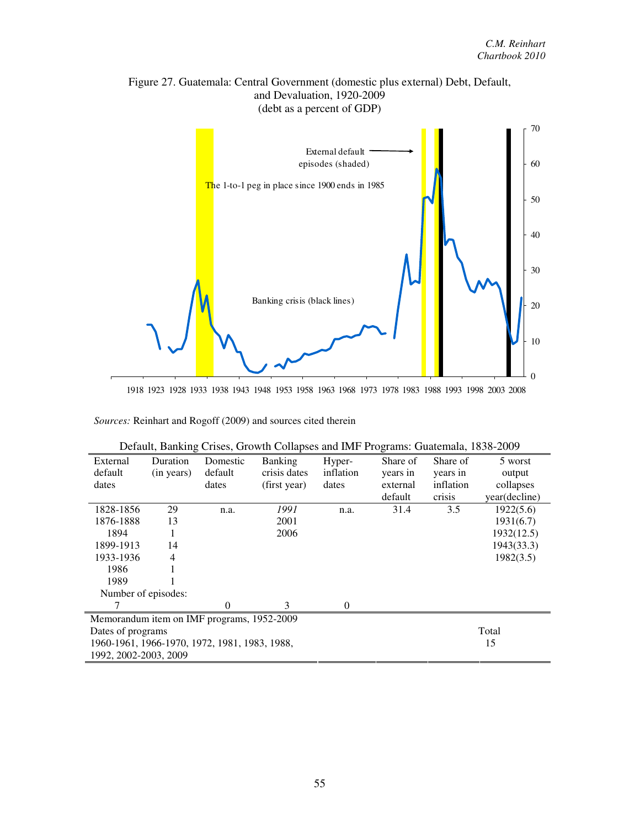



1918 1923 1928 1933 1938 1943 1948 1953 1958 1963 1968 1973 1978 1983 1988 1993 1998 2003 2008

| External              | Duration                                            | Domestic | <b>Banking</b> | Hyper-    | Share of | Share of  | 5 worst       |  |
|-----------------------|-----------------------------------------------------|----------|----------------|-----------|----------|-----------|---------------|--|
| default               | (in years)                                          | default  | crisis dates   | inflation | years in | years in  | output        |  |
| dates                 |                                                     | dates    | (first year)   | dates     | external | inflation | collapses     |  |
|                       |                                                     |          |                |           | default  | crisis    | year(decline) |  |
| 1828-1856             | 29                                                  | n.a.     | 1991           | n.a.      | 31.4     | 3.5       | 1922(5.6)     |  |
| 1876-1888             | 13                                                  |          | 2001           |           |          |           | 1931(6.7)     |  |
| 1894                  |                                                     |          | 2006           |           |          |           | 1932(12.5)    |  |
| 1899-1913             | 14                                                  |          |                |           |          |           | 1943(33.3)    |  |
| 1933-1936             | 4                                                   |          |                |           |          |           | 1982(3.5)     |  |
| 1986                  |                                                     |          |                |           |          |           |               |  |
| 1989                  |                                                     |          |                |           |          |           |               |  |
| Number of episodes:   |                                                     |          |                |           |          |           |               |  |
|                       |                                                     | $\Omega$ | 3              | $\theta$  |          |           |               |  |
|                       | Memorandum item on IMF programs, 1952-2009          |          |                |           |          |           |               |  |
| Dates of programs     |                                                     |          |                |           |          | Total     |               |  |
|                       | 1960-1961, 1966-1970, 1972, 1981, 1983, 1988,<br>15 |          |                |           |          |           |               |  |
| 1992, 2002-2003, 2009 |                                                     |          |                |           |          |           |               |  |

| Default, Banking Crises, Growth Collapses and IMF Programs: Guatemala, 1838-2009 |  |  |
|----------------------------------------------------------------------------------|--|--|
|                                                                                  |  |  |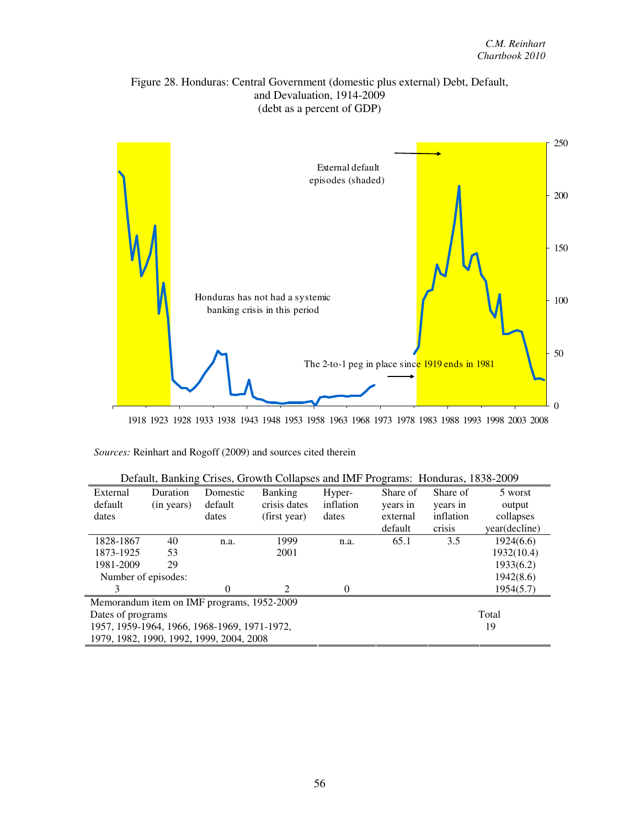



1918 1923 1928 1933 1938 1943 1948 1953 1958 1963 1968 1973 1978 1983 1988 1993 1998 2003 2008

| Default, Banking Crises, Growth Collapses and IMF Programs: Honduras, 1838-2009 |  |  |
|---------------------------------------------------------------------------------|--|--|
|                                                                                 |  |  |

| External                                     | Duration   | Domestic | <b>Banking</b>              | Hyper-    | Share of | Share of  | 5 worst       |  |
|----------------------------------------------|------------|----------|-----------------------------|-----------|----------|-----------|---------------|--|
| default                                      | (in years) | default  | crisis dates                | inflation | years in | years in  | output        |  |
| dates                                        |            | dates    | (first year)                | dates     | external | inflation | collapses     |  |
|                                              |            |          |                             |           | default  | crisis    | year(decline) |  |
| 1828-1867                                    | 40         | n.a.     | 1999                        | n.a.      | 65.1     | 3.5       | 1924(6.6)     |  |
| 1873-1925                                    | 53         |          | 2001                        |           |          |           | 1932(10.4)    |  |
| 1981-2009                                    | 29         |          |                             |           |          |           | 1933(6.2)     |  |
| Number of episodes:                          |            |          |                             |           |          |           | 1942(8.6)     |  |
| 3                                            |            | $\Omega$ | $\mathcal{D}_{\mathcal{L}}$ | $\Omega$  |          |           | 1954(5.7)     |  |
| Memorandum item on IMF programs, 1952-2009   |            |          |                             |           |          |           |               |  |
| Dates of programs                            |            |          |                             |           |          | Total     |               |  |
| 1957, 1959-1964, 1966, 1968-1969, 1971-1972, |            |          |                             |           |          |           | 19            |  |
| 1979, 1982, 1990, 1992, 1999, 2004, 2008     |            |          |                             |           |          |           |               |  |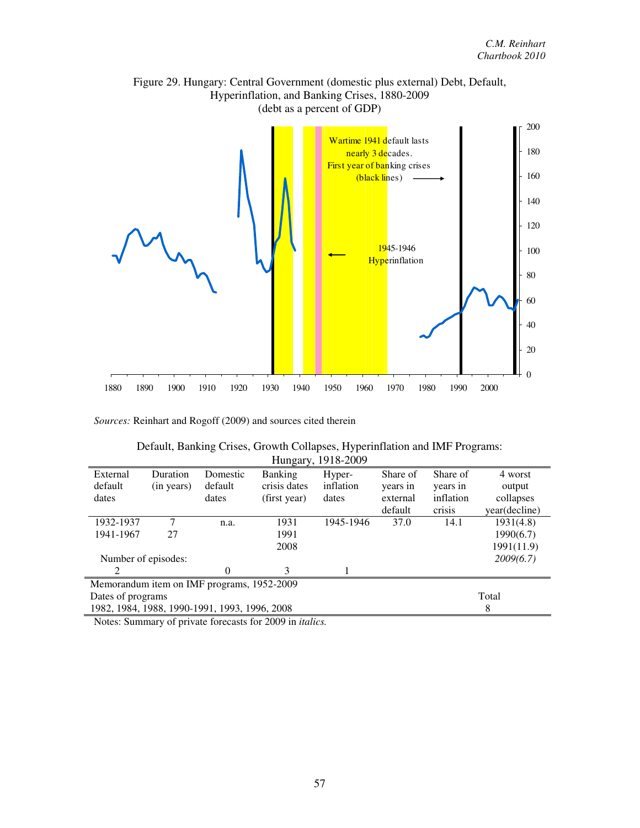

## Figure 29. Hungary: Central Government (domestic plus external) Debt, Default, Hyperinflation, and Banking Crises, 1880-2009

*Sources:* Reinhart and Rogoff (2009) and sources cited therein

| Default, Banking Crises, Growth Collapses, Hyperinflation and IMF Programs: |
|-----------------------------------------------------------------------------|
| Hungary, 1918-2009                                                          |

| External                                   | <b>Duration</b>     | Domestic                                      | <b>Banking</b> | Hyper-    | Share of | Share of  | 4 worst       |
|--------------------------------------------|---------------------|-----------------------------------------------|----------------|-----------|----------|-----------|---------------|
| default                                    | (in years)          | default                                       | crisis dates   | inflation | years in | years in  | output        |
| dates                                      |                     | dates                                         | (first year)   | dates     | external | inflation | collapses     |
|                                            |                     |                                               |                |           | default  | crisis    | year(decline) |
| 1932-1937                                  | 7                   | n.a.                                          | 1931           | 1945-1946 | 37.0     | 14.1      | 1931(4.8)     |
| 1941-1967                                  | 27                  |                                               | 1991           |           |          |           | 1990(6.7)     |
|                                            |                     |                                               | 2008           |           |          |           | 1991(11.9)    |
|                                            | Number of episodes: |                                               |                |           |          |           | 2009(6.7)     |
| っ                                          |                     | 0                                             | 3              |           |          |           |               |
| Memorandum item on IMF programs, 1952-2009 |                     |                                               |                |           |          |           |               |
| Dates of programs                          |                     |                                               |                | Total     |          |           |               |
|                                            |                     | 1982, 1984, 1988, 1990-1991, 1993, 1996, 2008 |                |           |          |           | 8             |

Notes: Summary of private forecasts for 2009 in *italics.*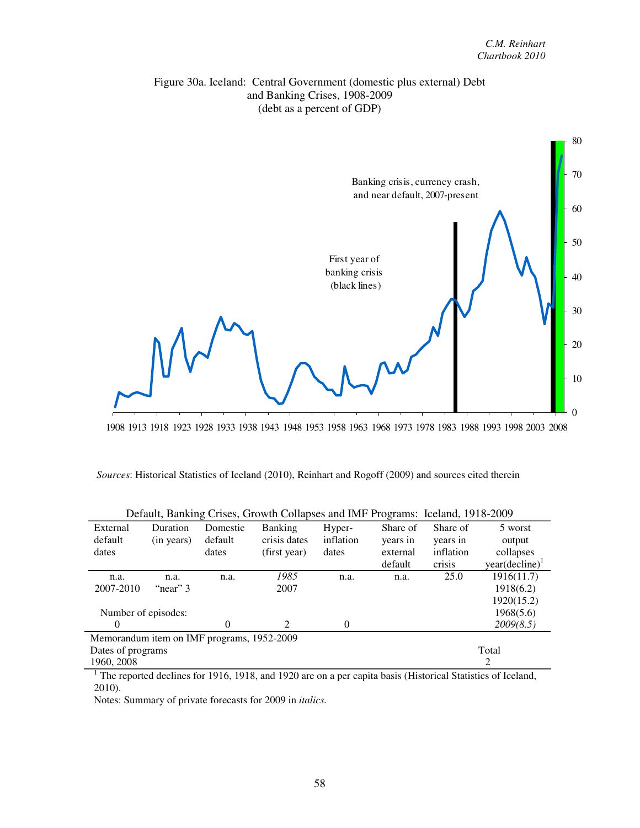



1908 1913 1918 1923 1928 1933 1938 1943 1948 1953 1958 1963 1968 1973 1978 1983 1988 1993 1998 2003 2008

| Sources: Historical Statistics of Iceland (2010), Reinhart and Rogoff (2009) and sources cited therein |  |  |
|--------------------------------------------------------------------------------------------------------|--|--|
|                                                                                                        |  |  |

| External            | Duration                                   | Domestic | <b>Banking</b>              | Hyper-    | Share of | Share of  | 5 worst                    |
|---------------------|--------------------------------------------|----------|-----------------------------|-----------|----------|-----------|----------------------------|
| default             | (in years)                                 | default  | crisis dates                | inflation | years in | years in  | output                     |
| dates               |                                            | dates    | (first year)                | dates     | external | inflation | collapses                  |
|                     |                                            |          |                             |           | default  | crisis    | year(decline) <sup>1</sup> |
| n.a.                | n.a.                                       | n.a.     | 1985                        | n.a.      | n.a.     | 25.0      | 1916(11.7)                 |
| 2007-2010           | "near" 3                                   |          | 2007                        |           |          |           | 1918(6.2)                  |
|                     |                                            |          |                             |           |          |           | 1920(15.2)                 |
| Number of episodes: |                                            |          |                             |           |          |           | 1968(5.6)                  |
|                     |                                            | 0        | $\mathcal{D}_{\mathcal{L}}$ | $\Omega$  |          |           | 2009(8.5)                  |
|                     | Memorandum item on IMF programs, 1952-2009 |          |                             |           |          |           |                            |
| Dates of programs   |                                            |          |                             |           |          |           | Total                      |
| 1960, 2008          |                                            |          |                             |           |          |           | 2                          |

| Default, Banking Crises, Growth Collapses and IMF Programs: Iceland, 1918-2009 |  |  |
|--------------------------------------------------------------------------------|--|--|
|                                                                                |  |  |

<sup>1</sup> The reported declines for 1916, 1918, and 1920 are on a per capita basis (Historical Statistics of Iceland, 2010).

Notes: Summary of private forecasts for 2009 in *italics.*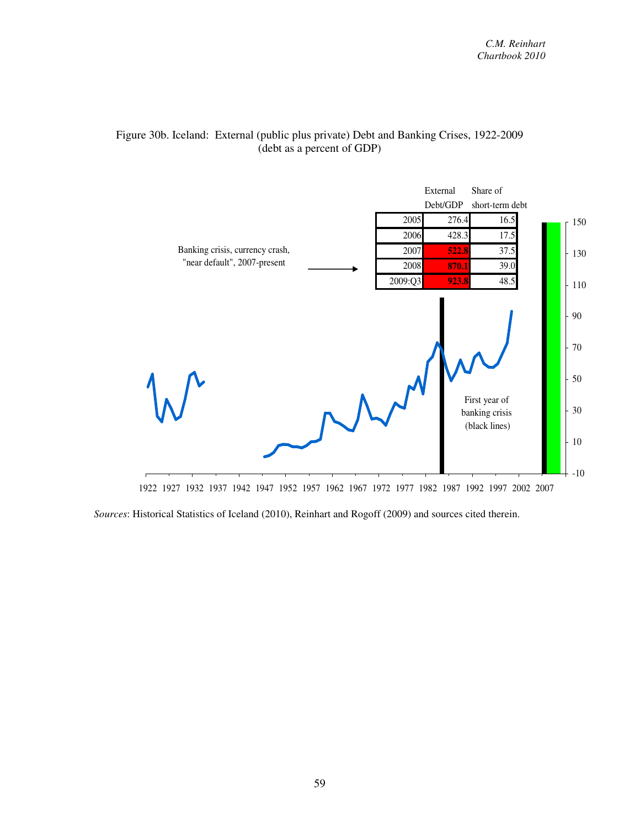

#### Figure 30b. Iceland: External (public plus private) Debt and Banking Crises, 1922-2009 (debt as a percent of GDP)

*Sources*: Historical Statistics of Iceland (2010), Reinhart and Rogoff (2009) and sources cited therein.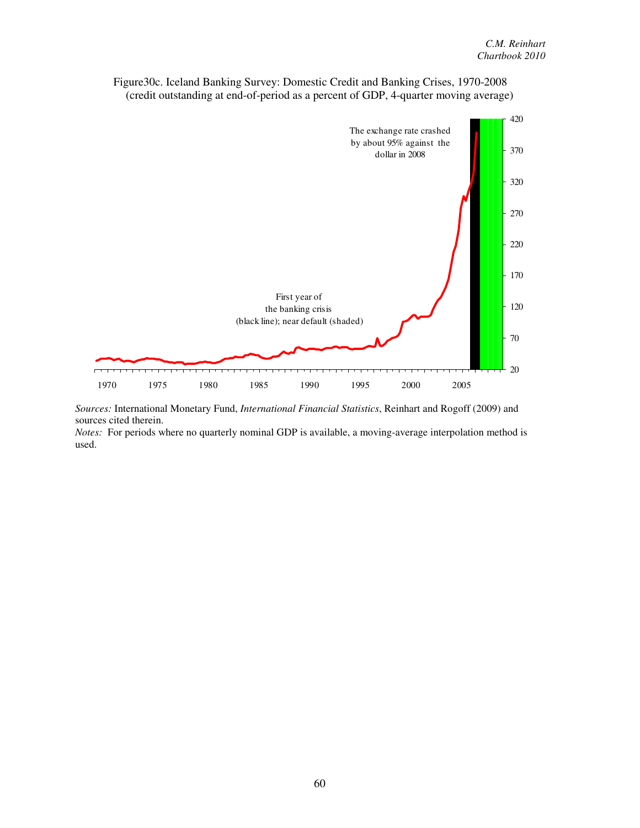

Figure30c. Iceland Banking Survey: Domestic Credit and Banking Crises, 1970-2008 (credit outstanding at end-of-period as a percent of GDP, 4-quarter moving average)

*Sources:* International Monetary Fund, *International Financial Statistics*, Reinhart and Rogoff (2009) and sources cited therein.

*Notes:* For periods where no quarterly nominal GDP is available, a moving-average interpolation method is used.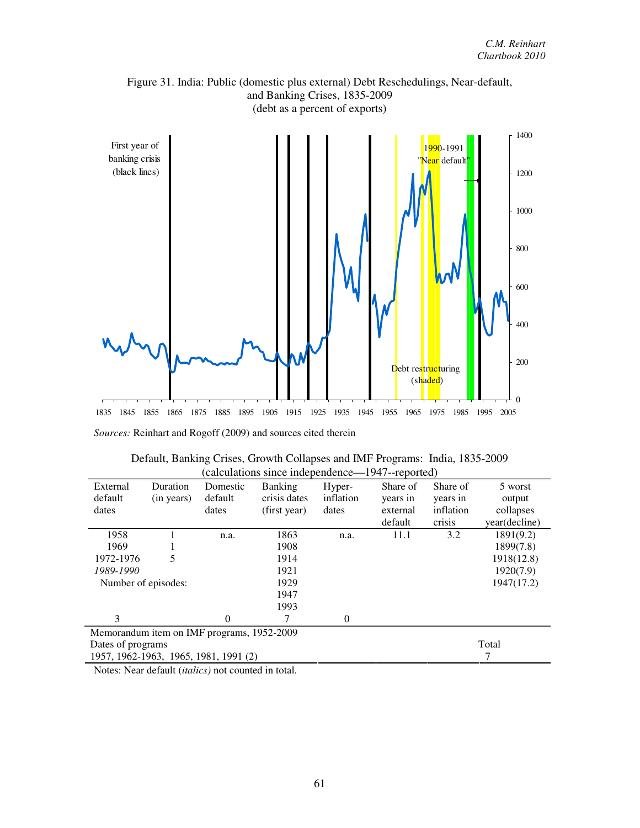

Figure 31. India: Public (domestic plus external) Debt Reschedulings, Near-default, and Banking Crises, 1835-2009

| Default, Banking Crises, Growth Collapses and IMF Programs: India, 1835-2009 |  |
|------------------------------------------------------------------------------|--|
| (calculations since independence—1947--reported)                             |  |

| External                              | Duration                                   | Domestic | <b>Banking</b> | Hyper-         | Share of | Share of  | 5 worst       |  |  |
|---------------------------------------|--------------------------------------------|----------|----------------|----------------|----------|-----------|---------------|--|--|
| default                               | (in years)                                 | default  | crisis dates   | inflation      | years in | years in  | output        |  |  |
| dates                                 |                                            | dates    | (first year)   | dates          | external | inflation | collapses     |  |  |
|                                       |                                            |          |                |                | default  | crisis    | year(decline) |  |  |
| 1958                                  |                                            | n.a.     | 1863           | n.a.           | 11.1     | 3.2       | 1891(9.2)     |  |  |
| 1969                                  |                                            |          | 1908           |                |          |           | 1899(7.8)     |  |  |
| 1972-1976                             | 5                                          |          | 1914           |                |          |           | 1918(12.8)    |  |  |
| 1989-1990                             |                                            |          | 1921           |                |          |           | 1920(7.9)     |  |  |
| Number of episodes:                   |                                            |          | 1929           |                |          |           | 1947(17.2)    |  |  |
|                                       |                                            |          | 1947           |                |          |           |               |  |  |
|                                       |                                            |          | 1993           |                |          |           |               |  |  |
| 3                                     |                                            | 0        | 7              | $\overline{0}$ |          |           |               |  |  |
|                                       | Memorandum item on IMF programs, 1952-2009 |          |                |                |          |           |               |  |  |
| Dates of programs                     |                                            |          |                |                |          |           | Total         |  |  |
| 1957, 1962-1963, 1965, 1981, 1991 (2) |                                            |          |                |                |          |           | 7             |  |  |

Notes: Near default (*italics)* not counted in total.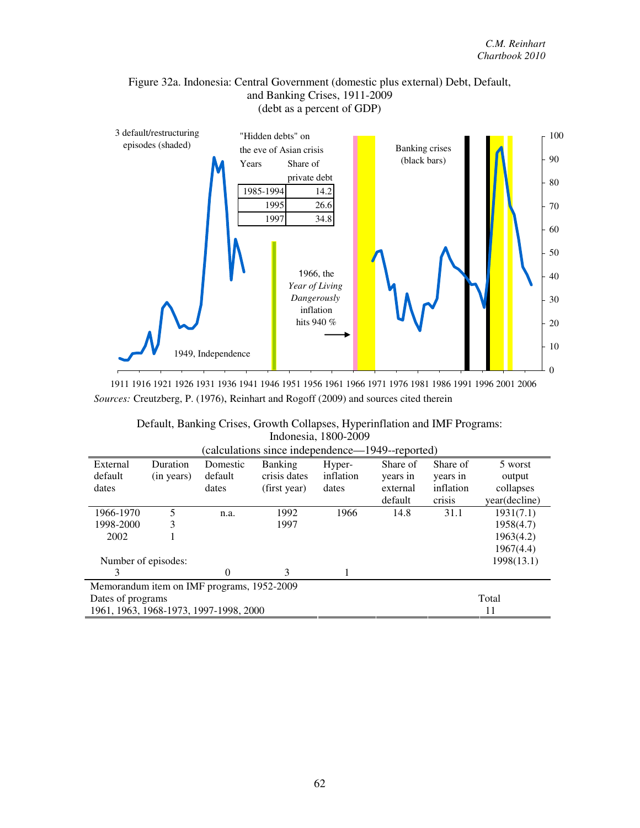



1911 1916 1921 1926 1931 1936 1941 1946 1951 1956 1961 1966 1971 1976 1981 1986 1991 1996 2001 2006 *Sources:* Creutzberg, P. (1976), Reinhart and Rogoff (2009) and sources cited therein

| Default, Banking Crises, Growth Collapses, Hyperinflation and IMF Programs: |  |
|-----------------------------------------------------------------------------|--|
| Indonesia, 1800-2009                                                        |  |

| (calculations since independence—1949--reported) |            |          |                |           |          |           |               |  |  |  |
|--------------------------------------------------|------------|----------|----------------|-----------|----------|-----------|---------------|--|--|--|
| External                                         | Duration   | Domestic | <b>Banking</b> | Hyper-    | Share of | Share of  | 5 worst       |  |  |  |
| default                                          | (in years) | default  | crisis dates   | inflation | years in | years in  | output        |  |  |  |
| dates                                            |            | dates    | (first year)   | dates     | external | inflation | collapses     |  |  |  |
|                                                  |            |          |                |           | default  | crisis    | year(decline) |  |  |  |
| 1966-1970                                        | 5          | n.a.     | 1992           | 1966      | 14.8     | 31.1      | 1931(7.1)     |  |  |  |
| 1998-2000                                        | 3          |          | 1997           |           |          |           | 1958(4.7)     |  |  |  |
| 2002                                             |            |          |                |           |          |           | 1963(4.2)     |  |  |  |
|                                                  |            |          |                |           |          |           | 1967(4.4)     |  |  |  |
| Number of episodes:                              |            |          |                |           |          |           | 1998(13.1)    |  |  |  |
| 3                                                |            | 0        | 3              |           |          |           |               |  |  |  |
| Memorandum item on IMF programs, 1952-2009       |            |          |                |           |          |           |               |  |  |  |
| Dates of programs                                |            |          |                |           |          |           | Total         |  |  |  |
| 1961, 1963, 1968-1973, 1997-1998, 2000           |            |          |                | 11        |          |           |               |  |  |  |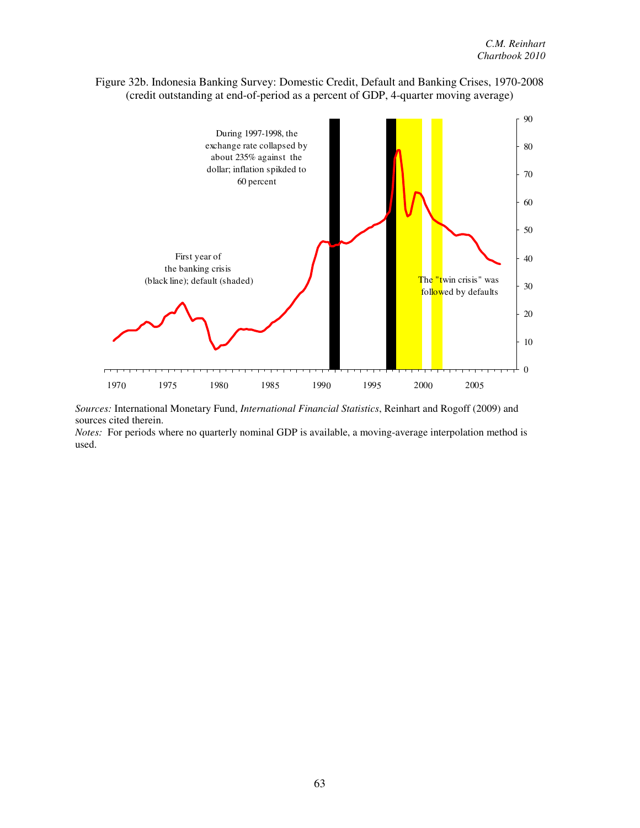

Figure 32b. Indonesia Banking Survey: Domestic Credit, Default and Banking Crises, 1970-2008 (credit outstanding at end-of-period as a percent of GDP, 4-quarter moving average)

*Sources:* International Monetary Fund, *International Financial Statistics*, Reinhart and Rogoff (2009) and sources cited therein.

*Notes:* For periods where no quarterly nominal GDP is available, a moving-average interpolation method is used.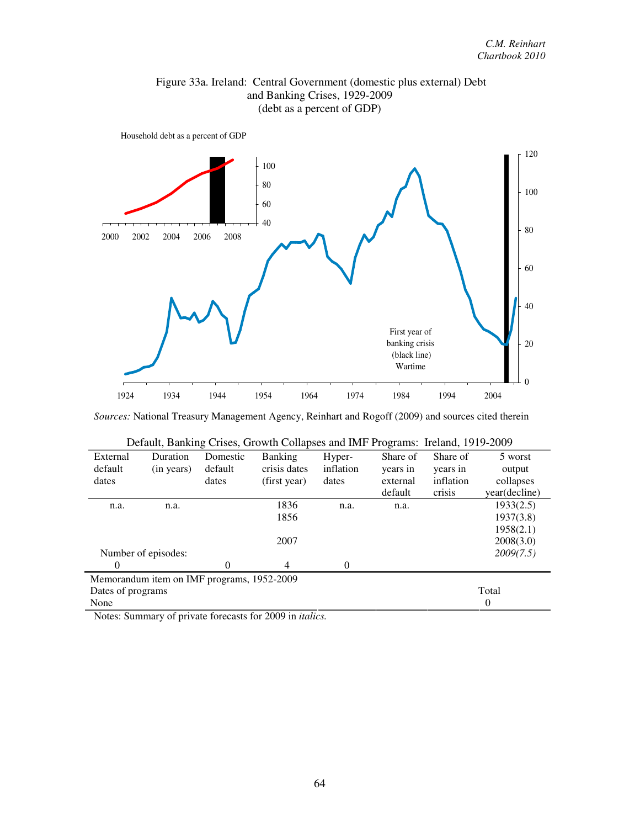



*Sources:* National Treasury Management Agency, Reinhart and Rogoff (2009) and sources cited therein

| External          | Duration                                   | Domestic | <b>Banking</b> | Hyper-    | Share of | Share of  | 5 worst       |
|-------------------|--------------------------------------------|----------|----------------|-----------|----------|-----------|---------------|
| default           | (in years)                                 | default  | crisis dates   | inflation | years in | years in  | output        |
| dates             |                                            | dates    | (first year)   | dates     | external | inflation | collapses     |
|                   |                                            |          |                |           | default  | crisis    | year(decline) |
| n.a.              | n.a.                                       |          | 1836           | n.a.      | n.a.     |           | 1933(2.5)     |
|                   |                                            |          | 1856           |           |          |           | 1937(3.8)     |
|                   |                                            |          |                |           |          |           | 1958(2.1)     |
|                   |                                            |          | 2007           |           |          |           | 2008(3.0)     |
|                   | Number of episodes:                        |          |                |           |          |           | 2009(7.5)     |
| 0                 |                                            | 0        | $\overline{4}$ | $\Omega$  |          |           |               |
|                   | Memorandum item on IMF programs, 1952-2009 |          |                |           |          |           |               |
| Dates of programs |                                            |          |                |           |          |           | Total         |
| None              |                                            |          |                |           |          |           | $\theta$      |

| Default, Banking Crises, Growth Collapses and IMF Programs: Ireland, 1919-2009 |  |  |  |  |
|--------------------------------------------------------------------------------|--|--|--|--|
|                                                                                |  |  |  |  |

Notes: Summary of private forecasts for 2009 in *italics.*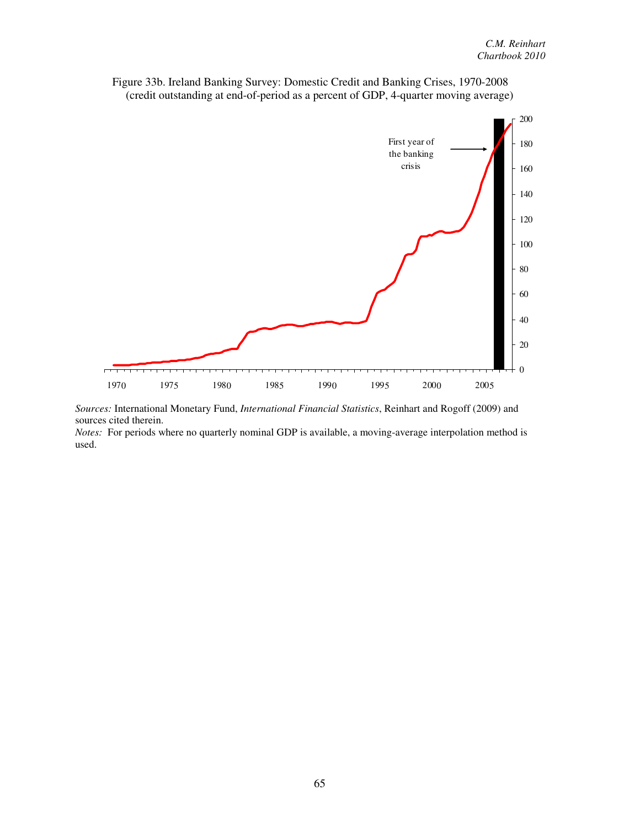



*Sources:* International Monetary Fund, *International Financial Statistics*, Reinhart and Rogoff (2009) and sources cited therein.

*Notes:* For periods where no quarterly nominal GDP is available, a moving-average interpolation method is used.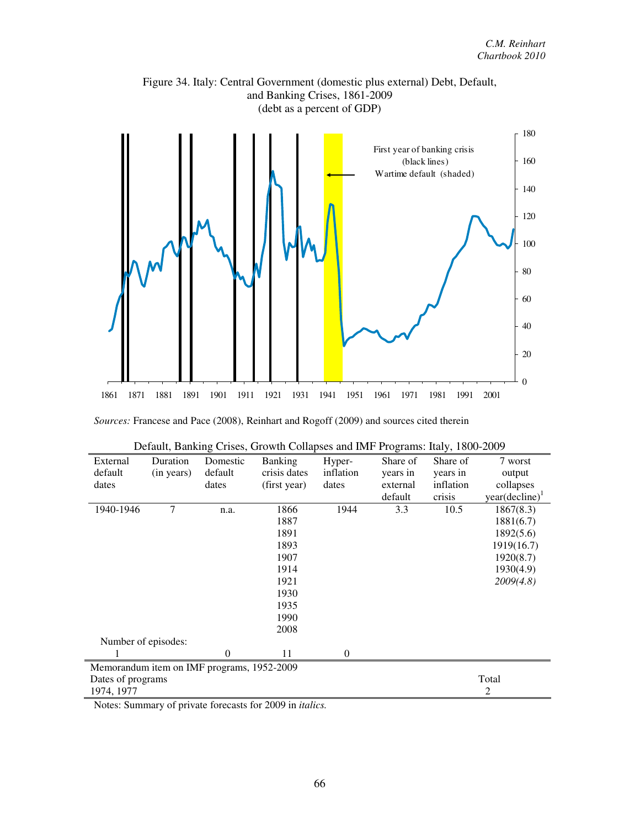

Figure 34. Italy: Central Government (domestic plus external) Debt, Default, and Banking Crises, 1861-2009

*Sources:* Francese and Pace (2008), Reinhart and Rogoff (2009) and sources cited therein

| External            | Duration   | Domestic                                   | <b>Banking</b>                                                 | Hyper-    | Share of | Share of  | 7 worst                    |
|---------------------|------------|--------------------------------------------|----------------------------------------------------------------|-----------|----------|-----------|----------------------------|
| default             | (in years) | default                                    | crisis dates                                                   | inflation | years in | years in  | output                     |
| dates               |            | dates                                      | (first year)                                                   | dates     | external | inflation | collapses                  |
|                     |            |                                            |                                                                |           | default  | crisis    | year(decline) <sup>1</sup> |
| 1940-1946           | 7          | n.a.                                       | 1866                                                           | 1944      | 3.3      | 10.5      | 1867(8.3)                  |
|                     |            |                                            | 1887                                                           |           |          |           | 1881(6.7)                  |
|                     |            |                                            | 1891                                                           |           |          |           | 1892(5.6)                  |
|                     |            |                                            | 1893                                                           |           |          |           | 1919(16.7)                 |
|                     |            |                                            | 1907                                                           |           |          |           | 1920(8.7)                  |
|                     |            |                                            | 1914                                                           |           |          |           | 1930(4.9)                  |
|                     |            |                                            | 1921                                                           |           |          |           | 2009(4.8)                  |
|                     |            |                                            | 1930                                                           |           |          |           |                            |
|                     |            |                                            | 1935                                                           |           |          |           |                            |
|                     |            |                                            | 1990                                                           |           |          |           |                            |
|                     |            |                                            | 2008                                                           |           |          |           |                            |
| Number of episodes: |            |                                            |                                                                |           |          |           |                            |
|                     |            | $\Omega$                                   | 11                                                             | $\theta$  |          |           |                            |
|                     |            | Memorandum item on IMF programs, 1952-2009 |                                                                |           |          |           |                            |
| Dates of programs   |            |                                            |                                                                |           |          |           | Total                      |
| 1974, 1977          |            |                                            |                                                                |           |          |           | $\overline{2}$             |
|                     |            |                                            | Notes: Summary of private forecasts for 2000 in <i>italias</i> |           |          |           |                            |

| Default, Banking Crises, Growth Collapses and IMF Programs: Italy, 1800-2009 |  |
|------------------------------------------------------------------------------|--|
|                                                                              |  |

Notes: Summary of private forecasts for 2009 in *italics.*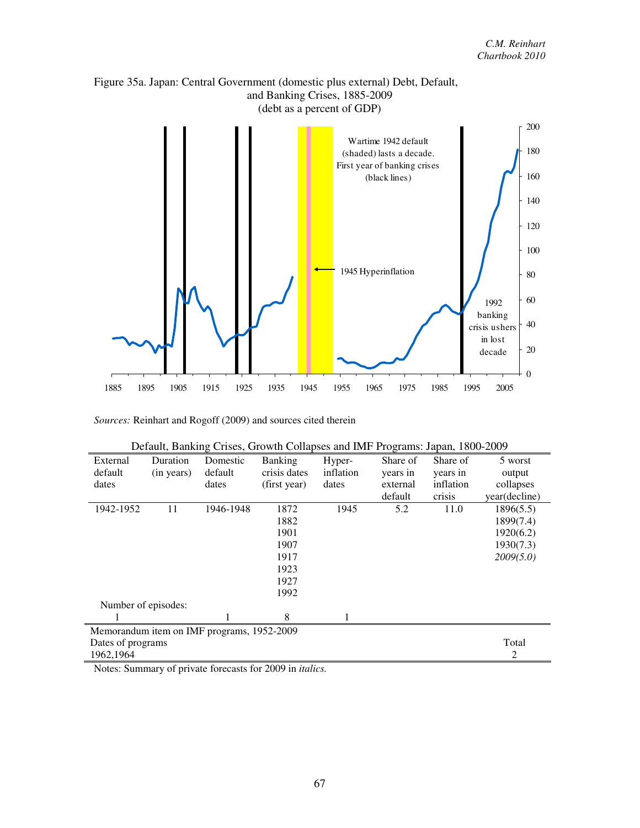



|                     |            |                                            |                |           | 0        | $---7$    |               |
|---------------------|------------|--------------------------------------------|----------------|-----------|----------|-----------|---------------|
| External            | Duration   | Domestic                                   | <b>Banking</b> | Hyper-    | Share of | Share of  | 5 worst       |
| default             | (in years) | default                                    | crisis dates   | inflation | years in | years in  | output        |
| dates               |            | dates                                      | (first year)   | dates     | external | inflation | collapses     |
|                     |            |                                            |                |           | default  | crisis    | year(decline) |
| 1942-1952           | 11         | 1946-1948                                  | 1872           | 1945      | 5.2      | 11.0      | 1896(5.5)     |
|                     |            |                                            | 1882           |           |          |           | 1899(7.4)     |
|                     |            |                                            | 1901           |           |          |           | 1920(6.2)     |
|                     |            |                                            | 1907           |           |          |           | 1930(7.3)     |
|                     |            |                                            | 1917           |           |          |           | 2009(5.0)     |
|                     |            |                                            | 1923           |           |          |           |               |
|                     |            |                                            | 1927           |           |          |           |               |
|                     |            |                                            | 1992           |           |          |           |               |
| Number of episodes: |            |                                            |                |           |          |           |               |
|                     |            |                                            | 8              |           |          |           |               |
|                     |            | Memorandum item on IMF programs, 1952-2009 |                |           |          |           |               |
| Dates of programs   |            |                                            |                |           |          |           | Total         |
| 1962,1964           |            |                                            |                |           |          |           | 2             |

| Default, Banking Crises, Growth Collapses and IMF Programs: Japan, 1800-2009 |  |
|------------------------------------------------------------------------------|--|
|                                                                              |  |

Notes: Summary of private forecasts for 2009 in *italics.*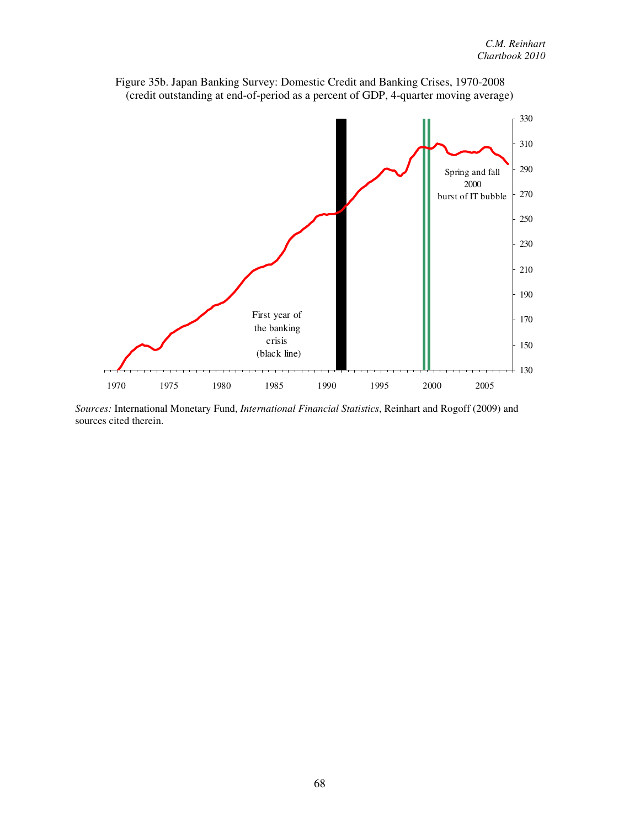



*Sources:* International Monetary Fund, *International Financial Statistics*, Reinhart and Rogoff (2009) and sources cited therein.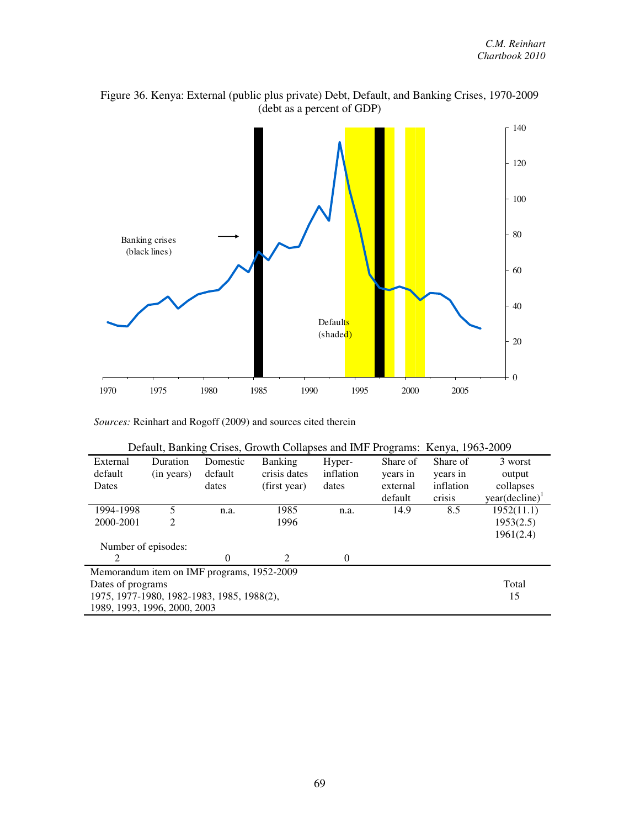

Figure 36. Kenya: External (public plus private) Debt, Default, and Banking Crises, 1970-2009 (debt as a percent of GDP)

|                                            | Default, Banking Crises, Growth Collapses and IMF Programs: Kenya, 1963-2009 |          |                             |           |          |           |                            |  |  |  |  |
|--------------------------------------------|------------------------------------------------------------------------------|----------|-----------------------------|-----------|----------|-----------|----------------------------|--|--|--|--|
| External                                   | Duration                                                                     | Domestic | <b>Banking</b>              | Hyper-    | Share of | Share of  | 3 worst                    |  |  |  |  |
| default                                    | (in years)                                                                   | default  | crisis dates                | inflation | years in | years in  | output                     |  |  |  |  |
| Dates                                      |                                                                              | dates    | (first year)                | dates     | external | inflation | collapses                  |  |  |  |  |
|                                            |                                                                              |          |                             |           | default  | crisis    | year(decline) <sup>1</sup> |  |  |  |  |
| 1994-1998                                  | 5                                                                            | n.a.     | 1985                        | n.a.      | 14.9     | 8.5       | 1952(11.1)                 |  |  |  |  |
| 2000-2001                                  | 2                                                                            |          | 1996                        |           |          |           | 1953(2.5)                  |  |  |  |  |
|                                            |                                                                              |          |                             |           |          |           | 1961(2.4)                  |  |  |  |  |
| Number of episodes:                        |                                                                              |          |                             |           |          |           |                            |  |  |  |  |
| 2                                          |                                                                              | $\Omega$ | $\mathcal{D}_{\mathcal{A}}$ | 0         |          |           |                            |  |  |  |  |
| Memorandum item on IMF programs, 1952-2009 |                                                                              |          |                             |           |          |           |                            |  |  |  |  |
| Dates of programs                          |                                                                              |          |                             |           |          |           | Total                      |  |  |  |  |
| 1975, 1977-1980, 1982-1983, 1985, 1988(2), |                                                                              |          |                             |           |          |           | 15                         |  |  |  |  |
| 1989, 1993, 1996, 2000, 2003               |                                                                              |          |                             |           |          |           |                            |  |  |  |  |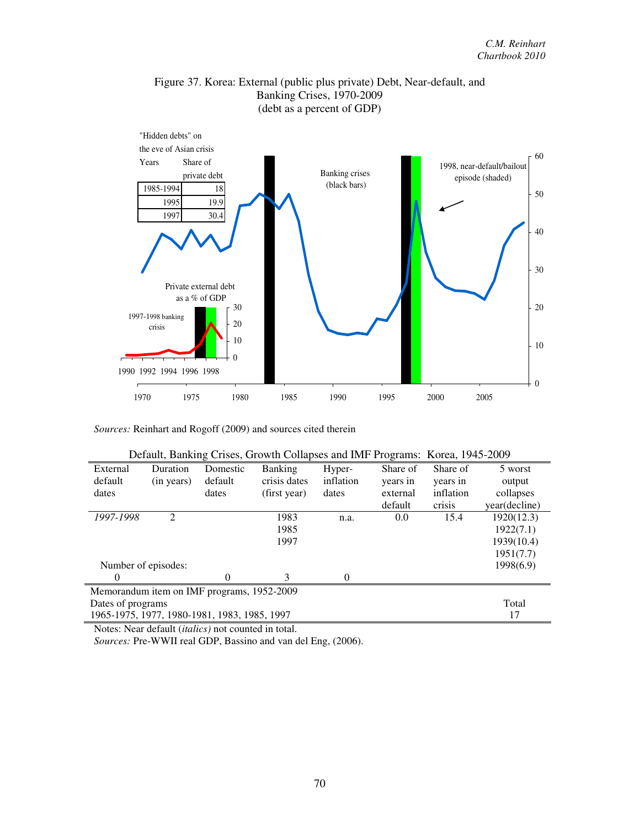

Figure 37. Korea: External (public plus private) Debt, Near-default, and Banking Crises, 1970-2009 (debt as a percent of GDP)

| Defigure, Damning Crises, Growth Conapses and fivir Trograms. Korea, 1745-2007 |                     |                                              |                |           |          |           |               |  |  |
|--------------------------------------------------------------------------------|---------------------|----------------------------------------------|----------------|-----------|----------|-----------|---------------|--|--|
| External                                                                       | Duration            | Domestic                                     | <b>Banking</b> | Hyper-    | Share of | Share of  | 5 worst       |  |  |
| default                                                                        | (in years)          | default                                      | crisis dates   | inflation | years in | years in  | output        |  |  |
| dates                                                                          |                     | dates                                        | (first year)   | dates     | external | inflation | collapses     |  |  |
|                                                                                |                     |                                              |                |           | default  | crisis    | year(decline) |  |  |
| 1997-1998                                                                      | $\mathfrak{D}$      |                                              | 1983           | n.a.      | 0.0      | 15.4      | 1920(12.3)    |  |  |
|                                                                                |                     |                                              | 1985           |           |          |           | 1922(7.1)     |  |  |
|                                                                                |                     |                                              | 1997           |           |          |           | 1939(10.4)    |  |  |
|                                                                                |                     |                                              |                |           |          |           | 1951(7.7)     |  |  |
|                                                                                | Number of episodes: |                                              |                |           |          |           | 1998(6.9)     |  |  |
| $\Omega$                                                                       |                     | 0                                            | $\mathcal{E}$  | 0         |          |           |               |  |  |
| Memorandum item on IMF programs, 1952-2009                                     |                     |                                              |                |           |          |           |               |  |  |
| Dates of programs                                                              |                     |                                              |                |           |          |           | Total         |  |  |
|                                                                                |                     | 1965-1975, 1977, 1980-1981, 1983, 1985, 1997 |                |           |          |           | 17            |  |  |

|  |  |  |  |  | Default, Banking Crises, Growth Collapses and IMF Programs: Korea, 1945-2009 |  |
|--|--|--|--|--|------------------------------------------------------------------------------|--|
|--|--|--|--|--|------------------------------------------------------------------------------|--|

Notes: Near default (*italics)* not counted in total.

*Sources:* Pre-WWII real GDP, Bassino and van del Eng, (2006).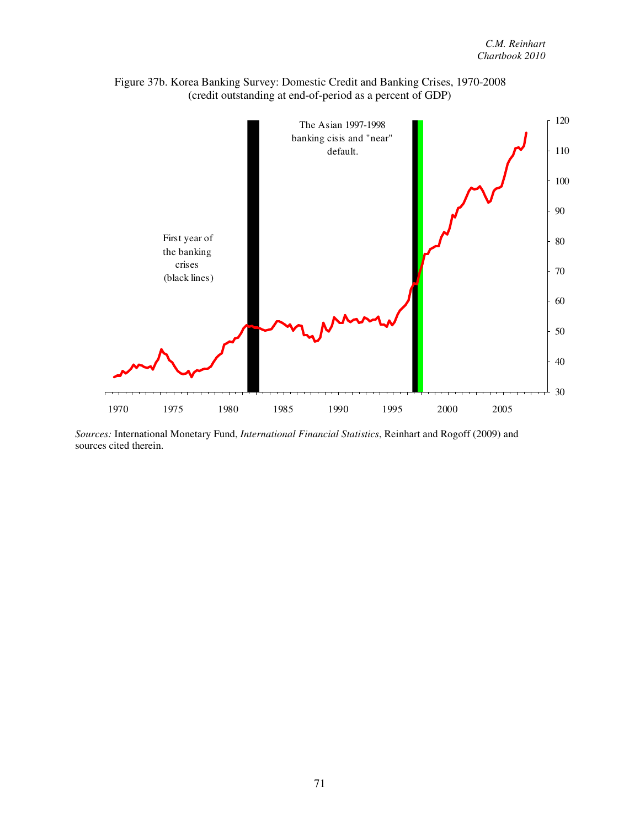

Figure 37b. Korea Banking Survey: Domestic Credit and Banking Crises, 1970-2008 (credit outstanding at end-of-period as a percent of GDP)

*Sources:* International Monetary Fund, *International Financial Statistics*, Reinhart and Rogoff (2009) and sources cited therein.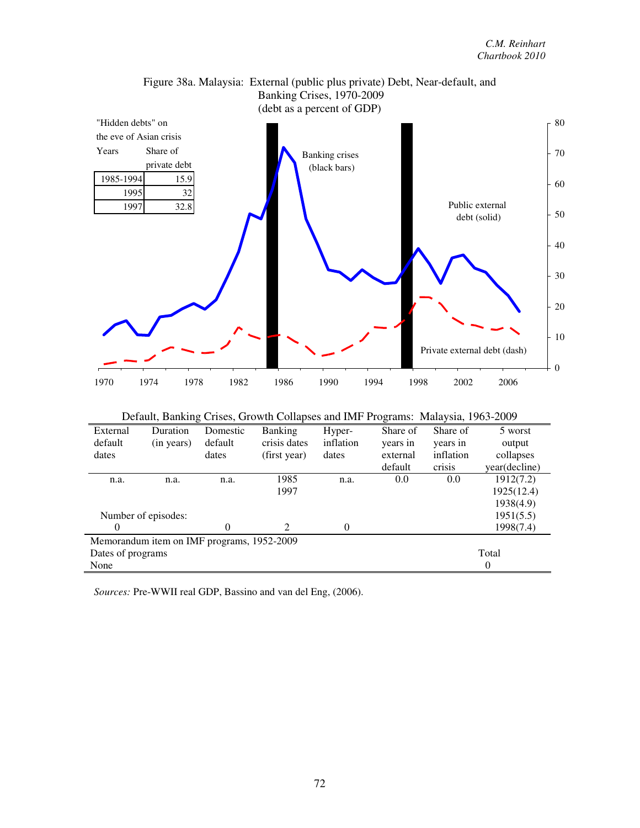



|                   |                                            |          | Default, Banking Crises, Growth Collapses and IMF Programs: Malaysia, 1963-2009 |           |          |           |                  |
|-------------------|--------------------------------------------|----------|---------------------------------------------------------------------------------|-----------|----------|-----------|------------------|
| External          | Duration                                   | Domestic | <b>Banking</b>                                                                  | Hyper-    | Share of | Share of  | 5 worst          |
| default           | (in years)                                 | default  | crisis dates                                                                    | inflation | years in | years in  | output           |
| dates             |                                            | dates    | (first year)                                                                    | dates     | external | inflation | collapses        |
|                   |                                            |          |                                                                                 |           | default  | crisis    | year(decline)    |
| n.a.              | n.a.                                       | n.a.     | 1985                                                                            | n.a.      | 0.0      | 0.0       | 1912(7.2)        |
|                   |                                            |          | 1997                                                                            |           |          |           | 1925(12.4)       |
|                   |                                            |          |                                                                                 |           |          |           | 1938(4.9)        |
|                   | Number of episodes:                        |          |                                                                                 |           |          |           | 1951(5.5)        |
| 0                 |                                            | 0        | 2                                                                               | $\Omega$  |          |           | 1998(7.4)        |
|                   | Memorandum item on IMF programs, 1952-2009 |          |                                                                                 |           |          |           |                  |
| Dates of programs |                                            |          |                                                                                 |           |          |           | Total            |
| None              |                                            |          |                                                                                 |           |          |           | $\boldsymbol{0}$ |

*Sources:* Pre-WWII real GDP, Bassino and van del Eng, (2006).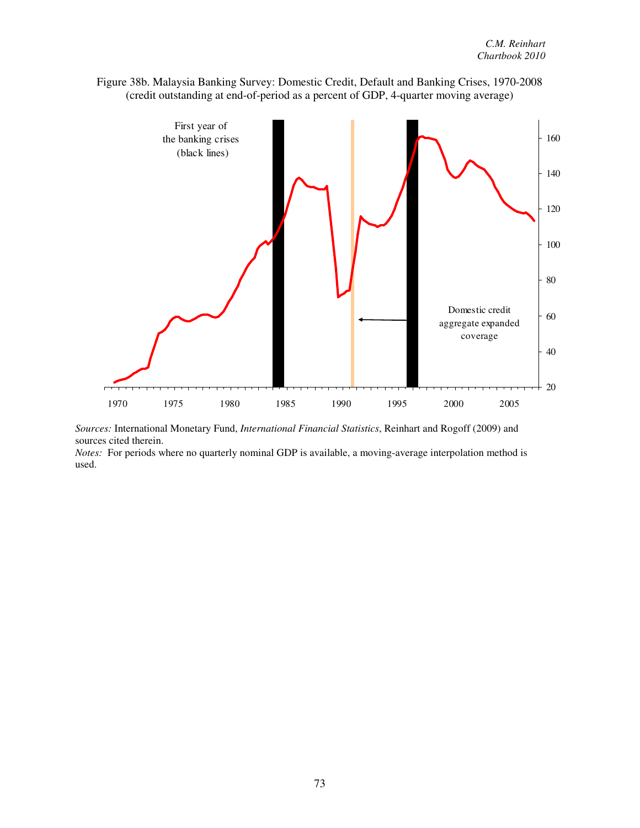

Figure 38b. Malaysia Banking Survey: Domestic Credit, Default and Banking Crises, 1970-2008 (credit outstanding at end-of-period as a percent of GDP, 4-quarter moving average)

*Sources:* International Monetary Fund, *International Financial Statistics*, Reinhart and Rogoff (2009) and sources cited therein.

*Notes:* For periods where no quarterly nominal GDP is available, a moving-average interpolation method is used.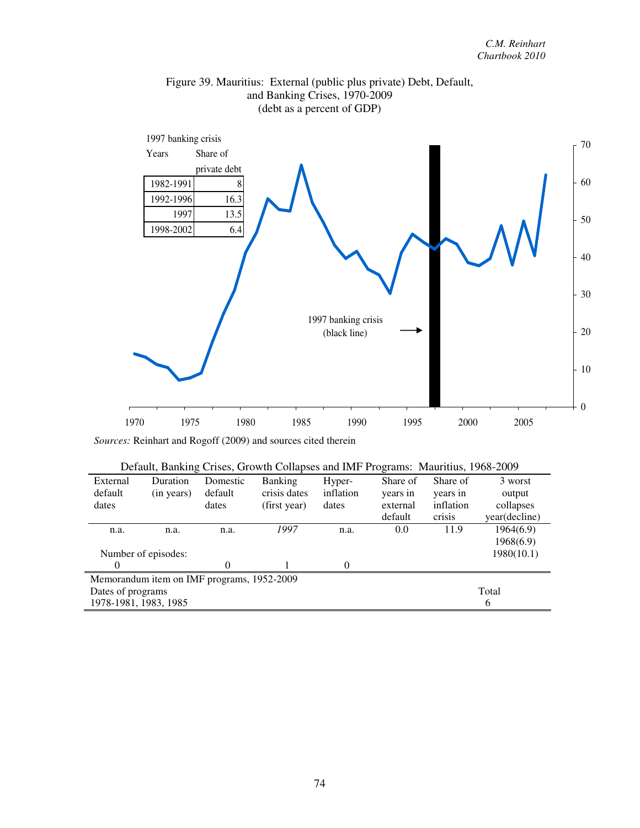

# Figure 39. Mauritius: External (public plus private) Debt, Default, and Banking Crises, 1970-2009 (debt as a percent of GDP)

| Default, Daliking Crises, Growth Conapses and liver Frograms. Mauritius, 1908-2009 |                                            |          |                |           |          |           |               |  |  |
|------------------------------------------------------------------------------------|--------------------------------------------|----------|----------------|-----------|----------|-----------|---------------|--|--|
| External                                                                           | Duration                                   | Domestic | <b>Banking</b> | Hyper-    | Share of | Share of  | 3 worst       |  |  |
| default                                                                            | (in years)                                 | default  | crisis dates   | inflation | years in | years in  | output        |  |  |
| dates                                                                              |                                            | dates    | (first year)   | dates     | external | inflation | collapses     |  |  |
|                                                                                    |                                            |          |                |           | default  | crisis    | year(decline) |  |  |
| n.a.                                                                               | n.a.                                       | n.a.     | 1997           | n.a.      | 0.0      | 11.9      | 1964(6.9)     |  |  |
|                                                                                    |                                            |          |                |           |          |           | 1968(6.9)     |  |  |
|                                                                                    | Number of episodes:                        |          |                |           |          |           | 1980(10.1)    |  |  |
| $\theta$                                                                           |                                            | 0        |                | $\Omega$  |          |           |               |  |  |
|                                                                                    | Memorandum item on IMF programs, 1952-2009 |          |                |           |          |           |               |  |  |
| Dates of programs                                                                  |                                            |          |                |           |          |           | Total         |  |  |
| 1978-1981, 1983, 1985                                                              |                                            |          |                |           |          |           | 6             |  |  |

|  |  |  | Default, Banking Crises, Growth Collapses and IMF Programs: Mauritius, 1968-2009 |  |
|--|--|--|----------------------------------------------------------------------------------|--|
|  |  |  |                                                                                  |  |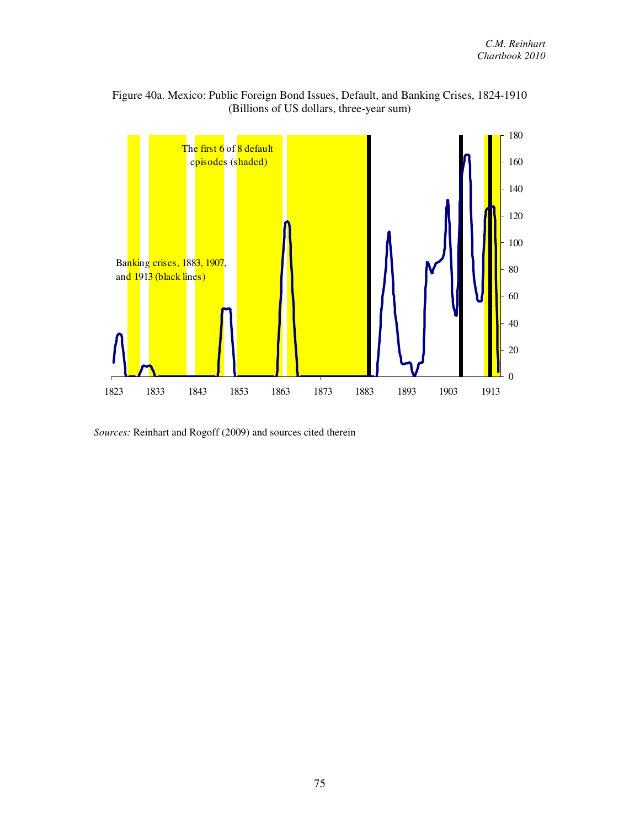

Figure 40a. Mexico: Public Foreign Bond Issues, Default, and Banking Crises, 1824-1910 (Billions of US dollars, three-year sum)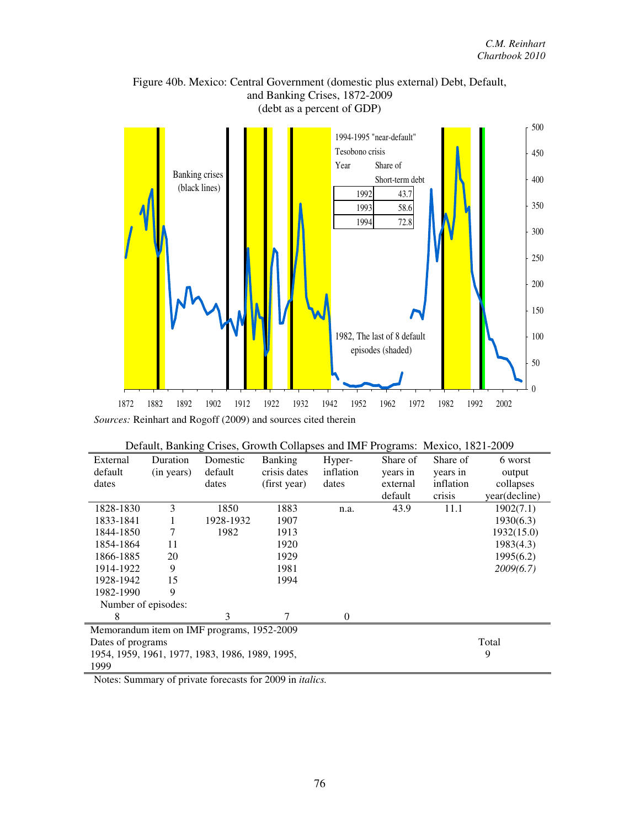

Figure 40b. Mexico: Central Government (domestic plus external) Debt, Default, and Banking Crises, 1872-2009

|                                                      |            |                                            | Default, Banking Crises, Growth Collapses and IMF Programs: Mexico, 1821-2009 |           |          |           |               |
|------------------------------------------------------|------------|--------------------------------------------|-------------------------------------------------------------------------------|-----------|----------|-----------|---------------|
| External                                             | Duration   | Domestic                                   | <b>Banking</b>                                                                | Hyper-    | Share of | Share of  | 6 worst       |
| default                                              | (in years) | default                                    | crisis dates                                                                  | inflation | years in | years in  | output        |
| dates                                                |            | dates                                      | (first year)                                                                  | dates     | external | inflation | collapses     |
|                                                      |            |                                            |                                                                               |           | default  | crisis    | year(decline) |
| 1828-1830                                            | 3          | 1850                                       | 1883                                                                          | n.a.      | 43.9     | 11.1      | 1902(7.1)     |
| 1833-1841                                            |            | 1928-1932                                  | 1907                                                                          |           |          |           | 1930(6.3)     |
| 1844-1850                                            | 7          | 1982                                       | 1913                                                                          |           |          |           | 1932(15.0)    |
| 1854-1864                                            | 11         |                                            | 1920                                                                          |           |          |           | 1983(4.3)     |
| 1866-1885                                            | 20         |                                            | 1929                                                                          |           |          |           | 1995(6.2)     |
| 1914-1922                                            | 9          |                                            | 1981                                                                          |           |          |           | 2009(6.7)     |
| 1928-1942                                            | 15         |                                            | 1994                                                                          |           |          |           |               |
| 1982-1990                                            | 9          |                                            |                                                                               |           |          |           |               |
| Number of episodes:                                  |            |                                            |                                                                               |           |          |           |               |
| 8                                                    |            | 3                                          | 7                                                                             | $\theta$  |          |           |               |
|                                                      |            | Memorandum item on IMF programs, 1952-2009 |                                                                               |           |          |           |               |
| Total<br>Dates of programs                           |            |                                            |                                                                               |           |          |           |               |
| 1954, 1959, 1961, 1977, 1983, 1986, 1989, 1995,<br>9 |            |                                            |                                                                               |           |          |           |               |
| 1999                                                 |            |                                            |                                                                               |           |          |           |               |

Notes: Summary of private forecasts for 2009 in *italics.*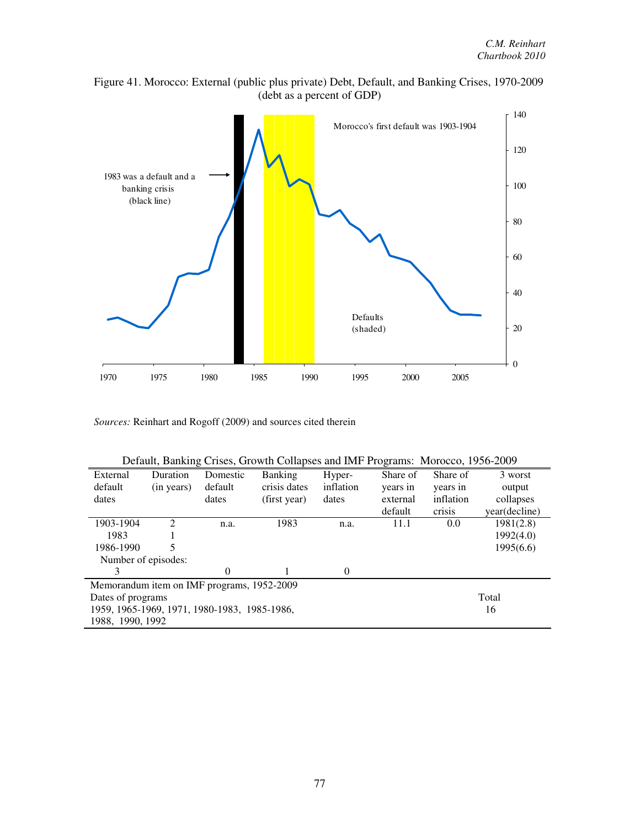



|  |  | Default, Banking Crises, Growth Collapses and IMF Programs: Morocco, 1956-2009 |  |  |
|--|--|--------------------------------------------------------------------------------|--|--|
|  |  |                                                                                |  |  |

| External                                     | Duration                      | Domestic | <b>Banking</b> | Hyper-    | Share of | Share of  | 3 worst       |
|----------------------------------------------|-------------------------------|----------|----------------|-----------|----------|-----------|---------------|
| default                                      | (in years)                    | default  | crisis dates   | inflation | years in | years in  | output        |
| dates                                        |                               | dates    | (first year)   | dates     | external | inflation | collapses     |
|                                              |                               |          |                |           | default  | crisis    | year(decline) |
| 1903-1904                                    | $\mathfrak{D}_{\mathfrak{p}}$ | n.a.     | 1983           | n.a.      | 11.1     | 0.0       | 1981(2.8)     |
| 1983                                         |                               |          |                |           |          |           | 1992(4.0)     |
| 1986-1990                                    |                               |          |                |           |          |           | 1995(6.6)     |
| Number of episodes:                          |                               |          |                |           |          |           |               |
| 3                                            |                               | 0        |                | $\theta$  |          |           |               |
| Memorandum item on IMF programs, 1952-2009   |                               |          |                |           |          |           |               |
| Dates of programs                            |                               |          |                |           |          |           | Total         |
| 1959, 1965-1969, 1971, 1980-1983, 1985-1986, |                               |          |                |           |          |           | 16            |
| 1988, 1990, 1992                             |                               |          |                |           |          |           |               |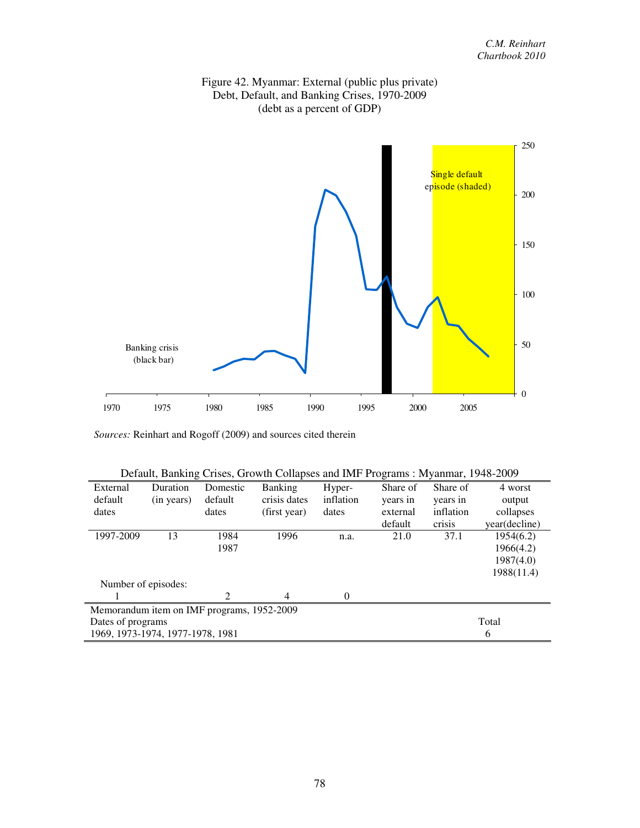



| Default, Banking Crises, Growth Collapses and IMF Programs: Myanmar, 1948-2009 |            |          |              |           |          |           |               |  |  |
|--------------------------------------------------------------------------------|------------|----------|--------------|-----------|----------|-----------|---------------|--|--|
| External                                                                       | Duration   | Domestic | Banking      | Hyper-    | Share of | Share of  | 4 worst       |  |  |
| default                                                                        | (in years) | default  | crisis dates | inflation | years in | years in  | output        |  |  |
| dates                                                                          |            | dates    | (first year) | dates     | external | inflation | collapses     |  |  |
|                                                                                |            |          |              |           | default  | crisis    | year(decline) |  |  |
| 1997-2009                                                                      | 13         | 1984     | 1996         | n.a.      | 21.0     | 37.1      | 1954(6.2)     |  |  |
|                                                                                |            | 1987     |              |           |          |           | 1966(4.2)     |  |  |
|                                                                                |            |          |              |           |          |           | 1987(4.0)     |  |  |
|                                                                                |            |          |              |           |          |           | 1988(11.4)    |  |  |
| Number of episodes:                                                            |            |          |              |           |          |           |               |  |  |
|                                                                                |            | 2        | 4            | $\Omega$  |          |           |               |  |  |
| Memorandum item on IMF programs, 1952-2009                                     |            |          |              |           |          |           |               |  |  |
| Total<br>Dates of programs                                                     |            |          |              |           |          |           |               |  |  |
| 1969, 1973-1974, 1977-1978, 1981                                               |            |          |              |           |          |           | 6             |  |  |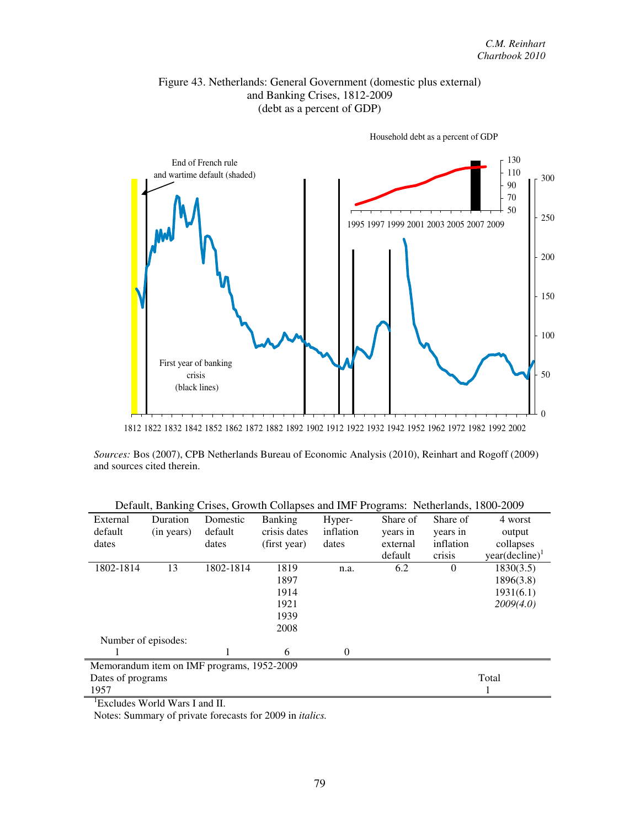## Figure 43. Netherlands: General Government (domestic plus external) and Banking Crises, 1812-2009 (debt as a percent of GDP)



Household debt as a percent of GDP

1812 1822 1832 1842 1852 1862 1872 1882 1892 1902 1912 1922 1932 1942 1952 1962 1972 1982 1992 2002

*Sources:* Bos (2007), CPB Netherlands Bureau of Economic Analysis (2010), Reinhart and Rogoff (2009) and sources cited therein.

|                     |            |                                            | Default, Daliking Crises, Growth Conapses and hvir Trograms. Twinefamus, Tooo-2007 |           |          |           |                     |
|---------------------|------------|--------------------------------------------|------------------------------------------------------------------------------------|-----------|----------|-----------|---------------------|
| External            | Duration   | Domestic                                   | <b>Banking</b>                                                                     | Hyper-    | Share of | Share of  | 4 worst             |
| default             | (in years) | default                                    | crisis dates                                                                       | inflation | years in | years in  | output              |
| dates               |            | dates                                      | (first year)                                                                       | dates     | external | inflation | collapses           |
|                     |            |                                            |                                                                                    |           | default  | crisis    | $year(decline)^{1}$ |
| 1802-1814           | 13         | 1802-1814                                  | 1819                                                                               | n.a.      | 6.2      | $\theta$  | 1830(3.5)           |
|                     |            |                                            | 1897                                                                               |           |          |           | 1896(3.8)           |
|                     |            |                                            | 1914                                                                               |           |          |           | 1931(6.1)           |
|                     |            |                                            | 1921                                                                               |           |          |           | 2009(4.0)           |
|                     |            |                                            | 1939                                                                               |           |          |           |                     |
|                     |            |                                            | 2008                                                                               |           |          |           |                     |
| Number of episodes: |            |                                            |                                                                                    |           |          |           |                     |
|                     |            |                                            | 6                                                                                  | $\Omega$  |          |           |                     |
|                     |            | Memorandum item on IMF programs, 1952-2009 |                                                                                    |           |          |           |                     |
| Dates of programs   |            |                                            |                                                                                    |           |          |           | Total               |
| 1957                |            |                                            |                                                                                    |           |          |           |                     |

Default, Banking Crises, Growth Collapses and IMF Programs: Netherlands, 1800-2009

<sup>1</sup>Excludes World Wars I and II.

Notes: Summary of private forecasts for 2009 in *italics.*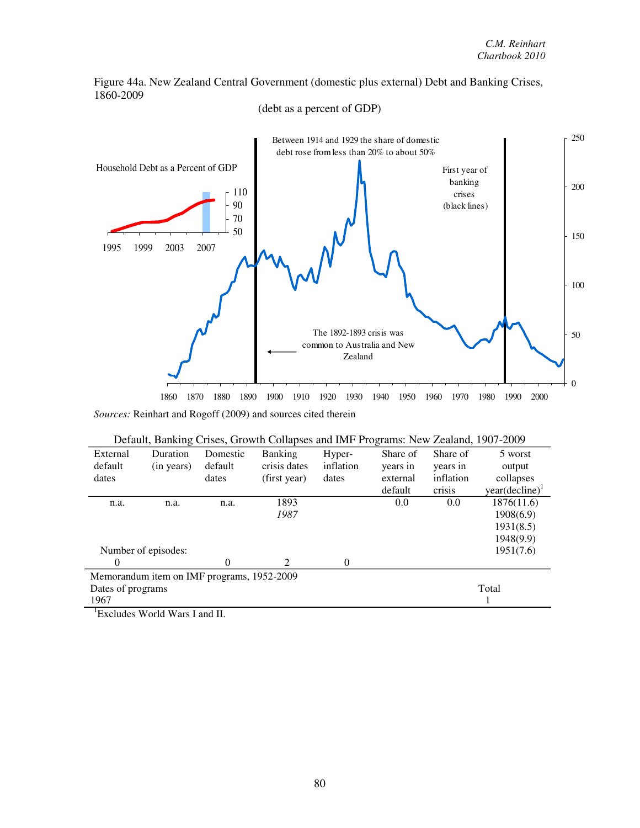Figure 44a. New Zealand Central Government (domestic plus external) Debt and Banking Crises, 1860-2009



(debt as a percent of GDP)

*Sources:* Reinhart and Rogoff (2009) and sources cited therein

|                   |                                            |          | Default, Banking Crises, Growth Collapses and IMF Programs: New Zealand, 1907-2009 |           |          |           |                            |
|-------------------|--------------------------------------------|----------|------------------------------------------------------------------------------------|-----------|----------|-----------|----------------------------|
| External          | Duration                                   | Domestic | Banking                                                                            | Hyper-    | Share of | Share of  | 5 worst                    |
| default           | (in years)                                 | default  | crisis dates                                                                       | inflation | years in | years in  | output                     |
| dates             |                                            | dates    | (first year)                                                                       | dates     | external | inflation | collapses                  |
|                   |                                            |          |                                                                                    |           | default  | crisis    | year(decline) <sup>1</sup> |
| n.a.              | n.a.                                       | n.a.     | 1893                                                                               |           | 0.0      | 0.0       | 1876(11.6)                 |
|                   |                                            |          | 1987                                                                               |           |          |           | 1908(6.9)                  |
|                   |                                            |          |                                                                                    |           |          |           | 1931(8.5)                  |
|                   |                                            |          |                                                                                    |           |          |           | 1948(9.9)                  |
|                   | Number of episodes:                        |          |                                                                                    |           |          |           | 1951(7.6)                  |
| $\theta$          |                                            | 0        | $\mathcal{D}_{\mathcal{L}}$                                                        | $\Omega$  |          |           |                            |
|                   | Memorandum item on IMF programs, 1952-2009 |          |                                                                                    |           |          |           |                            |
| Dates of programs |                                            |          |                                                                                    |           |          |           | Total                      |
| 1967              |                                            |          |                                                                                    |           |          |           |                            |
|                   | $^1$ Eveludes World Wars Land II           |          |                                                                                    |           |          |           |                            |

<sup>1</sup>Excludes World Wars I and II.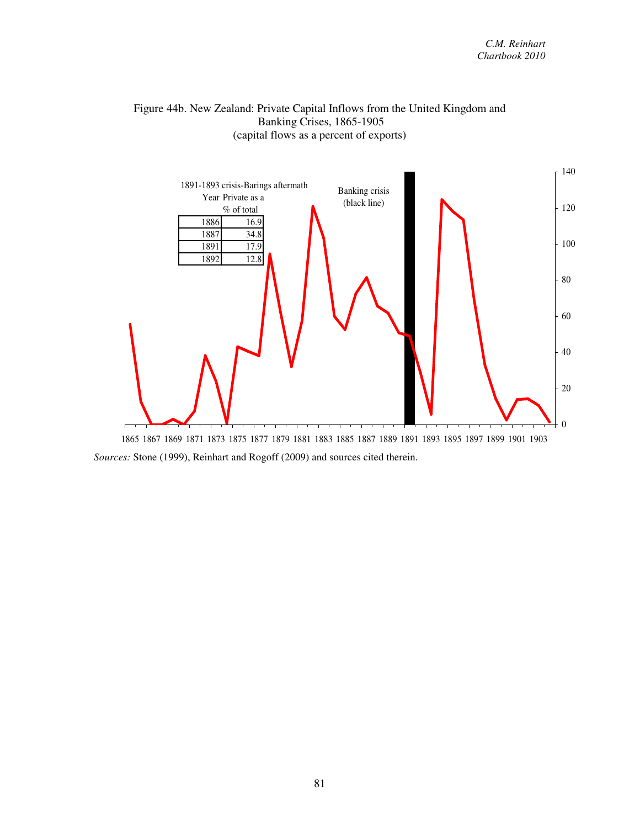#### Figure 44b. New Zealand: Private Capital Inflows from the United Kingdom and Banking Crises, 1865-1905 (capital flows as a percent of exports)

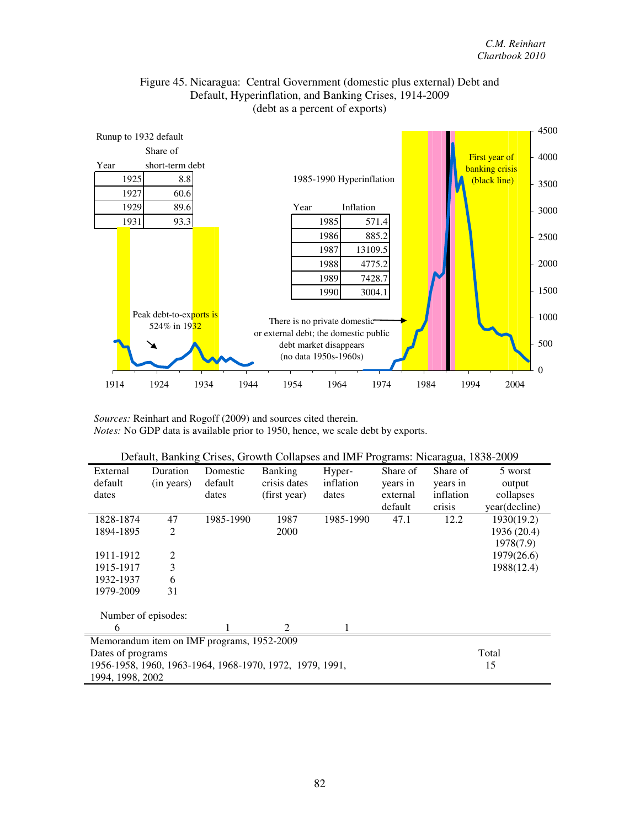

#### Figure 45. Nicaragua: Central Government (domestic plus external) Debt and Default, Hyperinflation, and Banking Crises, 1914-2009 (debt as a percent of exports)

*Sources:* Reinhart and Rogoff (2009) and sources cited therein. *Notes:* No GDP data is available prior to 1950, hence, we scale debt by exports.

|                                                          |                                            |           | Default, Banking Crises, Growth Collapses and IMF Programs: Nicaragua, 1838-2009 |           |          |           |               |  |  |
|----------------------------------------------------------|--------------------------------------------|-----------|----------------------------------------------------------------------------------|-----------|----------|-----------|---------------|--|--|
| External                                                 | Duration                                   | Domestic  | <b>Banking</b>                                                                   | Hyper-    | Share of | Share of  | 5 worst       |  |  |
| default                                                  | (in years)                                 | default   | crisis dates                                                                     | inflation | years in | years in  | output        |  |  |
| dates                                                    |                                            | dates     | (first year)                                                                     | dates     | external | inflation | collapses     |  |  |
|                                                          |                                            |           |                                                                                  |           | default  | crisis    | year(decline) |  |  |
| 1828-1874                                                | 47                                         | 1985-1990 | 1987                                                                             | 1985-1990 | 47.1     | 12.2      | 1930(19.2)    |  |  |
| 1894-1895                                                | $\overline{2}$                             |           | 2000                                                                             |           |          |           | 1936 (20.4)   |  |  |
|                                                          |                                            |           |                                                                                  |           |          |           | 1978(7.9)     |  |  |
| 1911-1912                                                | $\overline{c}$                             |           |                                                                                  |           |          |           | 1979(26.6)    |  |  |
| 1915-1917                                                | 3                                          |           |                                                                                  |           |          |           | 1988(12.4)    |  |  |
| 1932-1937                                                | 6                                          |           |                                                                                  |           |          |           |               |  |  |
| 1979-2009                                                | 31                                         |           |                                                                                  |           |          |           |               |  |  |
| Number of episodes:                                      |                                            |           |                                                                                  |           |          |           |               |  |  |
| 6                                                        |                                            |           | 2                                                                                |           |          |           |               |  |  |
|                                                          | Memorandum item on IMF programs, 1952-2009 |           |                                                                                  |           |          |           |               |  |  |
| Dates of programs                                        |                                            | Total     |                                                                                  |           |          |           |               |  |  |
| 1956-1958, 1960, 1963-1964, 1968-1970, 1972, 1979, 1991, |                                            | 15        |                                                                                  |           |          |           |               |  |  |
| 1994, 1998, 2002                                         |                                            |           |                                                                                  |           |          |           |               |  |  |

| Default, Banking Crises, Growth Collapses and IMF Programs: Nicaragua, 1838-2009 |  |  |  |  |  |
|----------------------------------------------------------------------------------|--|--|--|--|--|
|----------------------------------------------------------------------------------|--|--|--|--|--|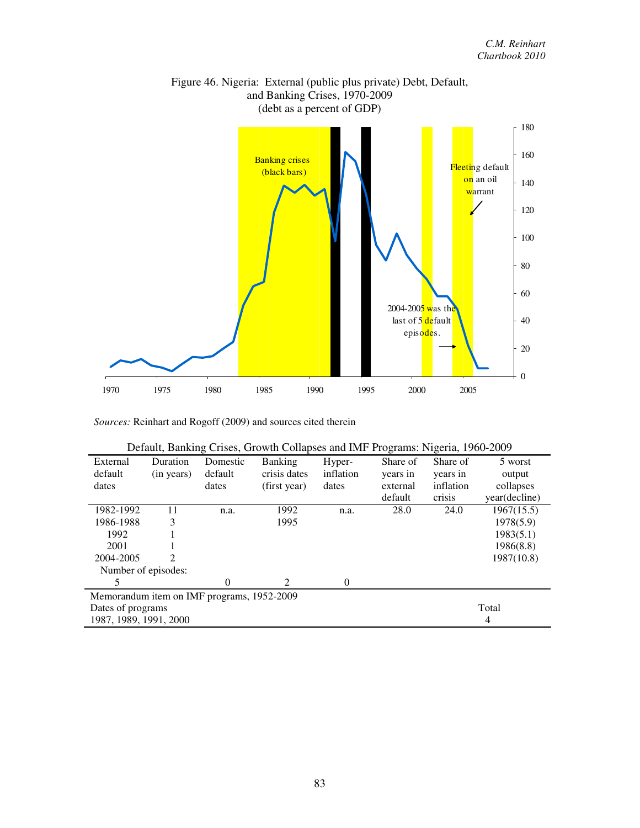

Figure 46. Nigeria: External (public plus private) Debt, Default, and Banking Crises, 1970-2009 (debt as a percent of GDP)

|                                            | Default, Banking Crises, Growth Collapses and IMF Programs: Nigeria, 1960-2009 |          |                |           |          |           |               |
|--------------------------------------------|--------------------------------------------------------------------------------|----------|----------------|-----------|----------|-----------|---------------|
| External                                   | Duration                                                                       | Domestic | <b>Banking</b> | Hyper-    | Share of | Share of  | 5 worst       |
| default                                    | (in years)                                                                     | default  | crisis dates   | inflation | years in | years in  | output        |
| dates                                      |                                                                                | dates    | (first year)   | dates     | external | inflation | collapses     |
|                                            |                                                                                |          |                |           | default  | crisis    | year(decline) |
| 1982-1992                                  | 11                                                                             | n.a.     | 1992           | n.a.      | 28.0     | 24.0      | 1967(15.5)    |
| 1986-1988                                  | 3                                                                              |          | 1995           |           |          |           | 1978(5.9)     |
| 1992                                       |                                                                                |          |                |           |          |           | 1983(5.1)     |
| 2001                                       |                                                                                |          |                |           |          |           | 1986(8.8)     |
| 2004-2005                                  | 2                                                                              |          |                |           |          |           | 1987(10.8)    |
| Number of episodes:                        |                                                                                |          |                |           |          |           |               |
| 5                                          |                                                                                | $\Omega$ | 2              | $\theta$  |          |           |               |
| Memorandum item on IMF programs, 1952-2009 |                                                                                |          |                |           |          |           |               |
| Dates of programs                          |                                                                                |          |                |           |          |           | Total         |
| 1987, 1989, 1991, 2000                     |                                                                                |          |                |           |          |           | 4             |

| $m_{\rm H}$ . Remmart and Rogon (2007) and sources ence increm- |  |  |
|-----------------------------------------------------------------|--|--|
|                                                                 |  |  |
|                                                                 |  |  |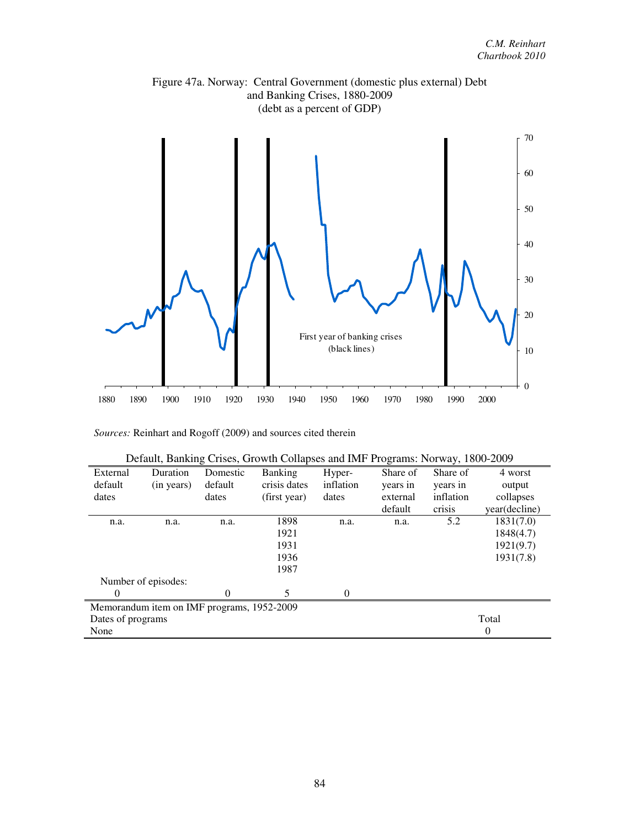

Figure 47a. Norway: Central Government (domestic plus external) Debt and Banking Crises, 1880-2009

| External          | Duration                                   | Domestic | <b>Banking</b> | Hyper-    | Share of | Share of  | 4 worst       |
|-------------------|--------------------------------------------|----------|----------------|-----------|----------|-----------|---------------|
| default           | (in years)                                 | default  | crisis dates   | inflation | years in | years in  | output        |
| dates             |                                            | dates    | (first year)   | dates     | external | inflation | collapses     |
|                   |                                            |          |                |           | default  | crisis    | year(decline) |
| n.a.              | n.a.                                       | n.a.     | 1898           | n.a.      | n.a.     | 5.2       | 1831(7.0)     |
|                   |                                            |          | 1921           |           |          |           | 1848(4.7)     |
|                   |                                            |          | 1931           |           |          |           | 1921(9.7)     |
|                   |                                            |          | 1936           |           |          |           | 1931(7.8)     |
|                   |                                            |          | 1987           |           |          |           |               |
|                   | Number of episodes:                        |          |                |           |          |           |               |
| $\theta$          |                                            | 0        | 5              | $\Omega$  |          |           |               |
|                   | Memorandum item on IMF programs, 1952-2009 |          |                |           |          |           |               |
| Dates of programs |                                            |          |                |           |          |           | Total         |
| None              |                                            |          |                |           |          |           | $\theta$      |

|  |  |  |  | Default, Banking Crises, Growth Collapses and IMF Programs: Norway, 1800-2009 |
|--|--|--|--|-------------------------------------------------------------------------------|
|  |  |  |  |                                                                               |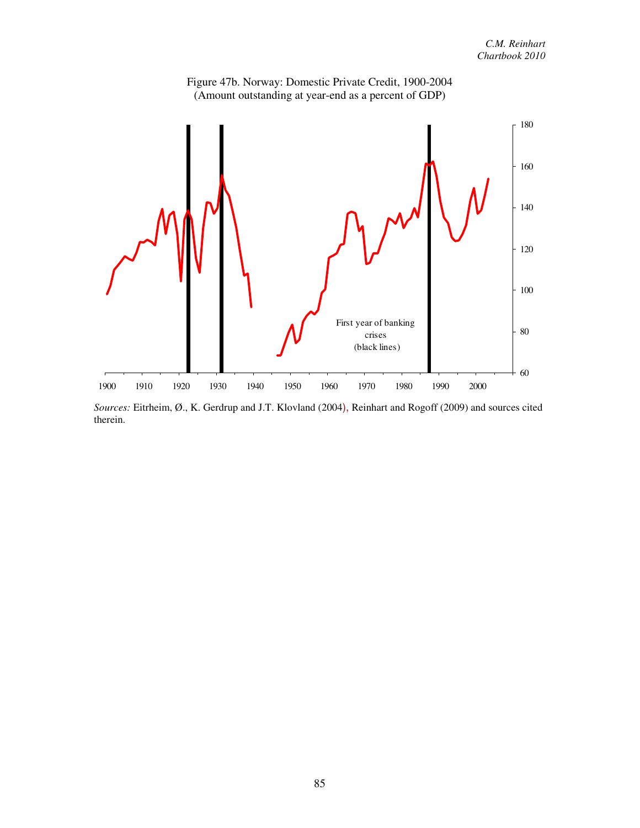

Figure 47b. Norway: Domestic Private Credit, 1900-2004 (Amount outstanding at year-end as a percent of GDP)

*Sources:* Eitrheim, Ø., K. Gerdrup and J.T. Klovland (2004), Reinhart and Rogoff (2009) and sources cited therein.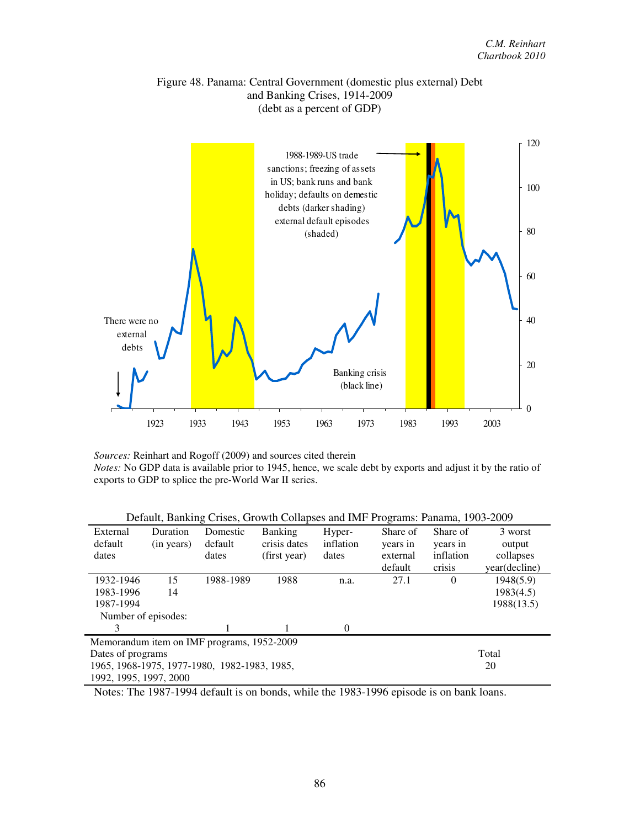#### Figure 48. Panama: Central Government (domestic plus external) Debt and Banking Crises, 1914-2009 (debt as a percent of GDP)



*Sources:* Reinhart and Rogoff (2009) and sources cited therein *Notes:* No GDP data is available prior to 1945, hence, we scale debt by exports and adjust it by the ratio of exports to GDP to splice the pre-World War II series.

| Duration               | Domestic  | <b>Banking</b> | Hyper-                                                                                     | Share of | Share of  | 3 worst       |
|------------------------|-----------|----------------|--------------------------------------------------------------------------------------------|----------|-----------|---------------|
| (in years)             | default   | crisis dates   | inflation                                                                                  | years in | years in  | output        |
|                        | dates     | (first year)   | dates                                                                                      | external | inflation | collapses     |
|                        |           |                |                                                                                            | default  | crisis    | year(decline) |
| 15                     | 1988-1989 | 1988           | n.a.                                                                                       | 27.1     | $\Omega$  | 1948(5.9)     |
| 14                     |           |                |                                                                                            |          |           | 1983(4.5)     |
|                        |           |                |                                                                                            |          |           | 1988(13.5)    |
| Number of episodes:    |           |                |                                                                                            |          |           |               |
|                        |           |                | $\Omega$                                                                                   |          |           |               |
|                        |           |                |                                                                                            |          |           |               |
| Dates of programs      |           |                |                                                                                            |          |           | Total         |
|                        |           |                |                                                                                            |          |           | 20            |
| 1992, 1995, 1997, 2000 |           |                |                                                                                            |          |           |               |
|                        |           |                | Memorandum item on IMF programs, 1952-2009<br>1965, 1968-1975, 1977-1980, 1982-1983, 1985, |          |           |               |

Default, Banking Crises, Growth Collapses and IMF Programs: Panama, 1903-2009

Notes: The 1987-1994 default is on bonds, while the 1983-1996 episode is on bank loans.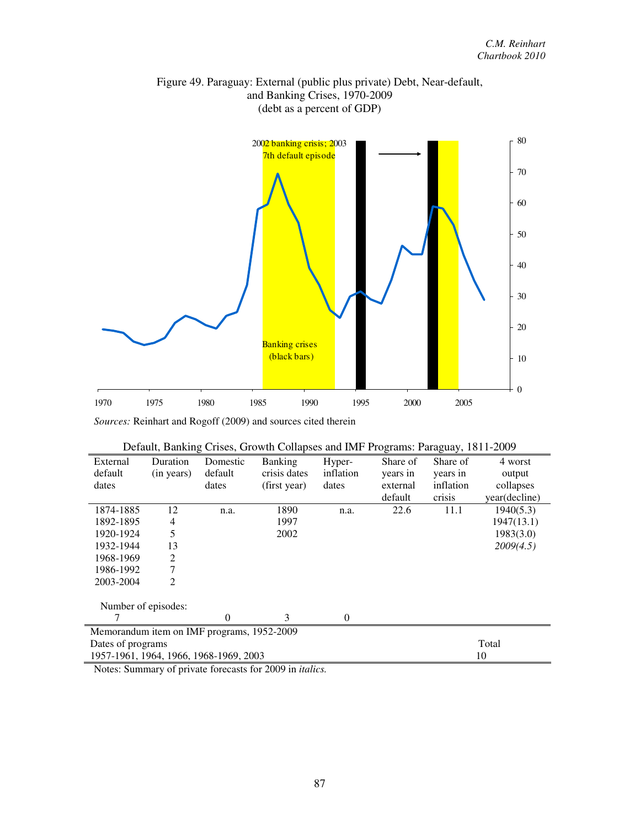

Figure 49. Paraguay: External (public plus private) Debt, Near-default, and Banking Crises, 1970-2009 (debt as a percent of GDP)

| Default, Banking Crises, Growth Collapses and IMF Programs: Paraguay, 1811-2009 |  |  |
|---------------------------------------------------------------------------------|--|--|
|                                                                                 |  |  |

| External                                   | Duration       | Domestic | <b>Banking</b> | Hyper-           | Share of | Share of  | 4 worst       |
|--------------------------------------------|----------------|----------|----------------|------------------|----------|-----------|---------------|
| default                                    | (in years)     | default  | crisis dates   | inflation        | years in | years in  | output        |
| dates                                      |                | dates    | (first year)   | dates            | external | inflation | collapses     |
|                                            |                |          |                |                  | default  | crisis    | year(decline) |
| 1874-1885                                  | 12             | n.a.     | 1890           | n.a.             | 22.6     | 11.1      | 1940(5.3)     |
| 1892-1895                                  | 4              |          | 1997           |                  |          |           | 1947(13.1)    |
| 1920-1924                                  | 5              |          | 2002           |                  |          |           | 1983(3.0)     |
| 1932-1944                                  | 13             |          |                |                  |          |           | 2009(4.5)     |
| 1968-1969                                  | $\overline{2}$ |          |                |                  |          |           |               |
| 1986-1992                                  | 7              |          |                |                  |          |           |               |
| 2003-2004                                  | $\overline{2}$ |          |                |                  |          |           |               |
| Number of episodes:                        |                |          |                |                  |          |           |               |
|                                            |                | 0        | 3              | $\boldsymbol{0}$ |          |           |               |
| Memorandum item on IMF programs, 1952-2009 |                |          |                |                  |          |           |               |
| Dates of programs                          |                |          |                |                  |          |           | Total         |
| 1957-1961, 1964, 1966, 1968-1969, 2003     |                |          |                |                  |          |           | 10            |

Notes: Summary of private forecasts for 2009 in *italics.*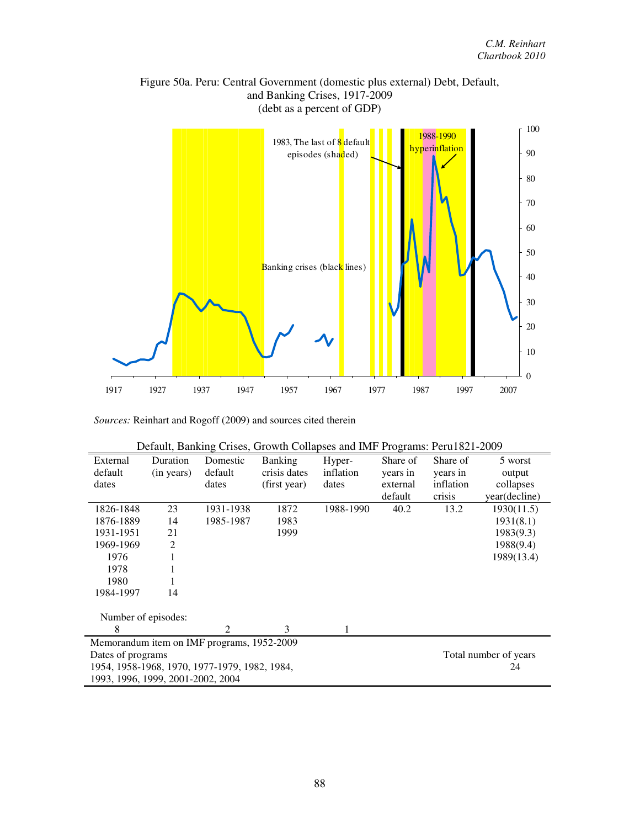

# Figure 50a. Peru: Central Government (domestic plus external) Debt, Default, and Banking Crises, 1917-2009 (debt as a percent of GDP)

| External                          | Duration   | Domestic                                      | <b>Banking</b> | Hyper-    | Share of | Share of  | 5 worst               |
|-----------------------------------|------------|-----------------------------------------------|----------------|-----------|----------|-----------|-----------------------|
| default                           | (in years) | default                                       | crisis dates   | inflation | years in | years in  | output                |
| dates                             |            | dates                                         | (first year)   | dates     | external | inflation | collapses             |
|                                   |            |                                               |                |           | default  | crisis    | year(decline)         |
| 1826-1848                         | 23         | 1931-1938                                     | 1872           | 1988-1990 | 40.2     | 13.2      | 1930(11.5)            |
| 1876-1889                         | 14         | 1985-1987                                     | 1983           |           |          |           | 1931(8.1)             |
| 1931-1951                         | 21         |                                               | 1999           |           |          |           | 1983(9.3)             |
| 1969-1969                         | 2          |                                               |                |           |          |           | 1988(9.4)             |
| 1976                              |            |                                               |                |           |          |           | 1989(13.4)            |
| 1978                              |            |                                               |                |           |          |           |                       |
| 1980                              |            |                                               |                |           |          |           |                       |
| 1984-1997                         | 14         |                                               |                |           |          |           |                       |
| Number of episodes:               |            |                                               |                |           |          |           |                       |
| 8                                 |            | $\mathfrak{D}$                                | 3              |           |          |           |                       |
|                                   |            | Memorandum item on IMF programs, 1952-2009    |                |           |          |           |                       |
| Dates of programs                 |            |                                               |                |           |          |           | Total number of years |
|                                   |            | 1954, 1958-1968, 1970, 1977-1979, 1982, 1984, |                |           |          |           | 24                    |
| 1993, 1996, 1999, 2001-2002, 2004 |            |                                               |                |           |          |           |                       |

| Default, Banking Crises, Growth Collapses and IMF Programs: Peru1821-2009 |  |  |
|---------------------------------------------------------------------------|--|--|
|                                                                           |  |  |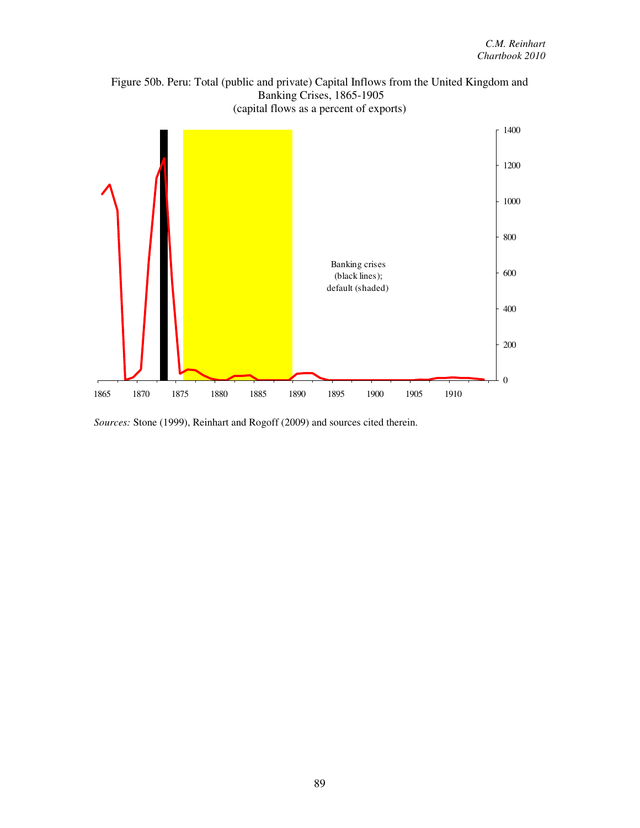



*Sources:* Stone (1999), Reinhart and Rogoff (2009) and sources cited therein.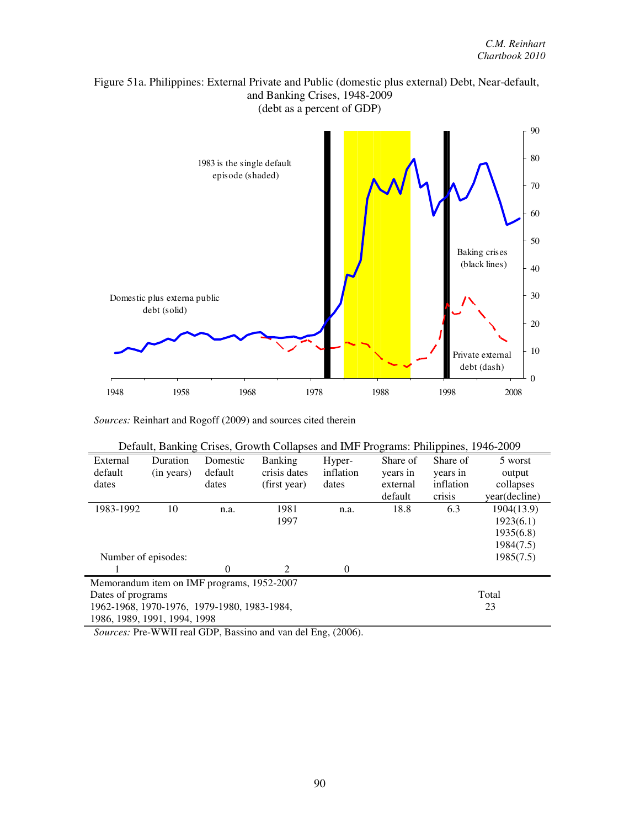



|  | Default, Banking Crises, Growth Collapses and IMF Programs: Philippines, 1946-2009 |  |
|--|------------------------------------------------------------------------------------|--|
|  |                                                                                    |  |

| External                                    | Duration   | Domestic | <b>Banking</b>              | Hyper-         | Share of | Share of  | 5 worst       |
|---------------------------------------------|------------|----------|-----------------------------|----------------|----------|-----------|---------------|
| default                                     | (in years) | default  | crisis dates                | inflation      | years in | years in  | output        |
| dates                                       |            | dates    | (first year)                | dates          | external | inflation | collapses     |
|                                             |            |          |                             |                | default  | crisis    | year(decline) |
| 1983-1992                                   | 10         | n.a.     | 1981                        | n.a.           | 18.8     | 6.3       | 1904(13.9)    |
|                                             |            |          | 1997                        |                |          |           | 1923(6.1)     |
|                                             |            |          |                             |                |          |           | 1935(6.8)     |
|                                             |            |          |                             |                |          |           | 1984(7.5)     |
| Number of episodes:                         |            |          |                             |                |          |           | 1985(7.5)     |
|                                             |            | 0        | $\mathcal{D}_{\mathcal{L}}$ | $\overline{0}$ |          |           |               |
| Memorandum item on IMF programs, 1952-2007  |            |          |                             |                |          |           |               |
| Dates of programs                           |            |          |                             |                |          |           | Total         |
| 1962-1968, 1970-1976, 1979-1980, 1983-1984, |            |          |                             |                |          |           | 23            |
| 1986, 1989, 1991, 1994, 1998                |            |          |                             |                |          |           |               |

*Sources:* Pre-WWII real GDP, Bassino and van del Eng, (2006).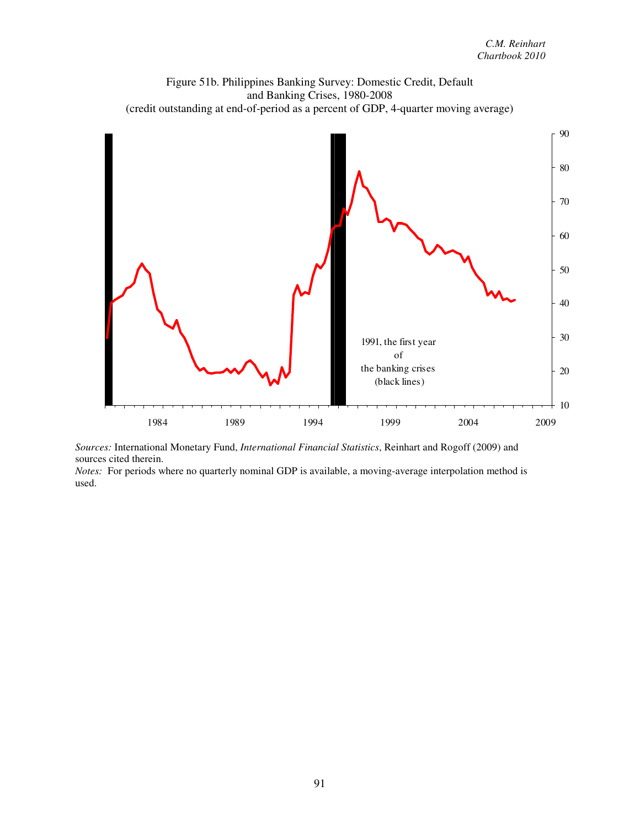

*Sources:* International Monetary Fund, *International Financial Statistics*, Reinhart and Rogoff (2009) and sources cited therein.

*Notes:* For periods where no quarterly nominal GDP is available, a moving-average interpolation method is used.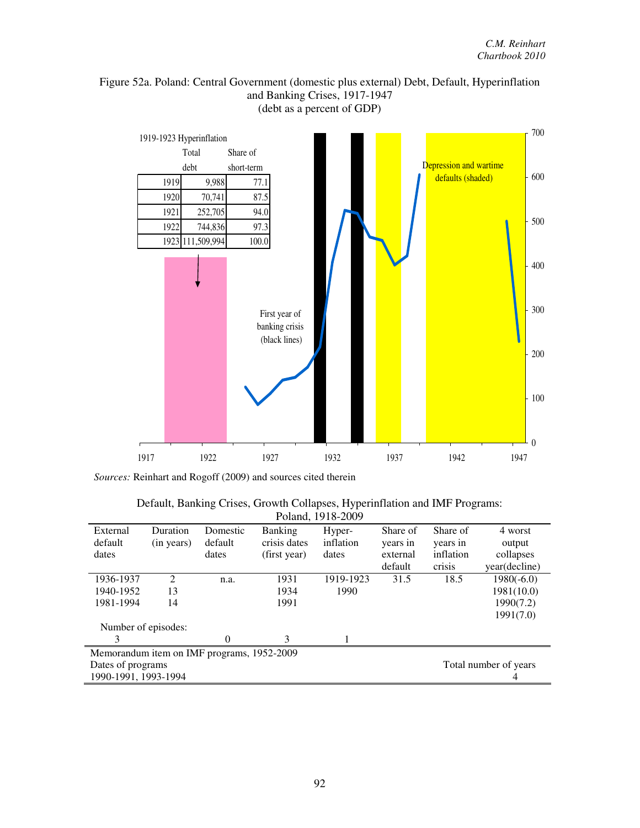## Figure 52a. Poland: Central Government (domestic plus external) Debt, Default, Hyperinflation and Banking Crises, 1917-1947 (debt as a percent of GDP)



| Default, Banking Crises, Growth Collapses, Hyperinflation and IMF Programs: |
|-----------------------------------------------------------------------------|
| Poland, 1918-2009                                                           |

| External                                   | Duration       | Domestic | <b>Banking</b> | Hyper-    | Share of | Share of  | 4 worst       |
|--------------------------------------------|----------------|----------|----------------|-----------|----------|-----------|---------------|
| default                                    | (in years)     | default  | crisis dates   | inflation | years in | years in  | output        |
| dates                                      |                | dates    | (first year)   | dates     | external | inflation | collapses     |
|                                            |                |          |                |           | default  | crisis    | year(decline) |
| 1936-1937                                  | $\mathfrak{D}$ | n.a.     | 1931           | 1919-1923 | 31.5     | 18.5      | $1980(-6.0)$  |
| 1940-1952                                  | 13             |          | 1934           | 1990      |          |           | 1981(10.0)    |
| 1981-1994                                  | 14             |          | 1991           |           |          |           | 1990(7.2)     |
|                                            |                |          |                |           |          |           | 1991(7.0)     |
| Number of episodes:                        |                |          |                |           |          |           |               |
| 3                                          |                | $\Omega$ | 3              |           |          |           |               |
| Memorandum item on IMF programs, 1952-2009 |                |          |                |           |          |           |               |
| Dates of programs<br>Total number of years |                |          |                |           |          |           |               |
| 1990-1991, 1993-1994                       |                |          |                |           |          |           | 4             |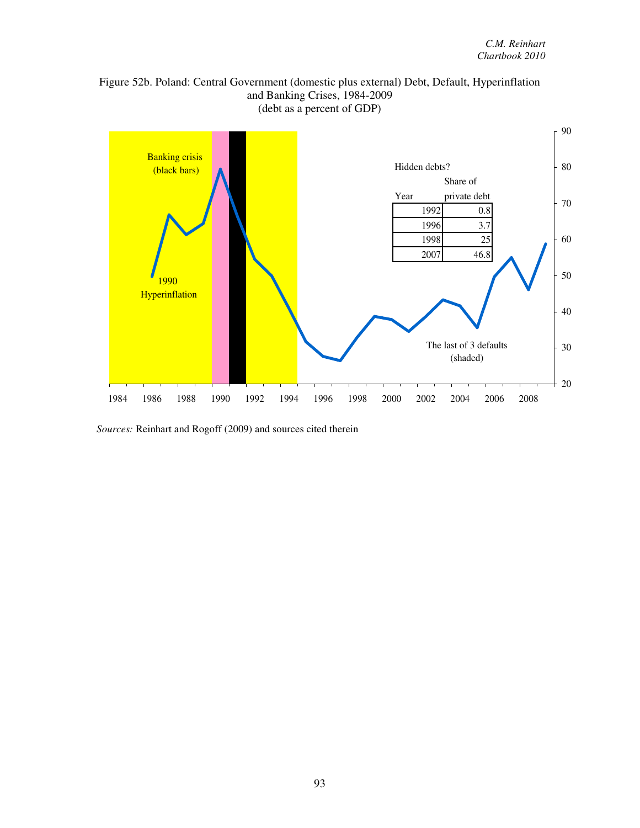

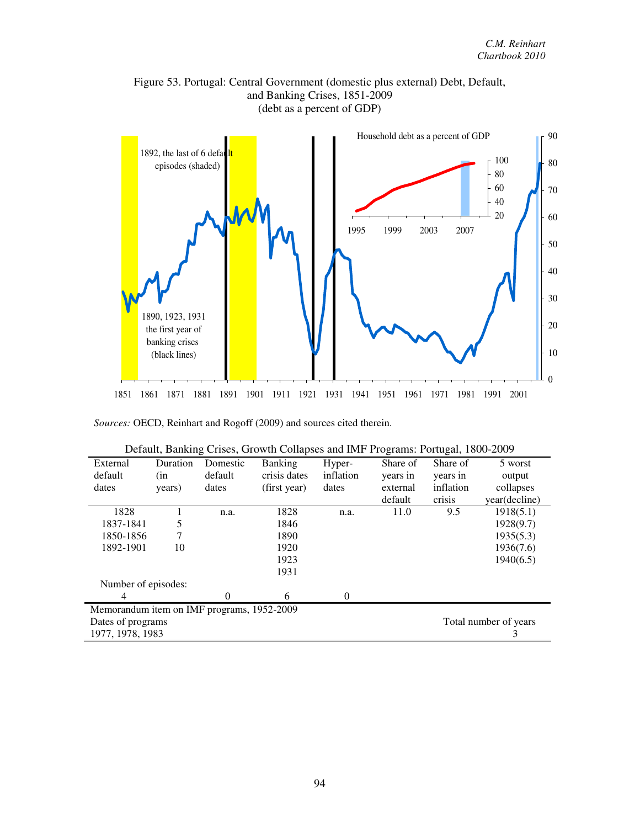

Figure 53. Portugal: Central Government (domestic plus external) Debt, Default, and Banking Crises, 1851-2009 (debt as a percent of GDP)

| Default, Damsing Crises, Growth Conapses and hvir Trograms. Fortugal, Tooo-2007 |                                            |                |                |           |          |           |               |  |
|---------------------------------------------------------------------------------|--------------------------------------------|----------------|----------------|-----------|----------|-----------|---------------|--|
| External                                                                        | Duration                                   | Domestic       | <b>Banking</b> | Hyper-    | Share of | Share of  | 5 worst       |  |
| default                                                                         | (in                                        | default        | crisis dates   | inflation | years in | years in  | output        |  |
| dates                                                                           | years)                                     | dates          | (first year)   | dates     | external | inflation | collapses     |  |
|                                                                                 |                                            |                |                |           | default  | crisis    | year(decline) |  |
| 1828                                                                            |                                            | n.a.           | 1828           | n.a.      | 11.0     | 9.5       | 1918(5.1)     |  |
| 1837-1841                                                                       | 5                                          |                | 1846           |           |          |           | 1928(9.7)     |  |
| 1850-1856                                                                       |                                            |                | 1890           |           |          |           | 1935(5.3)     |  |
| 1892-1901                                                                       | 10                                         |                | 1920           |           |          |           | 1936(7.6)     |  |
|                                                                                 |                                            |                | 1923           |           |          |           | 1940(6.5)     |  |
|                                                                                 |                                            |                | 1931           |           |          |           |               |  |
| Number of episodes:                                                             |                                            |                |                |           |          |           |               |  |
| 4                                                                               |                                            | $\overline{0}$ | 6              | $\theta$  |          |           |               |  |
|                                                                                 | Memorandum item on IMF programs, 1952-2009 |                |                |           |          |           |               |  |
| Dates of programs<br>Total number of years                                      |                                            |                |                |           |          |           |               |  |
| 1977, 1978, 1983                                                                |                                            |                |                |           |          |           | 3             |  |

| Default, Banking Crises, Growth Collapses and IMF Programs: Portugal, 1800-2009 |  |  |  |
|---------------------------------------------------------------------------------|--|--|--|
|                                                                                 |  |  |  |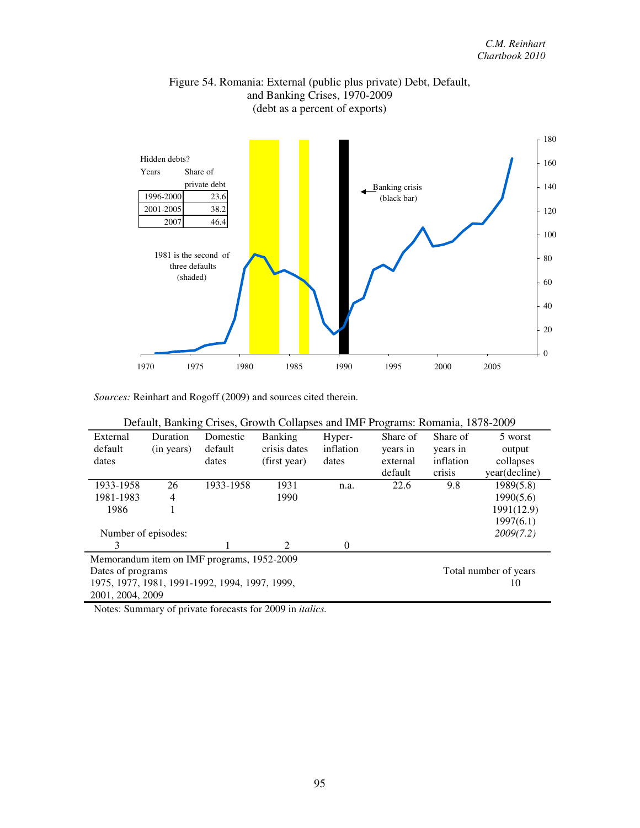

## Figure 54. Romania: External (public plus private) Debt, Default, and Banking Crises, 1970-2009 (debt as a percent of exports)

*Sources:* Reinhart and Rogoff (2009) and sources cited therein.

|                                                      | Default, Banking Crises, Growth Collapses and IMF Programs: Romania, 1878-2009 |                                            |                |           |          |           |               |  |  |
|------------------------------------------------------|--------------------------------------------------------------------------------|--------------------------------------------|----------------|-----------|----------|-----------|---------------|--|--|
| External                                             | Duration                                                                       | Domestic                                   | <b>Banking</b> | Hyper-    | Share of | Share of  | 5 worst       |  |  |
| default                                              | (in years)                                                                     | default                                    | crisis dates   | inflation | years in | years in  | output        |  |  |
| dates                                                |                                                                                | dates                                      | (first year)   | dates     | external | inflation | collapses     |  |  |
|                                                      |                                                                                |                                            |                |           | default  | crisis    | year(decline) |  |  |
| 1933-1958                                            | 26                                                                             | 1933-1958                                  | 1931           | n.a.      | 22.6     | 9.8       | 1989(5.8)     |  |  |
| 1981-1983                                            | 4                                                                              |                                            | 1990           |           |          |           | 1990(5.6)     |  |  |
| 1986                                                 |                                                                                |                                            |                |           |          |           | 1991(12.9)    |  |  |
|                                                      |                                                                                |                                            |                |           |          |           | 1997(6.1)     |  |  |
| Number of episodes:                                  |                                                                                |                                            |                |           |          |           | 2009(7.2)     |  |  |
| 3                                                    |                                                                                |                                            | 2              | 0         |          |           |               |  |  |
|                                                      |                                                                                | Memorandum item on IMF programs, 1952-2009 |                |           |          |           |               |  |  |
| Total number of years<br>Dates of programs           |                                                                                |                                            |                |           |          |           |               |  |  |
| 1975, 1977, 1981, 1991-1992, 1994, 1997, 1999,<br>10 |                                                                                |                                            |                |           |          |           |               |  |  |
| 2001, 2004, 2009                                     |                                                                                |                                            |                |           |          |           |               |  |  |

Notes: Summary of private forecasts for 2009 in *italics.*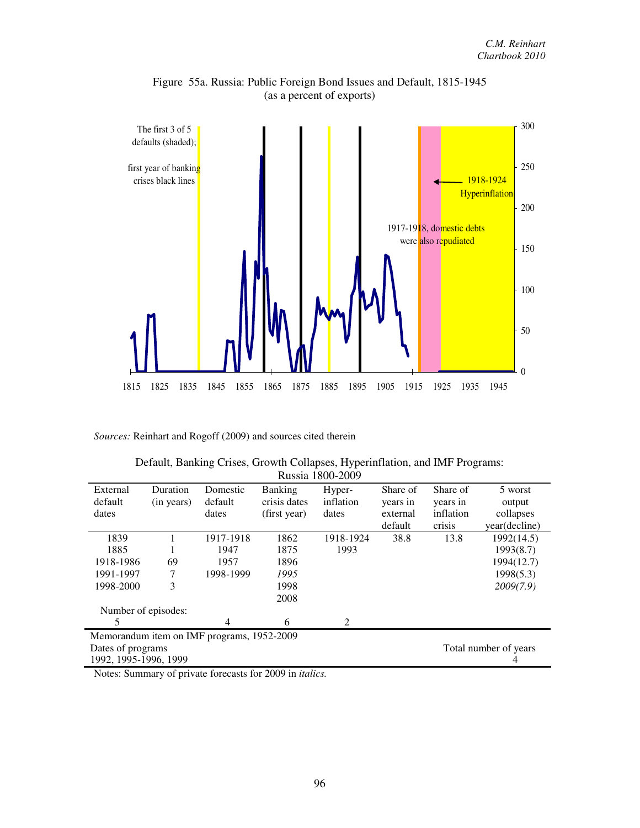

Figure 55a. Russia: Public Foreign Bond Issues and Default, 1815-1945 (as a percent of exports)

|  |  |                  | Default, Banking Crises, Growth Collapses, Hyperinflation, and IMF Programs: |  |
|--|--|------------------|------------------------------------------------------------------------------|--|
|  |  | Russia 1800-2009 |                                                                              |  |

| External              | Duration   | Domestic                                   | <b>Banking</b> | Hyper-    | Share of | Share of  | 5 worst               |
|-----------------------|------------|--------------------------------------------|----------------|-----------|----------|-----------|-----------------------|
| default               | (in years) | default                                    | crisis dates   | inflation | years in | years in  | output                |
| dates                 |            | dates                                      | (first year)   | dates     | external | inflation | collapses             |
|                       |            |                                            |                |           | default  | crisis    | year(decline)         |
| 1839                  |            | 1917-1918                                  | 1862           | 1918-1924 | 38.8     | 13.8      | 1992(14.5)            |
| 1885                  |            | 1947                                       | 1875           | 1993      |          |           | 1993(8.7)             |
| 1918-1986             | 69         | 1957                                       | 1896           |           |          |           | 1994(12.7)            |
| 1991-1997             | 7          | 1998-1999                                  | 1995           |           |          |           | 1998(5.3)             |
| 1998-2000             | 3          |                                            | 1998           |           |          |           | 2009(7.9)             |
|                       |            |                                            | 2008           |           |          |           |                       |
| Number of episodes:   |            |                                            |                |           |          |           |                       |
| 5                     |            | 4                                          | 6              | 2         |          |           |                       |
|                       |            | Memorandum item on IMF programs, 1952-2009 |                |           |          |           |                       |
| Dates of programs     |            |                                            |                |           |          |           | Total number of years |
| 1992, 1995-1996, 1999 |            |                                            |                |           |          |           | 4                     |

Notes: Summary of private forecasts for 2009 in *italics.*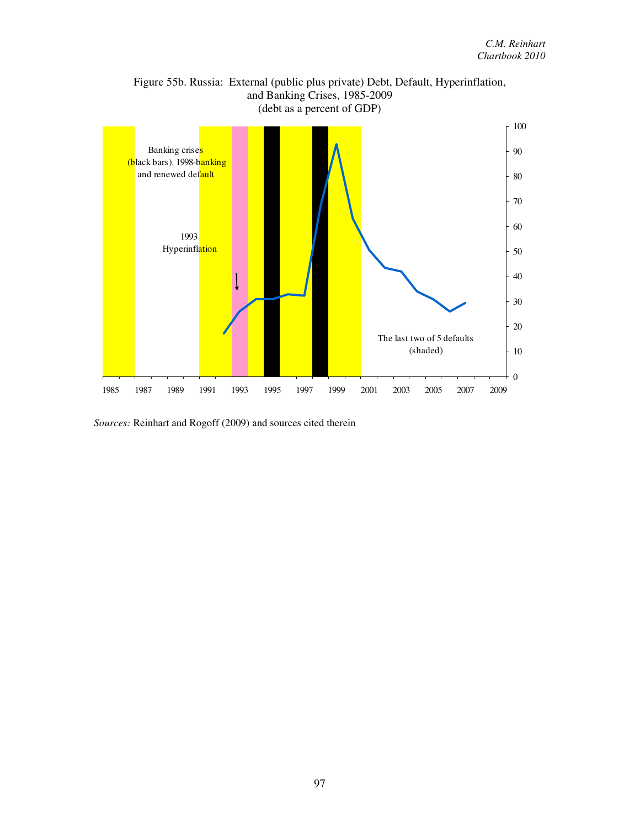

Figure 55b. Russia: External (public plus private) Debt, Default, Hyperinflation, and Banking Crises, 1985-2009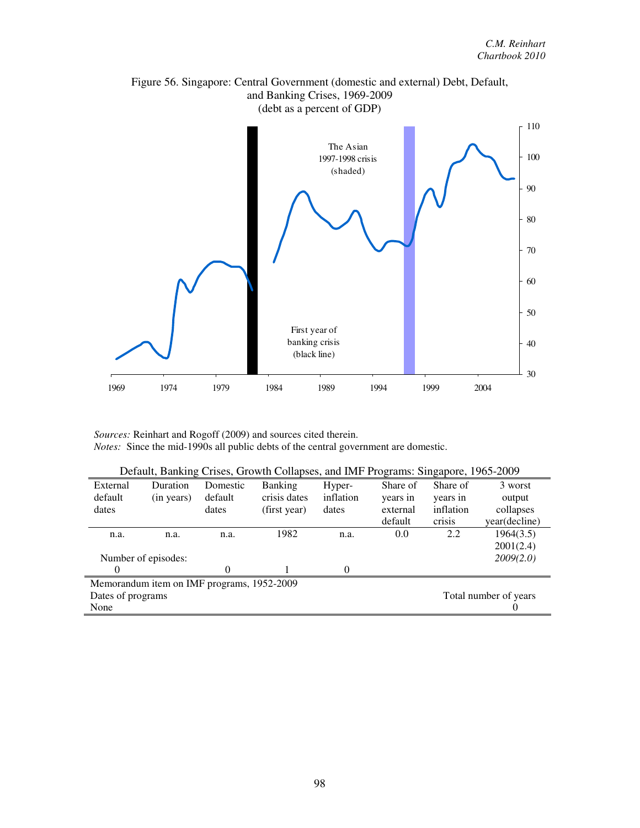

# Figure 56. Singapore: Central Government (domestic and external) Debt, Default, and Banking Crises, 1969-2009

*Sources:* Reinhart and Rogoff (2009) and sources cited therein. *Notes:* Since the mid-1990s all public debts of the central government are domestic.

| Default, Banking Crises, Growth Collapses, and IMF Programs: Singapore, 1965-2009 |                     |          |                |           |          |           |               |  |
|-----------------------------------------------------------------------------------|---------------------|----------|----------------|-----------|----------|-----------|---------------|--|
| External                                                                          | Duration            | Domestic | <b>Banking</b> | Hyper-    | Share of | Share of  | 3 worst       |  |
| default                                                                           | (in years)          | default  | crisis dates   | inflation | years in | years in  | output        |  |
| dates                                                                             |                     | dates    | (first year)   | dates     | external | inflation | collapses     |  |
|                                                                                   |                     |          |                |           | default  | crisis    | year(decline) |  |
| n.a.                                                                              | n.a.                | n.a.     | 1982           | n.a.      | 0.0      | 2.2       | 1964(3.5)     |  |
|                                                                                   |                     |          |                |           |          |           | 2001(2.4)     |  |
|                                                                                   | Number of episodes: |          |                |           |          |           | 2009(2.0)     |  |
| $\Omega$                                                                          |                     | $\Omega$ |                | $\Omega$  |          |           |               |  |
| Memorandum item on IMF programs, 1952-2009                                        |                     |          |                |           |          |           |               |  |
| Dates of programs<br>Total number of years                                        |                     |          |                |           |          |           |               |  |
| None                                                                              |                     |          |                |           |          |           | U             |  |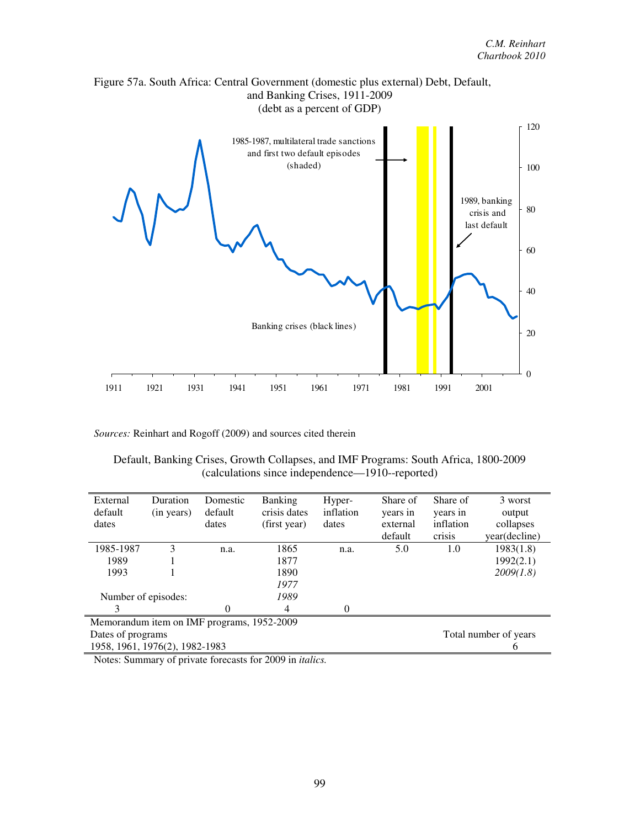

| Default, Banking Crises, Growth Collapses, and IMF Programs: South Africa, 1800-2009 |  |  |                                                  |  |  |
|--------------------------------------------------------------------------------------|--|--|--------------------------------------------------|--|--|
|                                                                                      |  |  | (calculations since independence—1910--reported) |  |  |

| External                                   | Duration                                   | Domestic | <b>Banking</b> | Hyper-    | Share of | Share of  | 3 worst       |  |
|--------------------------------------------|--------------------------------------------|----------|----------------|-----------|----------|-----------|---------------|--|
| default                                    | (in years)                                 | default  | crisis dates   | inflation | years in | years in  | output        |  |
| dates                                      |                                            | dates    | (first year)   | dates     | external | inflation | collapses     |  |
|                                            |                                            |          |                |           | default  | crisis    | year(decline) |  |
| 1985-1987                                  | 3                                          | n.a.     | 1865           | n.a.      | 5.0      | 1.0       | 1983(1.8)     |  |
| 1989                                       |                                            |          | 1877           |           |          |           | 1992(2.1)     |  |
| 1993                                       |                                            |          | 1890           |           |          |           | 2009(1.8)     |  |
|                                            |                                            |          | 1977           |           |          |           |               |  |
| Number of episodes:                        |                                            |          | 1989           |           |          |           |               |  |
|                                            |                                            | 0        | 4              | 0         |          |           |               |  |
|                                            | Memorandum item on IMF programs, 1952-2009 |          |                |           |          |           |               |  |
| Dates of programs<br>Total number of years |                                            |          |                |           |          |           |               |  |
| 1958, 1961, 1976(2), 1982-1983             |                                            |          |                |           |          |           | O             |  |

Notes: Summary of private forecasts for 2009 in *italics.*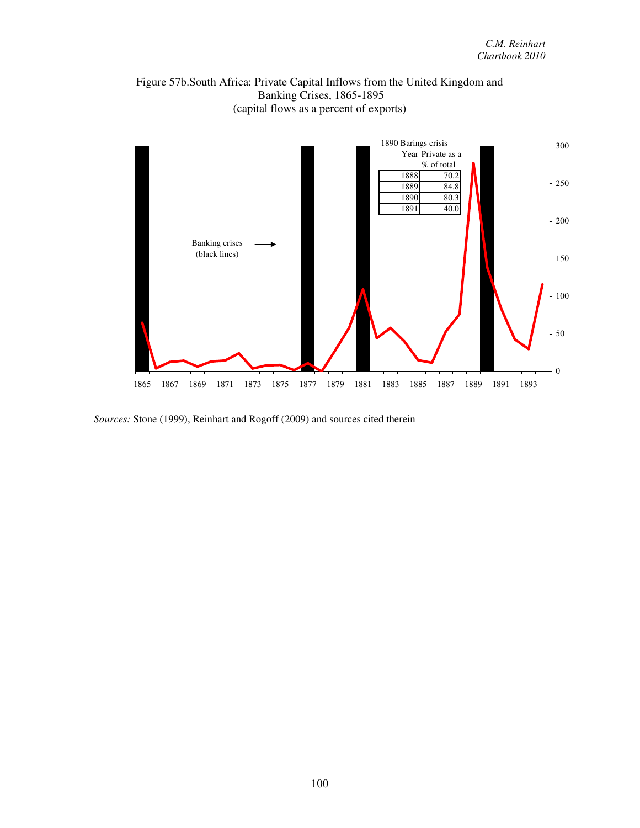



*Sources:* Stone (1999), Reinhart and Rogoff (2009) and sources cited therein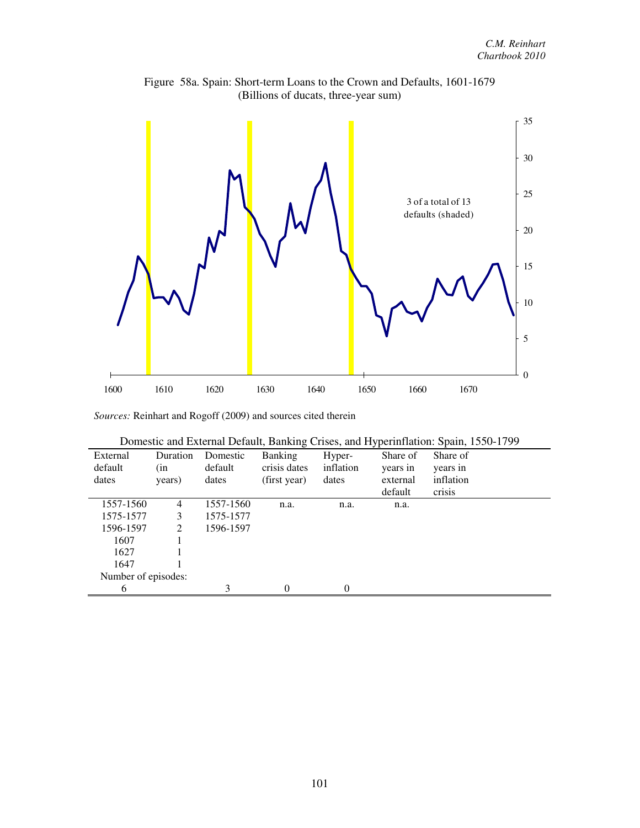

Figure 58a. Spain: Short-term Loans to the Crown and Defaults, 1601-1679 (Billions of ducats, three-year sum)

| Domestic and External Default, Banking Crises, and Hyperinflation: Spain, 1550-1799 |  |  |
|-------------------------------------------------------------------------------------|--|--|
|                                                                                     |  |  |

| External            | Duration       | Domestic  | <b>Banking</b> | Hyper-    | Share of | Share of  |  |
|---------------------|----------------|-----------|----------------|-----------|----------|-----------|--|
| default             | (in            | default   | crisis dates   | inflation | years in | years in  |  |
| dates               | years)         | dates     | (first year)   | dates     | external | inflation |  |
|                     |                |           |                |           | default  | crisis    |  |
| 1557-1560           | 4              | 1557-1560 | n.a.           | n.a.      | n.a.     |           |  |
| 1575-1577           | 3              | 1575-1577 |                |           |          |           |  |
| 1596-1597           | $\mathfrak{D}$ | 1596-1597 |                |           |          |           |  |
| 1607                |                |           |                |           |          |           |  |
| 1627                |                |           |                |           |          |           |  |
| 1647                |                |           |                |           |          |           |  |
| Number of episodes: |                |           |                |           |          |           |  |
| 6                   |                | 3         | $\Omega$       | $\Omega$  |          |           |  |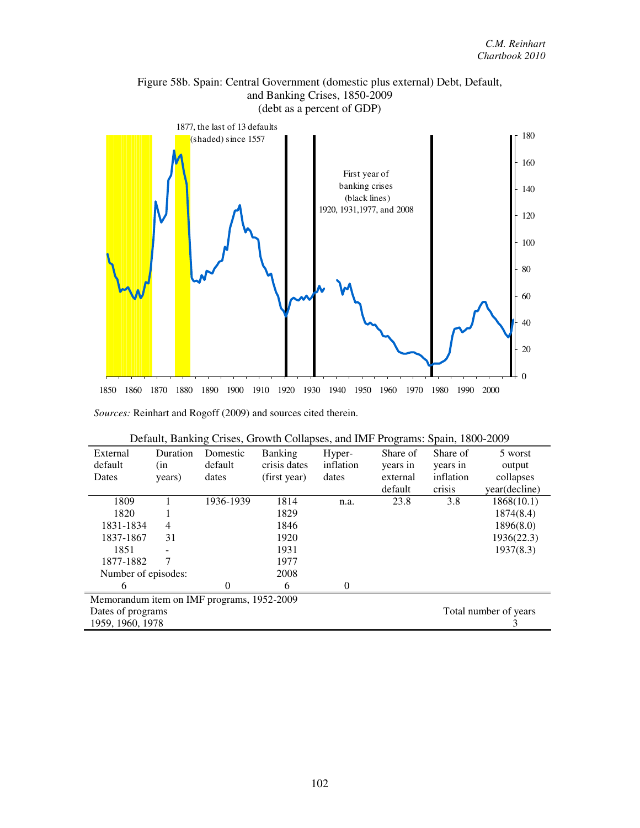

Figure 58b. Spain: Central Government (domestic plus external) Debt, Default, and Banking Crises, 1850-2009

| Default, Banking Crises, Growth Collapses, and IMF Programs: Spain, 1800-2009 |  |  |
|-------------------------------------------------------------------------------|--|--|
|                                                                               |  |  |

| External                                   | Duration | Domestic  | <b>Banking</b> | Hyper-    | Share of | Share of              | 5 worst       |
|--------------------------------------------|----------|-----------|----------------|-----------|----------|-----------------------|---------------|
| default                                    | (in      | default   | crisis dates   | inflation | years in | years in              | output        |
| Dates                                      | years)   | dates     | (first year)   | dates     | external | inflation             | collapses     |
|                                            |          |           |                |           | default  | crisis                | year(decline) |
| 1809                                       |          | 1936-1939 | 1814           | n.a.      | 23.8     | 3.8                   | 1868(10.1)    |
| 1820                                       |          |           | 1829           |           |          |                       | 1874(8.4)     |
| 1831-1834                                  | 4        |           | 1846           |           |          |                       | 1896(8.0)     |
| 1837-1867                                  | 31       |           | 1920           |           |          |                       | 1936(22.3)    |
| 1851                                       |          |           | 1931           |           |          |                       | 1937(8.3)     |
| 1877-1882                                  |          |           | 1977           |           |          |                       |               |
| Number of episodes:                        |          |           | 2008           |           |          |                       |               |
| 6                                          |          | 0         | 6              | $\theta$  |          |                       |               |
| Memorandum item on IMF programs, 1952-2009 |          |           |                |           |          |                       |               |
| Dates of programs                          |          |           |                |           |          | Total number of years |               |
| 1959, 1960, 1978                           |          |           |                |           |          |                       |               |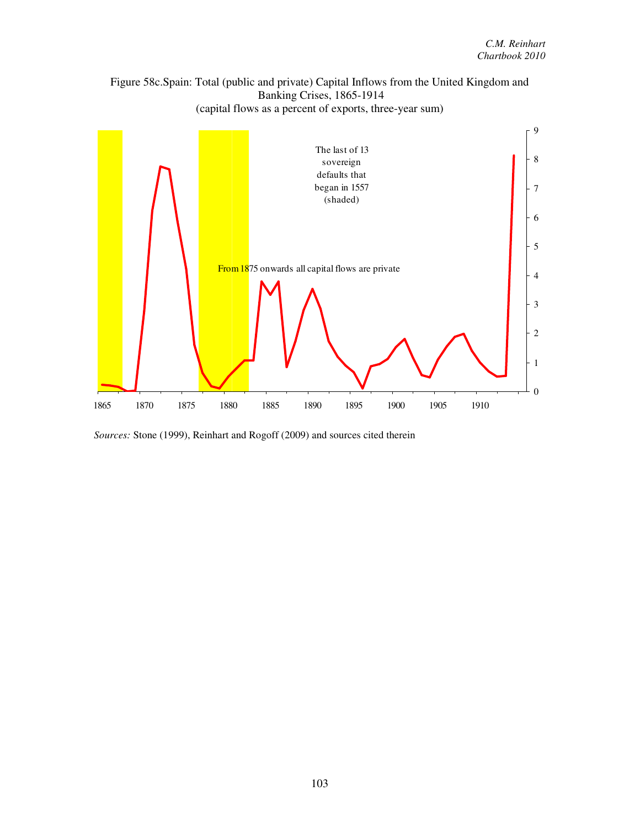



*Sources:* Stone (1999), Reinhart and Rogoff (2009) and sources cited therein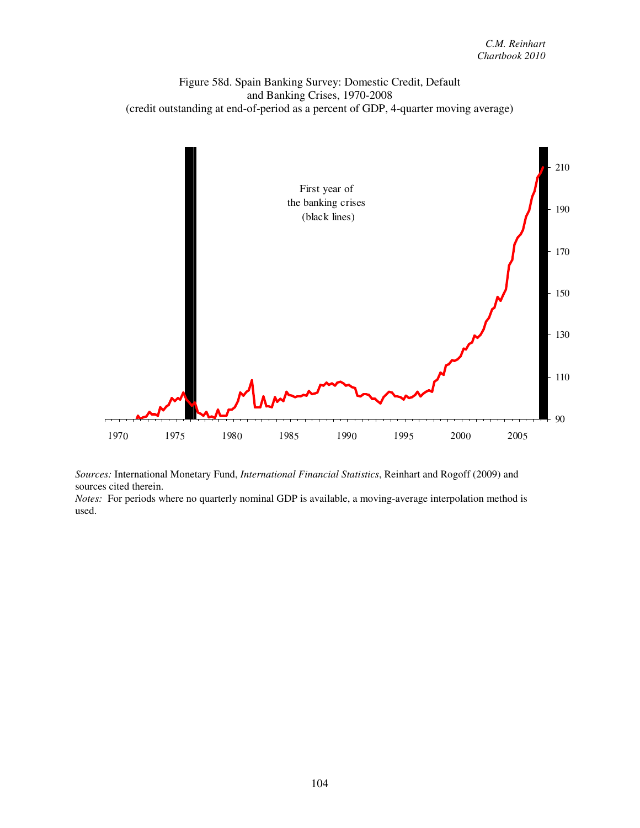Figure 58d. Spain Banking Survey: Domestic Credit, Default and Banking Crises, 1970-2008 (credit outstanding at end-of-period as a percent of GDP, 4-quarter moving average)



*Sources:* International Monetary Fund, *International Financial Statistics*, Reinhart and Rogoff (2009) and sources cited therein.

*Notes:* For periods where no quarterly nominal GDP is available, a moving-average interpolation method is used.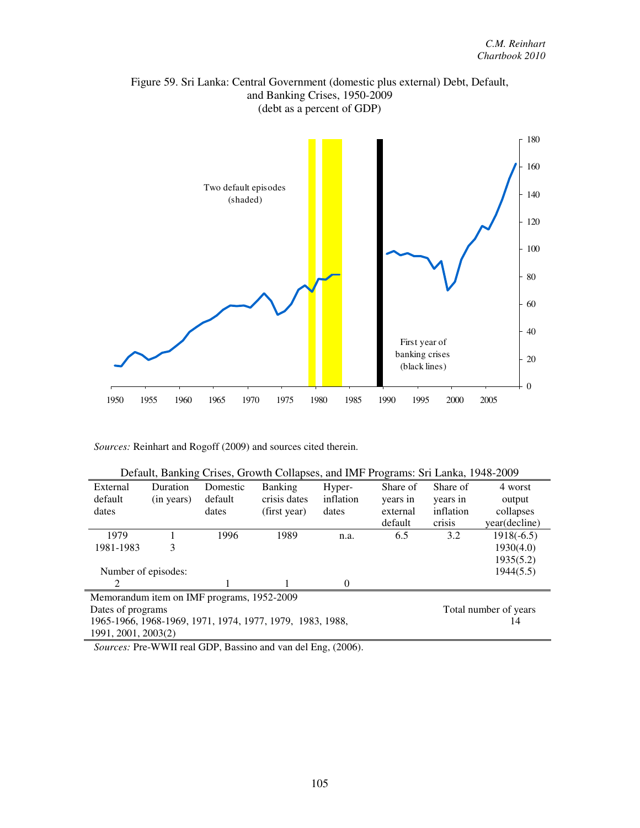



| Default, Banking Crises, Growth Collapses, and IMF Programs: Sri Lanka, 1948-2009 |            |          |                |           |          |                       |               |
|-----------------------------------------------------------------------------------|------------|----------|----------------|-----------|----------|-----------------------|---------------|
| External                                                                          | Duration   | Domestic | <b>Banking</b> | Hyper-    | Share of | Share of              | 4 worst       |
| default                                                                           | (in years) | default  | crisis dates   | inflation | years in | years in              | output        |
| dates                                                                             |            | dates    | (first year)   | dates     | external | inflation             | collapses     |
|                                                                                   |            |          |                |           | default  | crisis                | year(decline) |
| 1979                                                                              |            | 1996     | 1989           | n.a.      | 6.5      | 3.2                   | $1918(-6.5)$  |
| 1981-1983                                                                         | 3          |          |                |           |          |                       | 1930(4.0)     |
|                                                                                   |            |          |                |           |          |                       | 1935(5.2)     |
| Number of episodes:                                                               |            |          |                |           |          |                       | 1944(5.5)     |
| $\mathcal{D}_{\mathcal{A}}$                                                       |            |          |                | $\Omega$  |          |                       |               |
| Memorandum item on IMF programs, 1952-2009                                        |            |          |                |           |          |                       |               |
| Dates of programs                                                                 |            |          |                |           |          | Total number of years |               |
| 1965-1966, 1968-1969, 1971, 1974, 1977, 1979, 1983, 1988,                         |            |          |                |           |          |                       | 14            |
| 1991, 2001, 2003(2)                                                               |            |          |                |           |          |                       |               |

*Sources:* Pre-WWII real GDP, Bassino and van del Eng, (2006).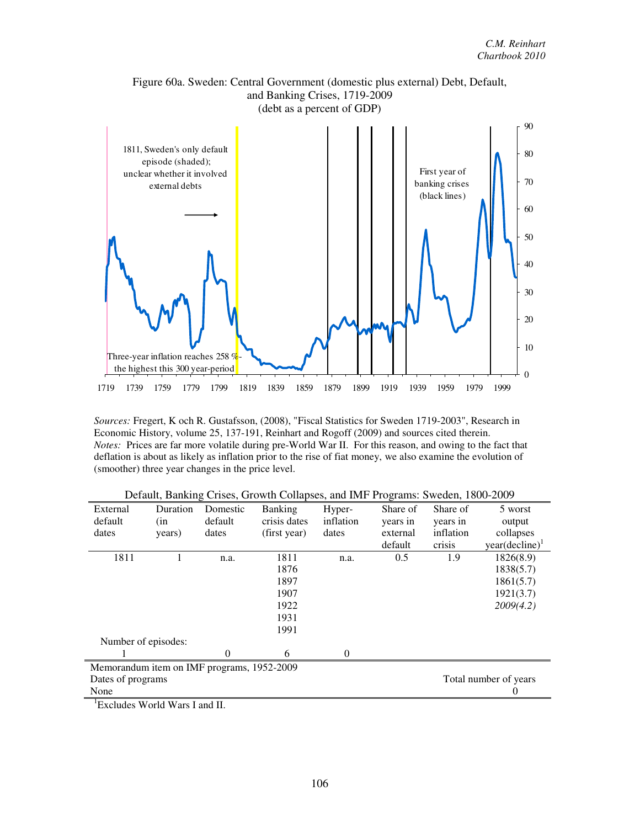

*Sources:* Fregert, K och R. Gustafsson, (2008), "Fiscal Statistics for Sweden 1719-2003", Research in Economic History, volume 25, 137-191, Reinhart and Rogoff (2009) and sources cited therein. *Notes:* Prices are far more volatile during pre-World War II. For this reason, and owing to the fact that deflation is about as likely as inflation prior to the rise of fiat money, we also examine the evolution of (smoother) three year changes in the price level.

| $-1$<br>$-$                                |          |          |                |           |          |           |                     |
|--------------------------------------------|----------|----------|----------------|-----------|----------|-----------|---------------------|
| External                                   | Duration | Domestic | <b>Banking</b> | Hyper-    | Share of | Share of  | 5 worst             |
| default                                    | (in      | default  | crisis dates   | inflation | years in | years in  | output              |
| dates                                      | years)   | dates    | (first year)   | dates     | external | inflation | collapses           |
|                                            |          |          |                |           | default  | crisis    | $year(decline)^{1}$ |
| 1811                                       | 1        | n.a.     | 1811           | n.a.      | 0.5      | 1.9       | 1826(8.9)           |
|                                            |          |          | 1876           |           |          |           | 1838(5.7)           |
|                                            |          |          | 1897           |           |          |           | 1861(5.7)           |
|                                            |          |          | 1907           |           |          |           | 1921(3.7)           |
|                                            |          |          | 1922           |           |          |           | 2009(4.2)           |
|                                            |          |          | 1931           |           |          |           |                     |
|                                            |          |          | 1991           |           |          |           |                     |
| Number of episodes:                        |          |          |                |           |          |           |                     |
|                                            |          | $\Omega$ | 6              | $\theta$  |          |           |                     |
| Memorandum item on IMF programs, 1952-2009 |          |          |                |           |          |           |                     |
| Total number of years<br>Dates of programs |          |          |                |           |          |           |                     |
| None                                       |          |          |                |           |          |           | 0                   |

Default, Banking Crises, Growth Collapses, and IMF Programs: Sweden, 1800-2009

<sup>1</sup>Excludes World Wars I and II.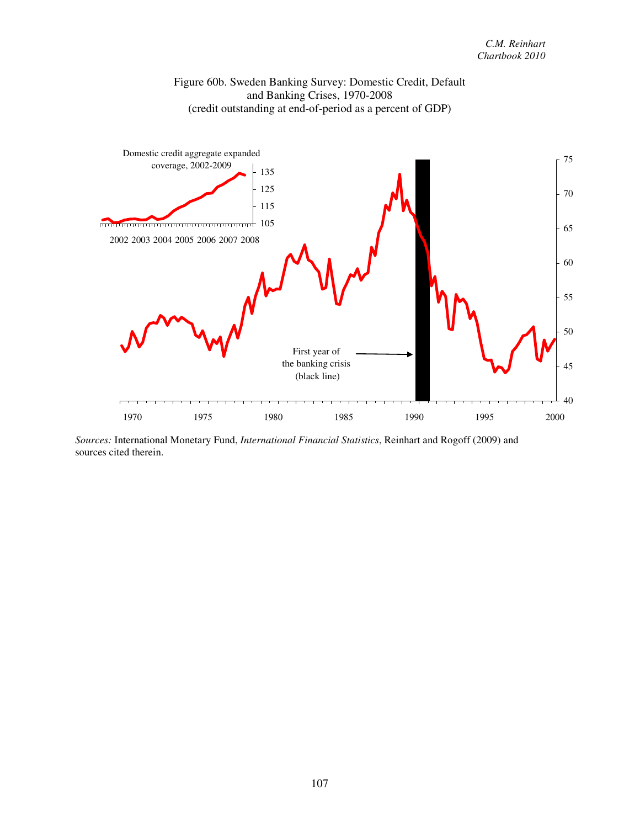



*Sources:* International Monetary Fund, *International Financial Statistics*, Reinhart and Rogoff (2009) and sources cited therein.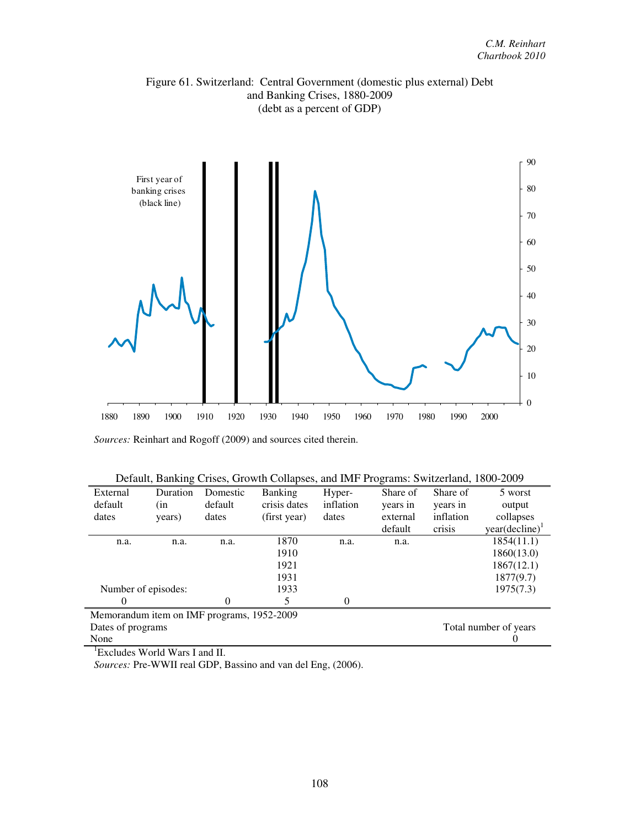



*Sources:* Reinhart and Rogoff (2009) and sources cited therein.

|  | Default, Banking Crises, Growth Collapses, and IMF Programs: Switzerland, 1800-2009 |
|--|-------------------------------------------------------------------------------------|
|  |                                                                                     |

| External          | Duration                                   | Domestic | <b>Banking</b> | Hyper-    | Share of | Share of  | 5 worst                    |
|-------------------|--------------------------------------------|----------|----------------|-----------|----------|-----------|----------------------------|
| default           | (in                                        | default  | crisis dates   | inflation | years in | years in  | output                     |
| dates             | years)                                     | dates    | (first year)   | dates     | external | inflation | collapses                  |
|                   |                                            |          |                |           | default  | crisis    | year(decline) <sup>1</sup> |
| n.a.              | n.a.                                       | n.a.     | 1870           | n.a.      | n.a.     |           | 1854(11.1)                 |
|                   |                                            |          | 1910           |           |          |           | 1860(13.0)                 |
|                   |                                            |          | 1921           |           |          |           | 1867(12.1)                 |
|                   |                                            |          | 1931           |           |          |           | 1877(9.7)                  |
|                   | Number of episodes:                        |          | 1933           |           |          |           | 1975(7.3)                  |
| $\Omega$          |                                            | 0        | 5              | 0         |          |           |                            |
|                   | Memorandum item on IMF programs, 1952-2009 |          |                |           |          |           |                            |
| Dates of programs |                                            |          |                |           |          |           | Total number of years      |
| None              |                                            |          |                |           |          |           | U                          |

<sup>1</sup>Excludes World Wars I and II.

*Sources:* Pre-WWII real GDP, Bassino and van del Eng, (2006).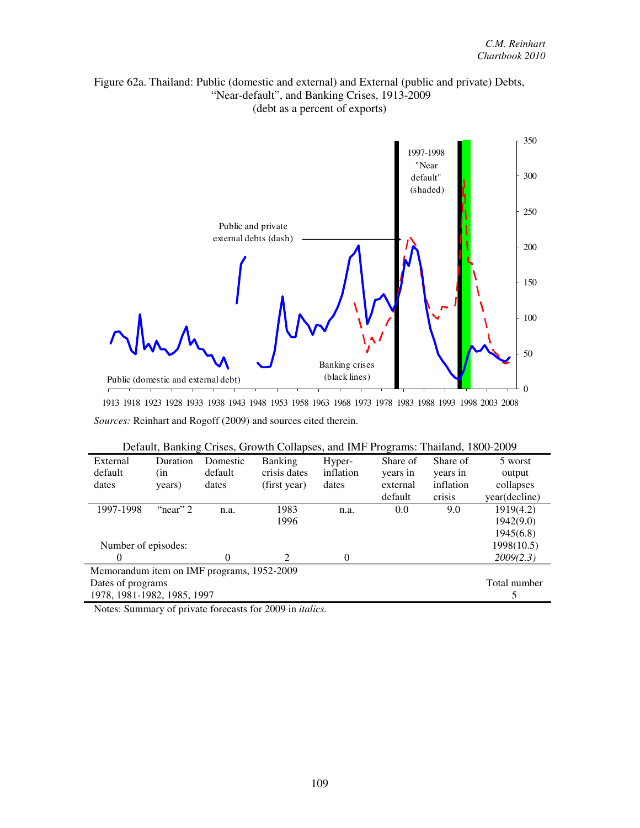# Figure 62a. Thailand: Public (domestic and external) and External (public and private) Debts, "Near-default", and Banking Crises, 1913-2009 (debt as a percent of exports)



1913 1918 1923 1928 1933 1938 1943 1948 1953 1958 1963 1968 1973 1978 1983 1988 1993 1998 2003 2008 *Sources:* Reinhart and Rogoff (2009) and sources cited therein.

| Default, Banking Crises, Growth Collapses, and IMF Programs: Thailand, 1800-2009 |          |          |                             |           |          |           |               |  |
|----------------------------------------------------------------------------------|----------|----------|-----------------------------|-----------|----------|-----------|---------------|--|
| External                                                                         | Duration | Domestic | <b>Banking</b>              | Hyper-    | Share of | Share of  | 5 worst       |  |
| default                                                                          | (in      | default  | crisis dates                | inflation | years in | years in  | output        |  |
| dates                                                                            | years)   | dates    | (first year)                | dates     | external | inflation | collapses     |  |
|                                                                                  |          |          |                             |           | default  | crisis    | year(decline) |  |
| 1997-1998                                                                        | "near" 2 | n.a.     | 1983                        | n.a.      | 0.0      | 9.0       | 1919(4.2)     |  |
|                                                                                  |          |          | 1996                        |           |          |           | 1942(9.0)     |  |
|                                                                                  |          |          |                             |           |          |           | 1945(6.8)     |  |
| Number of episodes:                                                              |          |          |                             |           |          |           | 1998(10.5)    |  |
| $\theta$                                                                         |          | $\Omega$ | $\mathcal{D}_{\mathcal{A}}$ | 0         |          |           | 2009(2.3)     |  |
| Memorandum item on IMF programs, 1952-2009                                       |          |          |                             |           |          |           |               |  |
| Dates of programs                                                                |          |          |                             |           |          |           | Total number  |  |
| 1978, 1981-1982, 1985, 1997                                                      |          |          |                             |           |          |           |               |  |

Notes: Summary of private forecasts for 2009 in *italics.*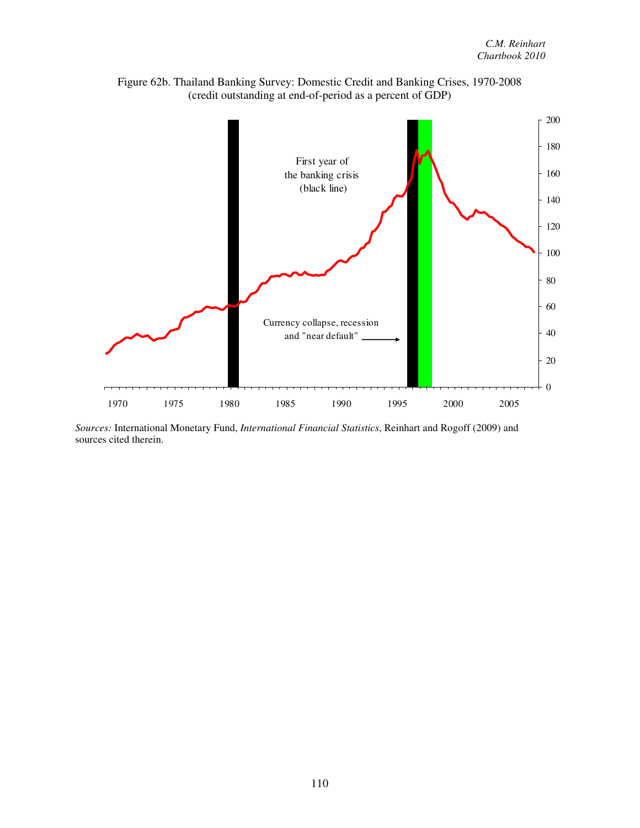

Figure 62b. Thailand Banking Survey: Domestic Credit and Banking Crises, 1970-2008 (credit outstanding at end-of-period as a percent of GDP)

*Sources:* International Monetary Fund, *International Financial Statistics*, Reinhart and Rogoff (2009) and sources cited therein.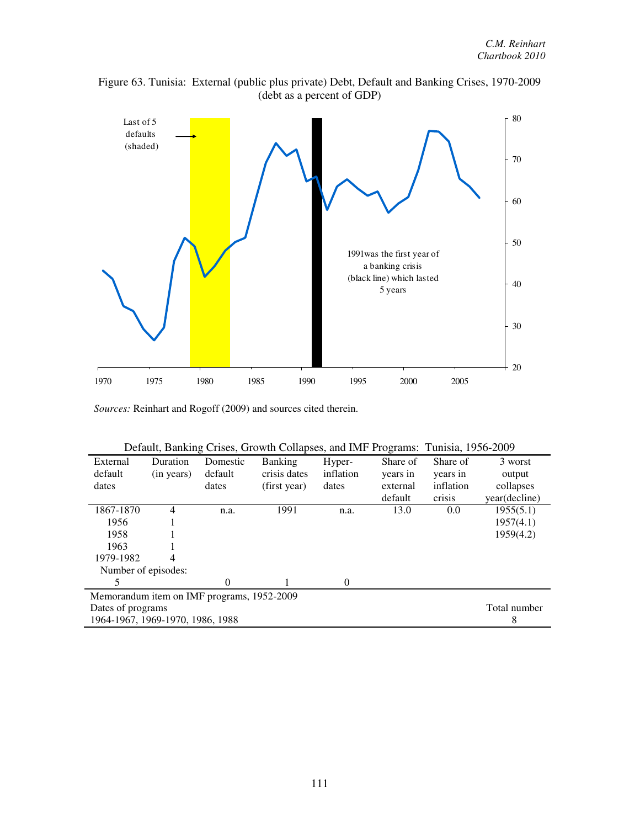

Figure 63. Tunisia: External (public plus private) Debt, Default and Banking Crises, 1970-2009 (debt as a percent of GDP)

*Sources:* Reinhart and Rogoff (2009) and sources cited therein.

|                                            | Default, Daliking Crises, Growth Conapses, and hvir Frograms. Tunisia, 1990-2009 |          |                |           |          |           |               |  |
|--------------------------------------------|----------------------------------------------------------------------------------|----------|----------------|-----------|----------|-----------|---------------|--|
| External                                   | Duration                                                                         | Domestic | <b>Banking</b> | Hyper-    | Share of | Share of  | 3 worst       |  |
| default                                    | (in years)                                                                       | default  | crisis dates   | inflation | years in | years in  | output        |  |
| dates                                      |                                                                                  | dates    | (first year)   | dates     | external | inflation | collapses     |  |
|                                            |                                                                                  |          |                |           | default  | crisis    | year(decline) |  |
| 1867-1870                                  | 4                                                                                | n.a.     | 1991           | n.a.      | 13.0     | 0.0       | 1955(5.1)     |  |
| 1956                                       |                                                                                  |          |                |           |          |           | 1957(4.1)     |  |
| 1958                                       |                                                                                  |          |                |           |          |           | 1959(4.2)     |  |
| 1963                                       |                                                                                  |          |                |           |          |           |               |  |
| 1979-1982                                  | 4                                                                                |          |                |           |          |           |               |  |
| Number of episodes:                        |                                                                                  |          |                |           |          |           |               |  |
| 5                                          |                                                                                  | 0        |                | 0         |          |           |               |  |
| Memorandum item on IMF programs, 1952-2009 |                                                                                  |          |                |           |          |           |               |  |
|                                            | Dates of programs                                                                |          |                |           |          |           |               |  |
| 1964-1967, 1969-1970, 1986, 1988           |                                                                                  |          |                |           |          |           | 8             |  |

| Default, Banking Crises, Growth Collapses, and IMF Programs: Tunisia, 1956-2009 |  |  |
|---------------------------------------------------------------------------------|--|--|
|                                                                                 |  |  |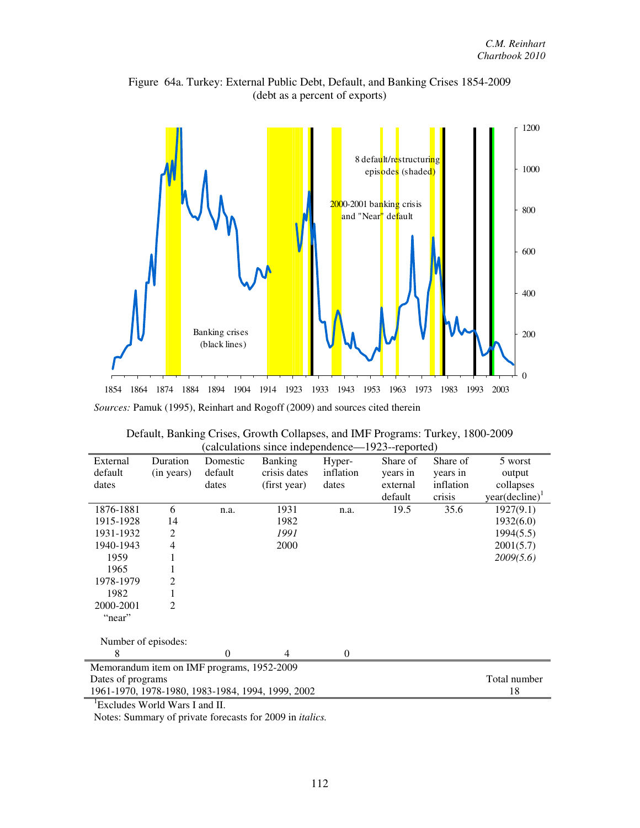

Figure 64a. Turkey: External Public Debt, Default, and Banking Crises 1854-2009 (debt as a percent of exports)

| External                                   | Duration     | Domestic | <b>Banking</b>                                    | Hyper-    | Share of | Share of  | 5 worst                    |  |
|--------------------------------------------|--------------|----------|---------------------------------------------------|-----------|----------|-----------|----------------------------|--|
| default                                    | (in years)   | default  | crisis dates                                      | inflation | years in | years in  | output                     |  |
| dates                                      |              | dates    | (first year)                                      | dates     | external | inflation | collapses                  |  |
|                                            |              |          |                                                   |           | default  | crisis    | year(decline) <sup>1</sup> |  |
| 1876-1881                                  | 6            | n.a.     | 1931                                              | n.a.      | 19.5     | 35.6      | 1927(9.1)                  |  |
| 1915-1928                                  | 14           |          | 1982                                              |           |          |           | 1932(6.0)                  |  |
| 1931-1932                                  | 2            |          | 1991                                              |           |          |           | 1994(5.5)                  |  |
| 1940-1943                                  | 4            |          | 2000                                              |           |          |           | 2001(5.7)                  |  |
| 1959                                       |              |          |                                                   |           |          |           | 2009(5.6)                  |  |
| 1965                                       |              |          |                                                   |           |          |           |                            |  |
| 1978-1979                                  | 2            |          |                                                   |           |          |           |                            |  |
| 1982                                       |              |          |                                                   |           |          |           |                            |  |
| 2000-2001                                  | 2            |          |                                                   |           |          |           |                            |  |
| "near"                                     |              |          |                                                   |           |          |           |                            |  |
| Number of episodes:                        |              |          |                                                   |           |          |           |                            |  |
| 8                                          |              | $\Omega$ | 4                                                 | $\Omega$  |          |           |                            |  |
| Memorandum item on IMF programs, 1952-2009 |              |          |                                                   |           |          |           |                            |  |
| Dates of programs                          | Total number |          |                                                   |           |          |           |                            |  |
|                                            |              |          | 1961-1970, 1978-1980, 1983-1984, 1994, 1999, 2002 |           |          |           | 18                         |  |
| $\rm{^1Excludes}$ World Wars I and II.     |              |          |                                                   |           |          |           |                            |  |

| Default, Banking Crises, Growth Collapses, and IMF Programs: Turkey, 1800-2009 |  |
|--------------------------------------------------------------------------------|--|
| (calculations since independence—1923--reported)                               |  |

Notes: Summary of private forecasts for 2009 in *italics.*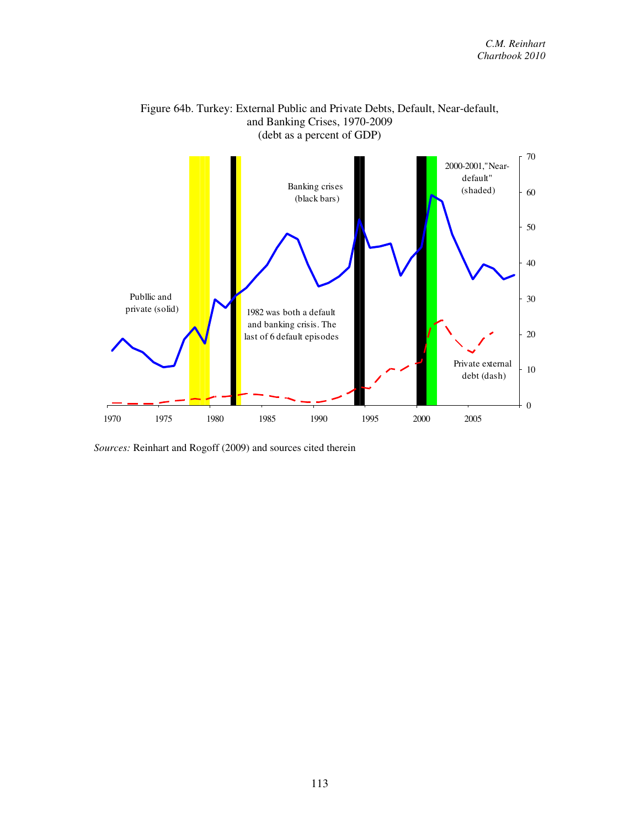

## Figure 64b. Turkey: External Public and Private Debts, Default, Near-default, and Banking Crises, 1970-2009 (debt as a percent of GDP)

*Sources:* Reinhart and Rogoff (2009) and sources cited therein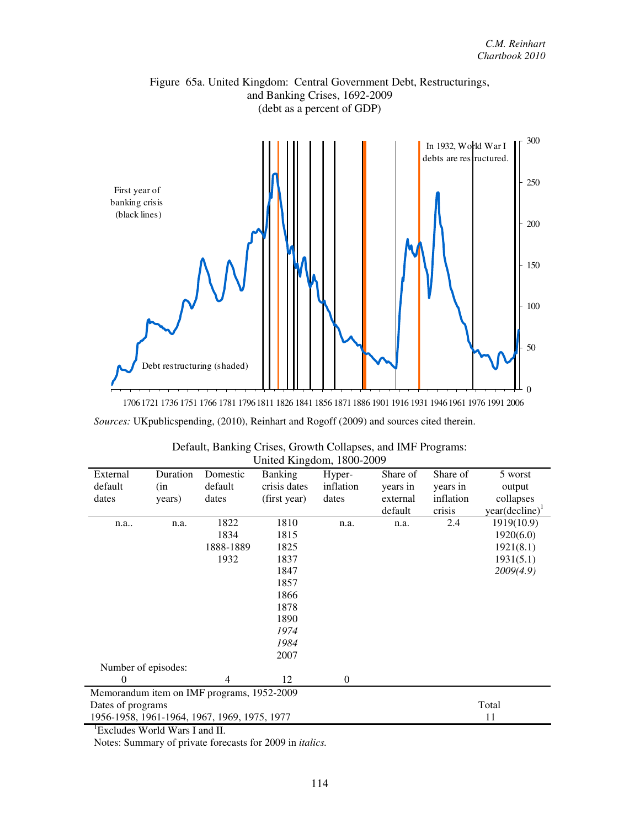

*Sources:* UKpublicspending, (2010), Reinhart and Rogoff (2009) and sources cited therein.

| UIIIIEU KIIIgUUIII, TOUU-ZUUY                |          |                |                |           |          |           |                            |  |
|----------------------------------------------|----------|----------------|----------------|-----------|----------|-----------|----------------------------|--|
| External                                     | Duration | Domestic       | <b>Banking</b> | Hyper-    | Share of | Share of  | 5 worst                    |  |
| default                                      | (in      | default        | crisis dates   | inflation | years in | years in  | output                     |  |
| dates                                        | years)   | dates          | (first year)   | dates     | external | inflation | collapses                  |  |
|                                              |          |                |                |           | default  | crisis    | year(decline) <sup>1</sup> |  |
| n.a                                          | n.a.     | 1822           | 1810           | n.a.      | n.a.     | 2.4       | 1919(10.9)                 |  |
|                                              |          | 1834           | 1815           |           |          |           | 1920(6.0)                  |  |
|                                              |          | 1888-1889      | 1825           |           |          |           | 1921(8.1)                  |  |
|                                              |          | 1932           | 1837           |           |          |           | 1931(5.1)                  |  |
|                                              |          |                | 1847           |           |          |           | 2009(4.9)                  |  |
|                                              |          |                | 1857           |           |          |           |                            |  |
|                                              |          |                | 1866           |           |          |           |                            |  |
|                                              |          |                | 1878           |           |          |           |                            |  |
|                                              |          |                | 1890           |           |          |           |                            |  |
|                                              |          |                | 1974           |           |          |           |                            |  |
|                                              |          |                | 1984           |           |          |           |                            |  |
|                                              |          |                | 2007           |           |          |           |                            |  |
| Number of episodes:                          |          |                |                |           |          |           |                            |  |
| $\theta$                                     |          | $\overline{4}$ | 12             | $\theta$  |          |           |                            |  |
| Memorandum item on IMF programs, 1952-2009   |          |                |                |           |          |           |                            |  |
| Dates of programs                            |          |                |                |           | Total    |           |                            |  |
| 1956-1958, 1961-1964, 1967, 1969, 1975, 1977 |          |                |                |           |          | 11        |                            |  |

| Default, Banking Crises, Growth Collapses, and IMF Programs: |
|--------------------------------------------------------------|
| United Kingdom, 1800-2009                                    |

<sup>1</sup>Excludes World Wars I and II.

Notes: Summary of private forecasts for 2009 in *italics.*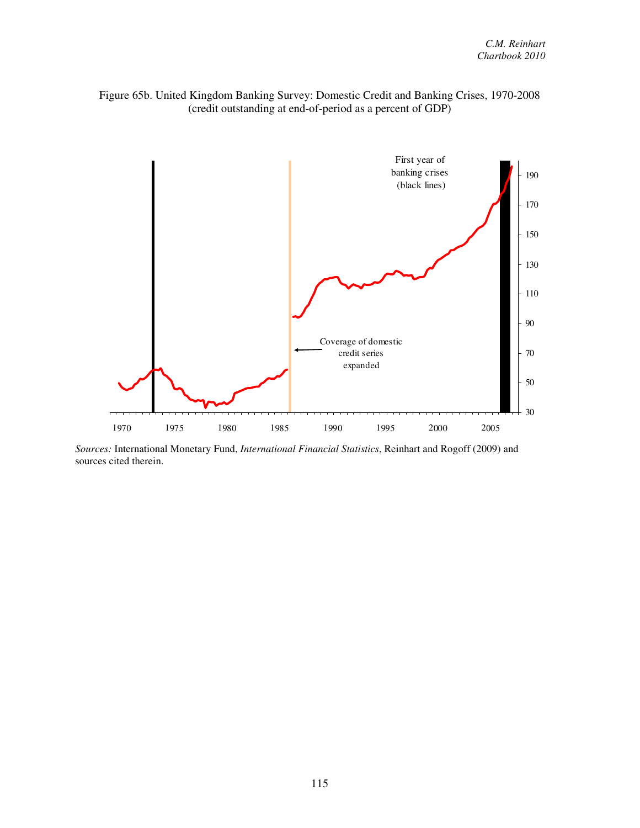



*Sources:* International Monetary Fund, *International Financial Statistics*, Reinhart and Rogoff (2009) and sources cited therein.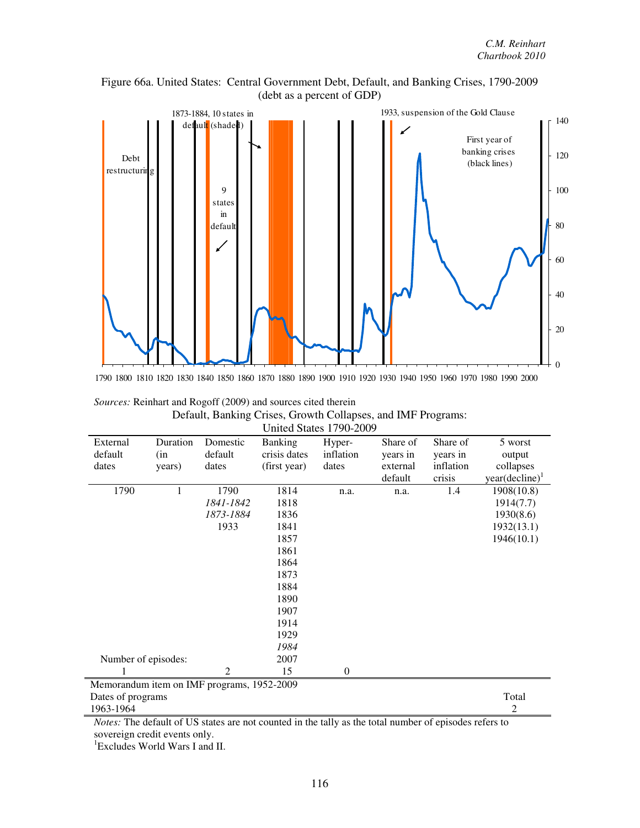



| <i>Sources:</i> Reinhart and Rogoff (2009) and sources cited therein                                                                                                                                                                                                                                                               |
|------------------------------------------------------------------------------------------------------------------------------------------------------------------------------------------------------------------------------------------------------------------------------------------------------------------------------------|
| Default, Banking Crises, Growth Collapses, and IMF Programs:                                                                                                                                                                                                                                                                       |
| $\mathbf{I}$ $\mathbf{I}$ $\mathbf{R}$ $\mathbf{I}$ $\mathbf{R}$ $\mathbf{I}$ $\mathbf{I}$ $\mathbf{R}$ $\mathbf{A}$ $\mathbf{R}$ $\mathbf{A}$ $\mathbf{R}$ $\mathbf{A}$ $\mathbf{A}$ $\mathbf{A}$ $\mathbf{A}$ $\mathbf{A}$ $\mathbf{A}$ $\mathbf{A}$ $\mathbf{A}$ $\mathbf{A}$ $\mathbf{A}$ $\mathbf{A}$ $\mathbf{A}$ $\mathbf{$ |

|                     | United States 1/90-2009 |                                            |                |                  |          |           |                     |  |
|---------------------|-------------------------|--------------------------------------------|----------------|------------------|----------|-----------|---------------------|--|
| External            | Duration                | Domestic                                   | <b>Banking</b> | Hyper-           | Share of | Share of  | 5 worst             |  |
| default             | (in)                    | default                                    | crisis dates   | inflation        | years in | years in  | output              |  |
| dates               | years)                  | dates                                      | (first year)   | dates            | external | inflation | collapses           |  |
|                     |                         |                                            |                |                  | default  | crisis    | $year(decline)^{1}$ |  |
| 1790                |                         | 1790                                       | 1814           | n.a.             | n.a.     | 1.4       | 1908(10.8)          |  |
|                     |                         | 1841-1842                                  | 1818           |                  |          |           | 1914(7.7)           |  |
|                     |                         | 1873-1884                                  | 1836           |                  |          |           | 1930(8.6)           |  |
|                     |                         | 1933                                       | 1841           |                  |          |           | 1932(13.1)          |  |
|                     |                         |                                            | 1857           |                  |          |           | 1946(10.1)          |  |
|                     |                         |                                            | 1861           |                  |          |           |                     |  |
|                     |                         |                                            | 1864           |                  |          |           |                     |  |
|                     |                         |                                            | 1873           |                  |          |           |                     |  |
|                     |                         |                                            | 1884           |                  |          |           |                     |  |
|                     |                         |                                            | 1890           |                  |          |           |                     |  |
|                     |                         |                                            | 1907           |                  |          |           |                     |  |
|                     |                         |                                            | 1914           |                  |          |           |                     |  |
|                     |                         |                                            | 1929           |                  |          |           |                     |  |
|                     |                         |                                            | 1984           |                  |          |           |                     |  |
| Number of episodes: |                         |                                            | 2007           |                  |          |           |                     |  |
|                     |                         | 2                                          | 15             | $\boldsymbol{0}$ |          |           |                     |  |
|                     |                         | Memorandum item on IMF programs, 1952-2009 |                |                  |          |           |                     |  |
| Dates of programs   |                         |                                            |                |                  |          |           | Total               |  |
| 1963-1964           |                         |                                            |                |                  |          |           | 2                   |  |

*Notes:* The default of US states are not counted in the tally as the total number of episodes refers to sovereign credit events only.

<sup>1</sup>Excludes World Wars I and II.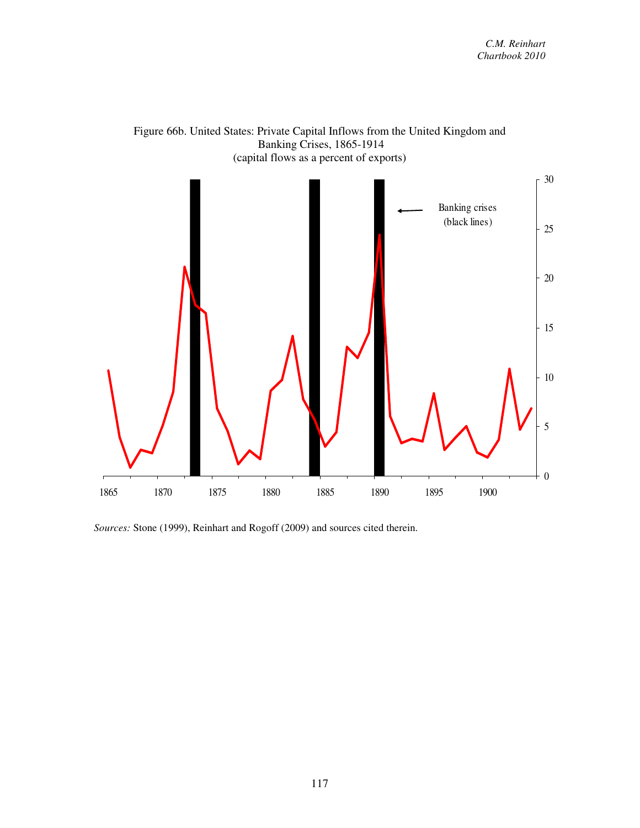

Figure 66b. United States: Private Capital Inflows from the United Kingdom and Banking Crises, 1865-1914

*Sources:* Stone (1999), Reinhart and Rogoff (2009) and sources cited therein.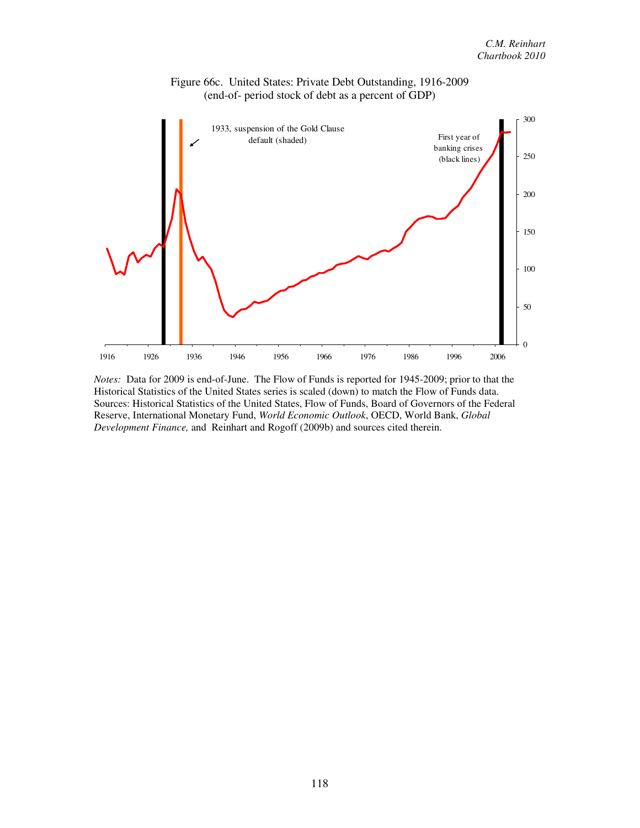

Figure 66c. United States: Private Debt Outstanding, 1916-2009 (end-of- period stock of debt as a percent of GDP)

*Notes:* Data for 2009 is end-of-June. The Flow of Funds is reported for 1945-2009; prior to that the Historical Statistics of the United States series is scaled (down) to match the Flow of Funds data. Sources: Historical Statistics of the United States, Flow of Funds, Board of Governors of the Federal Reserve, International Monetary Fund, *World Economic Outlook*, OECD, World Bank, *Global Development Finance,* and Reinhart and Rogoff (2009b) and sources cited therein.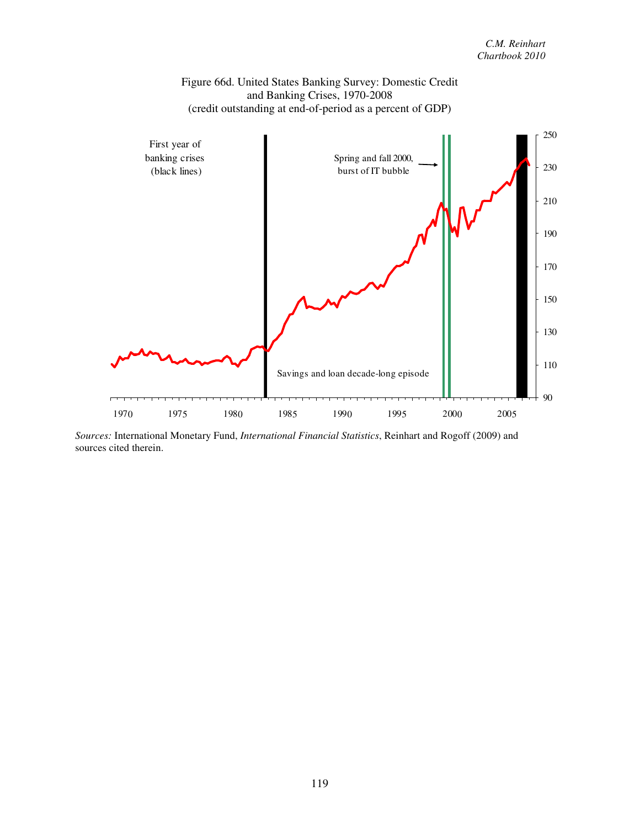

*Sources:* International Monetary Fund, *International Financial Statistics*, Reinhart and Rogoff (2009) and sources cited therein.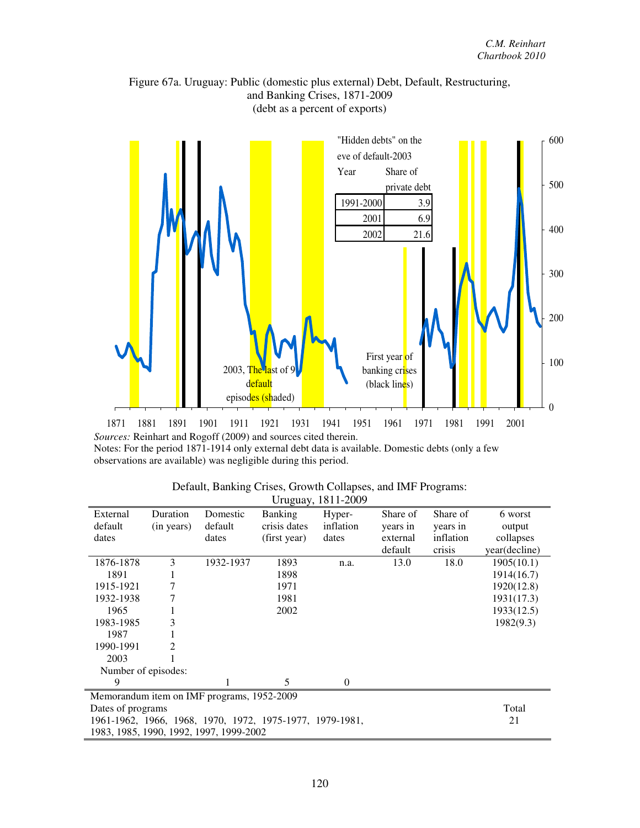## Figure 67a. Uruguay: Public (domestic plus external) Debt, Default, Restructuring, and Banking Crises, 1871-2009 (debt as a percent of exports)



*Sources:* Reinhart and Rogoff (2009) and sources cited therein. Notes: For the period 1871-1914 only external debt data is available. Domestic debts (only a few observations are available) was negligible during this period.

|                                                          | $O(10 \mu \mu)$ , 1011 2007 |           |                |           |          |           |               |  |  |
|----------------------------------------------------------|-----------------------------|-----------|----------------|-----------|----------|-----------|---------------|--|--|
| External                                                 | Duration                    | Domestic  | <b>Banking</b> | Hyper-    | Share of | Share of  | 6 worst       |  |  |
| default                                                  | (in years)                  | default   | crisis dates   | inflation | years in | years in  | output        |  |  |
| dates                                                    |                             | dates     | (first year)   | dates     | external | inflation | collapses     |  |  |
|                                                          |                             |           |                |           | default  | crisis    | year(decline) |  |  |
| 1876-1878                                                | 3                           | 1932-1937 | 1893           | n.a.      | 13.0     | 18.0      | 1905(10.1)    |  |  |
| 1891                                                     |                             |           | 1898           |           |          |           | 1914(16.7)    |  |  |
| 1915-1921                                                | 7                           |           | 1971           |           |          |           | 1920(12.8)    |  |  |
| 1932-1938                                                |                             |           | 1981           |           |          |           | 1931(17.3)    |  |  |
| 1965                                                     |                             |           | 2002           |           |          |           | 1933(12.5)    |  |  |
| 1983-1985                                                |                             |           |                |           |          |           | 1982(9.3)     |  |  |
| 1987                                                     |                             |           |                |           |          |           |               |  |  |
| 1990-1991                                                | 2                           |           |                |           |          |           |               |  |  |
| 2003                                                     |                             |           |                |           |          |           |               |  |  |
|                                                          | Number of episodes:         |           |                |           |          |           |               |  |  |
|                                                          |                             |           | 5              | 0         |          |           |               |  |  |
| Memorandum item on IMF programs, 1952-2009               |                             |           |                |           |          |           |               |  |  |
| Dates of programs                                        | Total                       |           |                |           |          |           |               |  |  |
| 1961-1962, 1966, 1968, 1970, 1972, 1975-1977, 1979-1981, |                             |           |                |           |          |           | 21            |  |  |
| 1983, 1985, 1990, 1992, 1997, 1999-2002                  |                             |           |                |           |          |           |               |  |  |

| Default, Banking Crises, Growth Collapses, and IMF Programs: |                       |  |
|--------------------------------------------------------------|-----------------------|--|
|                                                              | $I$ Iruquay 1811-2009 |  |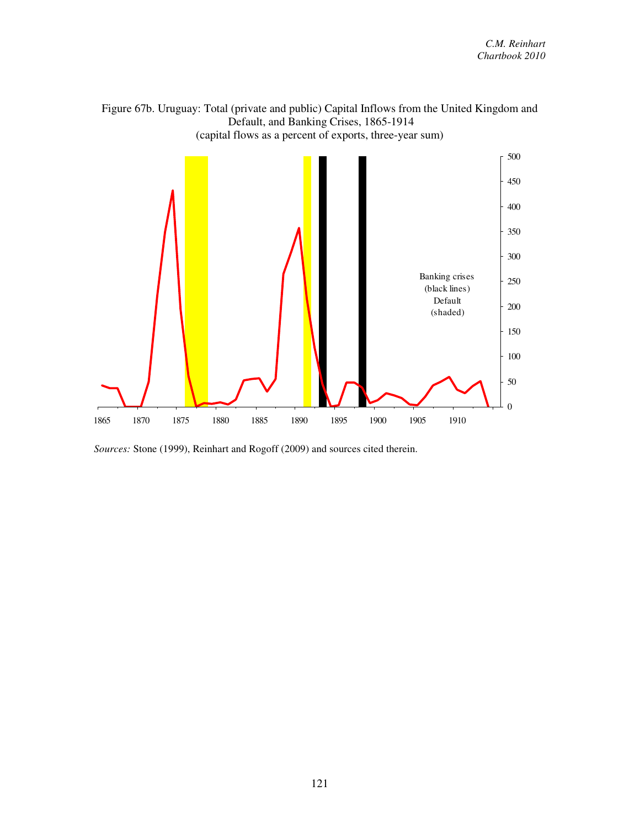

*Sources:* Stone (1999), Reinhart and Rogoff (2009) and sources cited therein.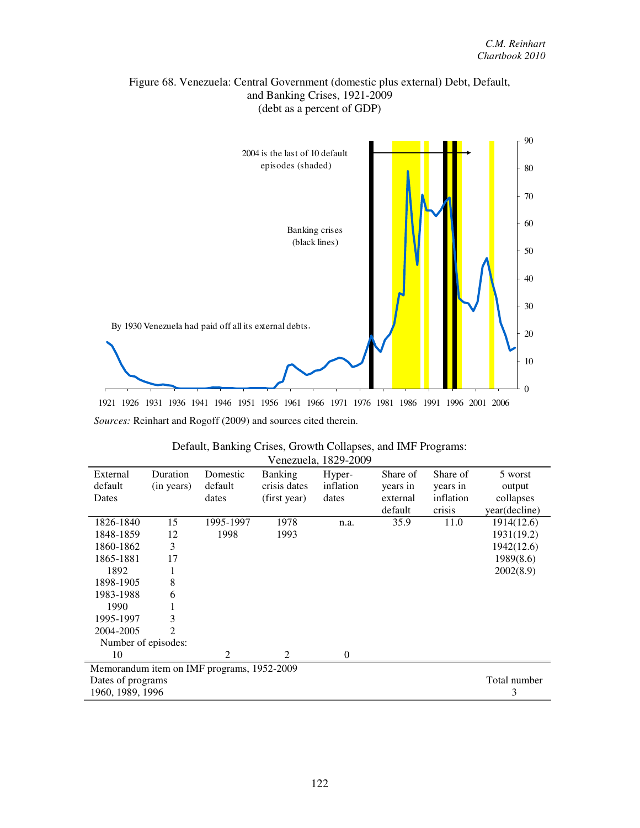# Figure 68. Venezuela: Central Government (domestic plus external) Debt, Default, and Banking Crises, 1921-2009 (debt as a percent of GDP)



| Default, Banking Crises, Growth Collapses, and IMF Programs: |
|--------------------------------------------------------------|
| Venezuela, 1829-2009                                         |

| External                                   | Duration       | Domestic       | <b>Banking</b> | Hyper-    | Share of | Share of  | 5 worst       |  |
|--------------------------------------------|----------------|----------------|----------------|-----------|----------|-----------|---------------|--|
| default                                    | (in years)     | default        | crisis dates   | inflation | years in | years in  | output        |  |
| Dates                                      |                | dates          | (first year)   | dates     | external | inflation | collapses     |  |
|                                            |                |                |                |           | default  | crisis    | year(decline) |  |
| 1826-1840                                  | 15             | 1995-1997      | 1978           | n.a.      | 35.9     | 11.0      | 1914(12.6)    |  |
| 1848-1859                                  | 12             | 1998           | 1993           |           |          |           | 1931(19.2)    |  |
| 1860-1862                                  | 3              |                |                |           |          |           | 1942(12.6)    |  |
| 1865-1881                                  | 17             |                |                |           |          |           | 1989(8.6)     |  |
| 1892                                       |                |                |                |           |          |           | 2002(8.9)     |  |
| 1898-1905                                  | 8              |                |                |           |          |           |               |  |
| 1983-1988                                  | 6              |                |                |           |          |           |               |  |
| 1990                                       |                |                |                |           |          |           |               |  |
| 1995-1997                                  | 3              |                |                |           |          |           |               |  |
| 2004-2005                                  | $\mathfrak{D}$ |                |                |           |          |           |               |  |
| Number of episodes:                        |                |                |                |           |          |           |               |  |
| 10                                         |                | $\mathfrak{D}$ | $\mathfrak{D}$ | $\Omega$  |          |           |               |  |
| Memorandum item on IMF programs, 1952-2009 |                |                |                |           |          |           |               |  |
| Dates of programs                          | Total number   |                |                |           |          |           |               |  |
| 1960, 1989, 1996                           |                |                |                |           |          |           |               |  |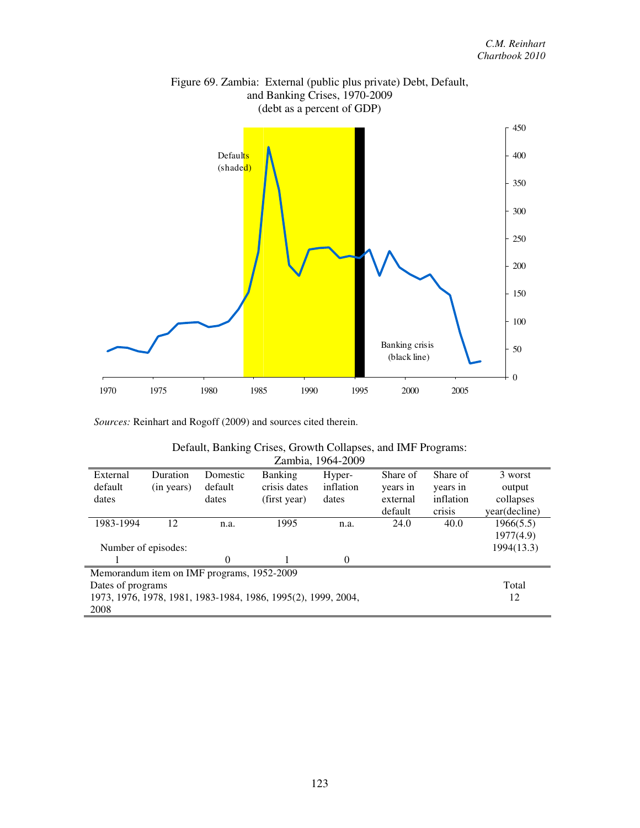

# Figure 69. Zambia: External (public plus private) Debt, Default, and Banking Crises, 1970-2009 (debt as a percent of GDP)

*Sources:* Reinhart and Rogoff (2009) and sources cited therein.

| Default, Banking Crises, Growth Collapses, and IMF Programs: |
|--------------------------------------------------------------|
| Zambia, 1964-2009                                            |

| External                                                      | Duration   | Domestic | <b>Banking</b> | Hyper-    | Share of | Share of  | 3 worst       |  |
|---------------------------------------------------------------|------------|----------|----------------|-----------|----------|-----------|---------------|--|
| default                                                       | (in years) | default  | crisis dates   | inflation | years in | years in  | output        |  |
| dates                                                         |            | dates    | (first year)   | dates     | external | inflation | collapses     |  |
|                                                               |            |          |                |           | default  | crisis    | year(decline) |  |
| 1983-1994                                                     | 12         | n.a.     | 1995           | n.a.      | 24.0     | 40.0      | 1966(5.5)     |  |
|                                                               |            |          |                |           |          |           | 1977(4.9)     |  |
| Number of episodes:                                           |            |          |                |           |          |           | 1994(13.3)    |  |
|                                                               |            | 0        |                | $\Omega$  |          |           |               |  |
| Memorandum item on IMF programs, 1952-2009                    |            |          |                |           |          |           |               |  |
| Dates of programs                                             |            |          |                |           |          |           | Total         |  |
| 1973, 1976, 1978, 1981, 1983-1984, 1986, 1995(2), 1999, 2004, |            |          |                |           |          |           | 12            |  |
| 2008                                                          |            |          |                |           |          |           |               |  |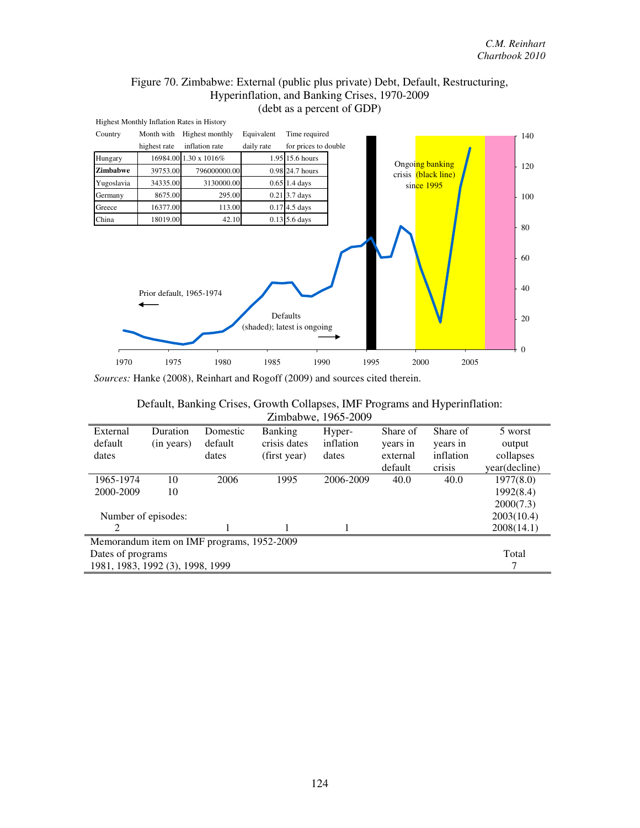# Figure 70. Zimbabwe: External (public plus private) Debt, Default, Restructuring, Hyperinflation, and Banking Crises, 1970-2009 (debt as a percent of GDP)



*Sources:* Hanke (2008), Reinhart and Rogoff (2009) and sources cited therein.

#### Default, Banking Crises, Growth Collapses, IMF Programs and Hyperinflation: Zimbabwe, 1965-2009

| External                                   | Duration   | Domestic | Banking      | Hyper-    | Share of | Share of  | 5 worst       |  |
|--------------------------------------------|------------|----------|--------------|-----------|----------|-----------|---------------|--|
| default                                    | (in years) | default  | crisis dates | inflation | years in | years in  | output        |  |
| dates                                      |            | dates    | (first year) | dates     | external | inflation | collapses     |  |
|                                            |            |          |              |           | default  | crisis    | year(decline) |  |
| 1965-1974                                  | 10         | 2006     | 1995         | 2006-2009 | 40.0     | 40.0      | 1977(8.0)     |  |
| 2000-2009                                  | 10         |          |              |           |          |           | 1992(8.4)     |  |
|                                            |            |          |              |           |          |           | 2000(7.3)     |  |
| Number of episodes:                        |            |          |              |           |          |           | 2003(10.4)    |  |
| 2                                          |            |          |              |           |          |           | 2008(14.1)    |  |
| Memorandum item on IMF programs, 1952-2009 |            |          |              |           |          |           |               |  |
| Dates of programs                          |            |          |              |           |          |           | Total         |  |
| 1981, 1983, 1992 (3), 1998, 1999           |            |          |              |           |          |           |               |  |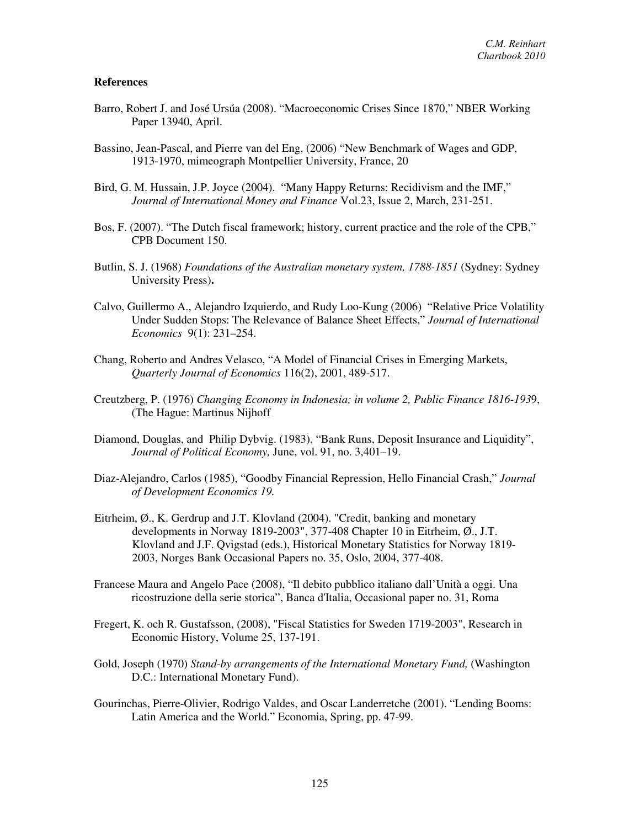### **References**

- Barro, Robert J. and José Ursúa (2008). "Macroeconomic Crises Since 1870," NBER Working Paper 13940, April.
- Bassino, Jean-Pascal, and Pierre van del Eng, (2006) "New Benchmark of Wages and GDP, 1913-1970, mimeograph Montpellier University, France, 20
- Bird, G. M. Hussain, J.P. Joyce (2004). "Many Happy Returns: Recidivism and the IMF," *Journal of International Money and Finance* Vol.23, Issue 2, March, 231-251.
- Bos, F. (2007). "The Dutch fiscal framework; history, current practice and the role of the CPB," CPB Document 150.
- Butlin, S. J. (1968) *Foundations of the Australian monetary system, 1788-1851* (Sydney: Sydney University Press)**.**
- Calvo, Guillermo A., Alejandro Izquierdo, and Rudy Loo-Kung (2006) "Relative Price Volatility Under Sudden Stops: The Relevance of Balance Sheet Effects," *Journal of International Economics* 9(1): 231–254.
- Chang, Roberto and Andres Velasco, "A Model of Financial Crises in Emerging Markets, *Quarterly Journal of Economics* 116(2), 2001, 489-517.
- Creutzberg, P. (1976) *Changing Economy in Indonesia; in volume 2, Public Finance 1816-193*9, (The Hague: Martinus Nijhoff
- Diamond, Douglas, and Philip Dybvig. (1983), "Bank Runs, Deposit Insurance and Liquidity", *Journal of Political Economy,* June, vol. 91, no. 3,401–19.
- Diaz-Alejandro, Carlos (1985), "Goodby Financial Repression, Hello Financial Crash," *Journal of Development Economics 19.*
- Eitrheim, Ø., K. Gerdrup and J.T. Klovland (2004). "Credit, banking and monetary developments in Norway 1819-2003", 377-408 Chapter 10 in Eitrheim, Ø., J.T. Klovland and J.F. Qvigstad (eds.), Historical Monetary Statistics for Norway 1819- 2003, Norges Bank Occasional Papers no. 35, Oslo, 2004, 377-408.
- Francese Maura and Angelo Pace (2008), "Il debito pubblico italiano dall'Unità a oggi. Una ricostruzione della serie storica", Banca d'Italia, Occasional paper no. 31, Roma
- Fregert, K. och R. Gustafsson, (2008), "Fiscal Statistics for Sweden 1719-2003", Research in Economic History, Volume 25, 137-191.
- Gold, Joseph (1970) *Stand-by arrangements of the International Monetary Fund,* (Washington D.C.: International Monetary Fund).
- Gourinchas, Pierre-Olivier, Rodrigo Valdes, and Oscar Landerretche (2001). "Lending Booms: Latin America and the World." Economia, Spring, pp. 47-99.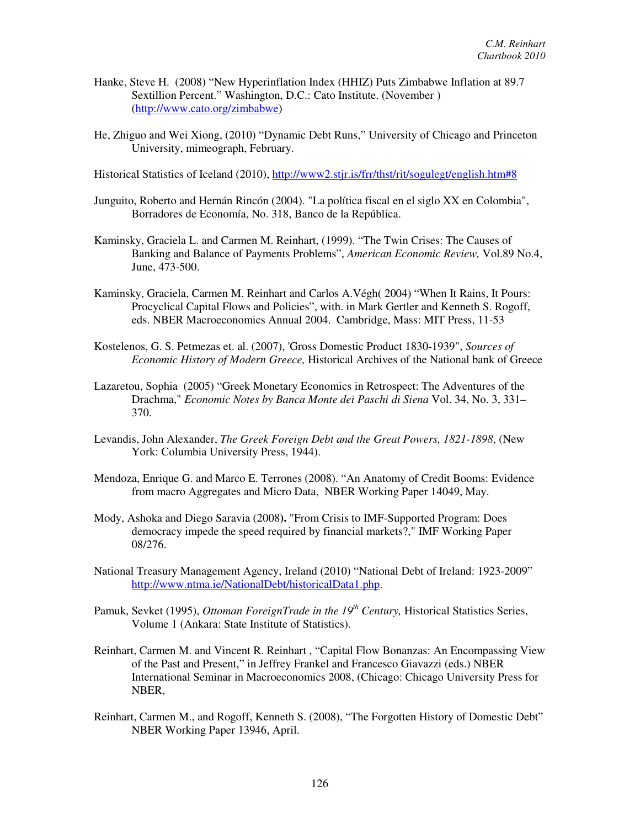- Hanke, Steve H. (2008) "New Hyperinflation Index (HHIZ) Puts Zimbabwe Inflation at 89.7 Sextillion Percent." Washington, D.C.: Cato Institute. (November ) (http://www.cato.org/zimbabwe)
- He, Zhiguo and Wei Xiong, (2010) "Dynamic Debt Runs," University of Chicago and Princeton University, mimeograph, February.
- Historical Statistics of Iceland (2010), http://www2.stjr.is/frr/thst/rit/sogulegt/english.htm#8
- Junguito, Roberto and Hernán Rincón (2004). "La política fiscal en el siglo XX en Colombia", Borradores de Economía, No. 318, Banco de la República.
- Kaminsky, Graciela L. and Carmen M. Reinhart, (1999). "The Twin Crises: The Causes of Banking and Balance of Payments Problems", *American Economic Review,* Vol.89 No.4, June, 473-500.
- Kaminsky, Graciela, Carmen M. Reinhart and Carlos A.Végh( 2004) "When It Rains, It Pours: Procyclical Capital Flows and Policies", with. in Mark Gertler and Kenneth S. Rogoff, eds. NBER Macroeconomics Annual 2004. Cambridge, Mass: MIT Press, 11-53
- Kostelenos, G. S. Petmezas et. al. (2007), 'Gross Domestic Product 1830-1939", *Sources of Economic History of Modern Greece,* Historical Archives of the National bank of Greece
- Lazaretou, Sophia (2005) "Greek Monetary Economics in Retrospect: The Adventures of the Drachma," *Economic Notes by Banca Monte dei Paschi di Siena* Vol. 34, No. 3, 331– 370.
- Levandis, John Alexander, *The Greek Foreign Debt and the Great Powers, 1821-1898*, (New York: Columbia University Press, 1944).
- Mendoza, Enrique G. and Marco E. Terrones (2008). "An Anatomy of Credit Booms: Evidence from macro Aggregates and Micro Data, NBER Working Paper 14049, May.
- Mody, Ashoka and Diego Saravia (2008**).** "From Crisis to IMF-Supported Program: Does democracy impede the speed required by financial markets?," IMF Working Paper 08/276.
- National Treasury Management Agency, Ireland (2010) "National Debt of Ireland: 1923-2009" http://www.ntma.ie/NationalDebt/historicalData1.php.
- Pamuk, Sevket (1995), *Ottoman ForeignTrade in the 19th Century,* Historical Statistics Series, Volume 1 (Ankara: State Institute of Statistics).
- Reinhart, Carmen M. and Vincent R. Reinhart , "Capital Flow Bonanzas: An Encompassing View of the Past and Present," in Jeffrey Frankel and Francesco Giavazzi (eds.) NBER International Seminar in Macroeconomics 2008, (Chicago: Chicago University Press for NBER,
- Reinhart, Carmen M., and Rogoff, Kenneth S. (2008), "The Forgotten History of Domestic Debt" NBER Working Paper 13946, April.